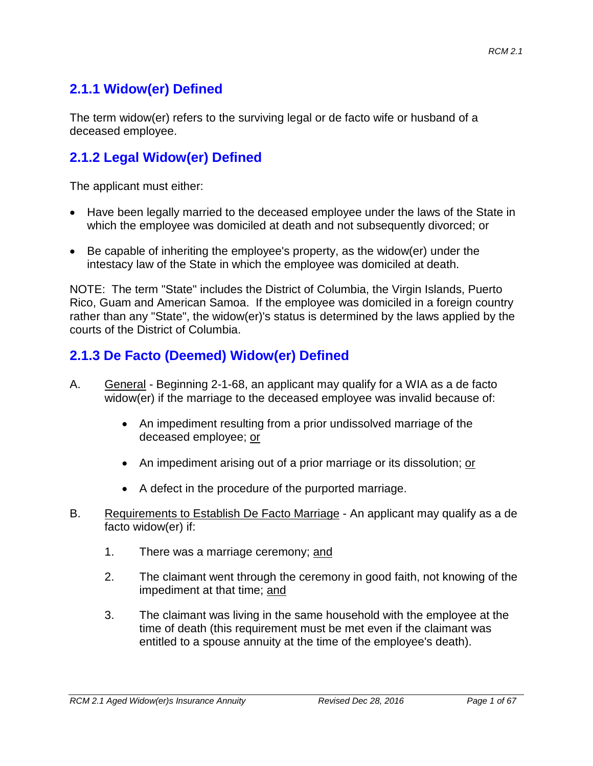# **2.1.1 Widow(er) Defined**

The term widow(er) refers to the surviving legal or de facto wife or husband of a deceased employee.

## **2.1.2 Legal Widow(er) Defined**

The applicant must either:

- Have been legally married to the deceased employee under the laws of the State in which the employee was domiciled at death and not subsequently divorced; or
- Be capable of inheriting the employee's property, as the widow(er) under the intestacy law of the State in which the employee was domiciled at death.

NOTE: The term "State" includes the District of Columbia, the Virgin Islands, Puerto Rico, Guam and American Samoa. If the employee was domiciled in a foreign country rather than any "State", the widow(er)'s status is determined by the laws applied by the courts of the District of Columbia.

## **2.1.3 De Facto (Deemed) Widow(er) Defined**

- A. General Beginning 2-1-68, an applicant may qualify for a WIA as a de facto widow(er) if the marriage to the deceased employee was invalid because of:
	- An impediment resulting from a prior undissolved marriage of the deceased employee; or
	- An impediment arising out of a prior marriage or its dissolution; or
	- A defect in the procedure of the purported marriage.
- B. Requirements to Establish De Facto Marriage An applicant may qualify as a de facto widow(er) if:
	- 1. There was a marriage ceremony; and
	- 2. The claimant went through the ceremony in good faith, not knowing of the impediment at that time; and
	- 3. The claimant was living in the same household with the employee at the time of death (this requirement must be met even if the claimant was entitled to a spouse annuity at the time of the employee's death).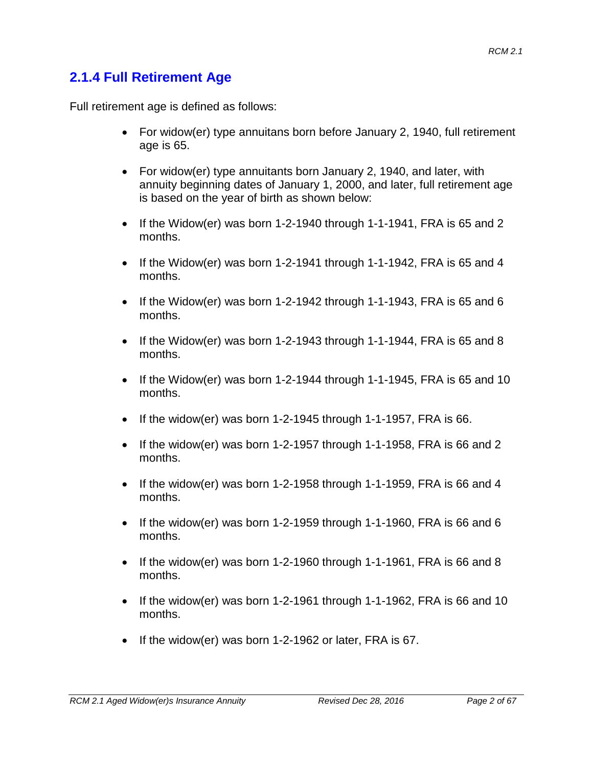### **2.1.4 Full Retirement Age**

Full retirement age is defined as follows:

- For widow(er) type annuitans born before January 2, 1940, full retirement age is 65.
- For widow(er) type annuitants born January 2, 1940, and later, with annuity beginning dates of January 1, 2000, and later, full retirement age is based on the year of birth as shown below:
- If the Widow(er) was born 1-2-1940 through 1-1-1941, FRA is 65 and 2 months.
- If the Widow(er) was born 1-2-1941 through 1-1-1942, FRA is 65 and 4 months.
- If the Widow(er) was born 1-2-1942 through 1-1-1943, FRA is 65 and 6 months.
- If the Widow(er) was born 1-2-1943 through 1-1-1944, FRA is 65 and 8 months.
- If the Widow(er) was born 1-2-1944 through 1-1-1945, FRA is 65 and 10 months.
- If the widow(er) was born 1-2-1945 through 1-1-1957, FRA is 66.
- If the widow(er) was born 1-2-1957 through 1-1-1958, FRA is 66 and 2 months.
- If the widow(er) was born 1-2-1958 through 1-1-1959, FRA is 66 and 4 months.
- If the widow(er) was born 1-2-1959 through 1-1-1960, FRA is 66 and 6 months.
- If the widow(er) was born 1-2-1960 through 1-1-1961, FRA is 66 and 8 months.
- If the widow(er) was born 1-2-1961 through 1-1-1962, FRA is 66 and 10 months.
- If the widow(er) was born 1-2-1962 or later, FRA is 67.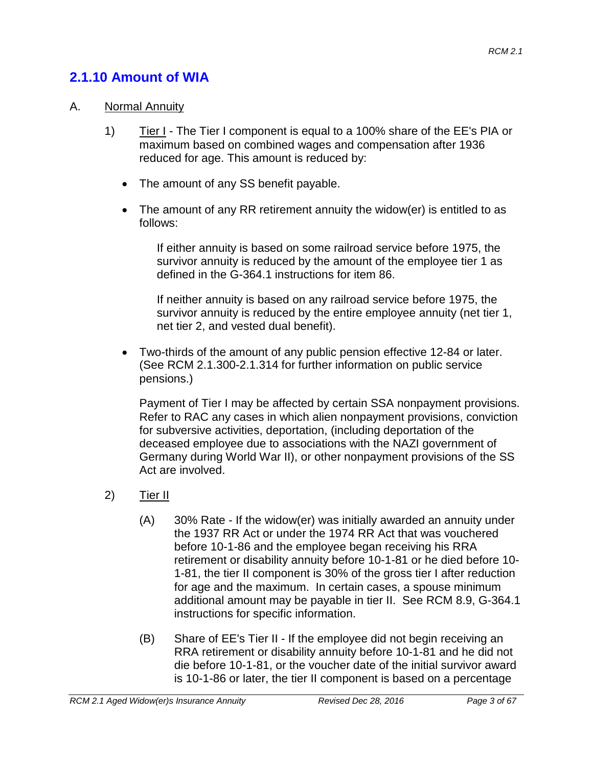## **2.1.10 Amount of WIA**

#### A. Normal Annuity

- 1) Tier I The Tier I component is equal to a 100% share of the EE's PIA or maximum based on combined wages and compensation after 1936 reduced for age. This amount is reduced by:
	- The amount of any SS benefit payable.
	- The amount of any RR retirement annuity the widow(er) is entitled to as follows:

If either annuity is based on some railroad service before 1975, the survivor annuity is reduced by the amount of the employee tier 1 as defined in the G-364.1 instructions for item 86.

If neither annuity is based on any railroad service before 1975, the survivor annuity is reduced by the entire employee annuity (net tier 1, net tier 2, and vested dual benefit).

• Two-thirds of the amount of any public pension effective 12-84 or later. (See RCM 2.1.300-2.1.314 for further information on public service pensions.)

Payment of Tier I may be affected by certain SSA nonpayment provisions. Refer to RAC any cases in which alien nonpayment provisions, conviction for subversive activities, deportation, (including deportation of the deceased employee due to associations with the NAZI government of Germany during World War II), or other nonpayment provisions of the SS Act are involved.

- 2) Tier II
	- (A) 30% Rate If the widow(er) was initially awarded an annuity under the 1937 RR Act or under the 1974 RR Act that was vouchered before 10-1-86 and the employee began receiving his RRA retirement or disability annuity before 10-1-81 or he died before 10- 1-81, the tier II component is 30% of the gross tier I after reduction for age and the maximum. In certain cases, a spouse minimum additional amount may be payable in tier II. See RCM 8.9, G-364.1 instructions for specific information.
	- (B) Share of EE's Tier II If the employee did not begin receiving an RRA retirement or disability annuity before 10-1-81 and he did not die before 10-1-81, or the voucher date of the initial survivor award is 10-1-86 or later, the tier II component is based on a percentage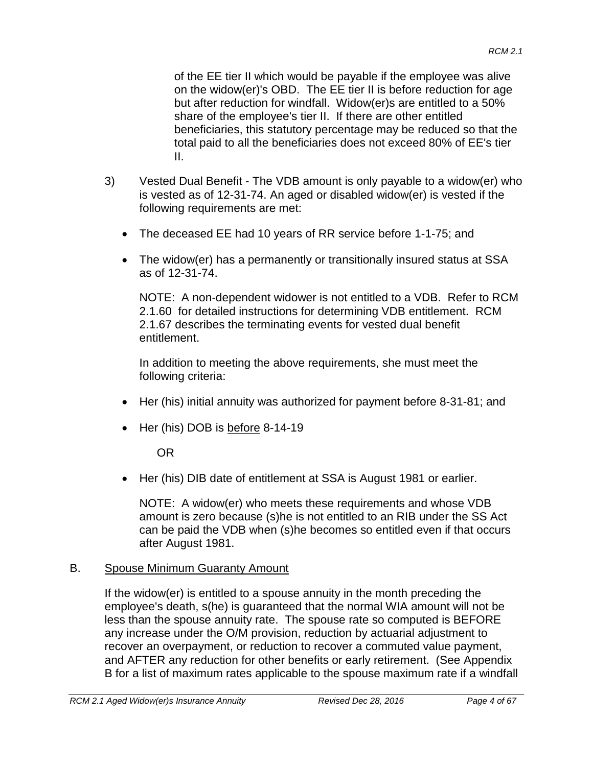of the EE tier II which would be payable if the employee was alive on the widow(er)'s OBD. The EE tier II is before reduction for age but after reduction for windfall. Widow(er)s are entitled to a 50% share of the employee's tier II. If there are other entitled beneficiaries, this statutory percentage may be reduced so that the total paid to all the beneficiaries does not exceed 80% of EE's tier II.

- 3) Vested Dual Benefit The VDB amount is only payable to a widow(er) who is vested as of 12-31-74. An aged or disabled widow(er) is vested if the following requirements are met:
	- The deceased EE had 10 years of RR service before 1-1-75; and
	- The widow(er) has a permanently or transitionally insured status at SSA as of 12-31-74.

NOTE: A non-dependent widower is not entitled to a VDB. Refer to RCM 2.1.60 for detailed instructions for determining VDB entitlement. RCM 2.1.67 describes the terminating events for vested dual benefit entitlement.

In addition to meeting the above requirements, she must meet the following criteria:

- Her (his) initial annuity was authorized for payment before 8-31-81; and
- Her (his) DOB is before 8-14-19

OR

• Her (his) DIB date of entitlement at SSA is August 1981 or earlier.

NOTE: A widow(er) who meets these requirements and whose VDB amount is zero because (s)he is not entitled to an RIB under the SS Act can be paid the VDB when (s)he becomes so entitled even if that occurs after August 1981.

#### B. Spouse Minimum Guaranty Amount

If the widow(er) is entitled to a spouse annuity in the month preceding the employee's death, s(he) is guaranteed that the normal WIA amount will not be less than the spouse annuity rate. The spouse rate so computed is BEFORE any increase under the O/M provision, reduction by actuarial adjustment to recover an overpayment, or reduction to recover a commuted value payment, and AFTER any reduction for other benefits or early retirement. (See Appendix B for a list of maximum rates applicable to the spouse maximum rate if a windfall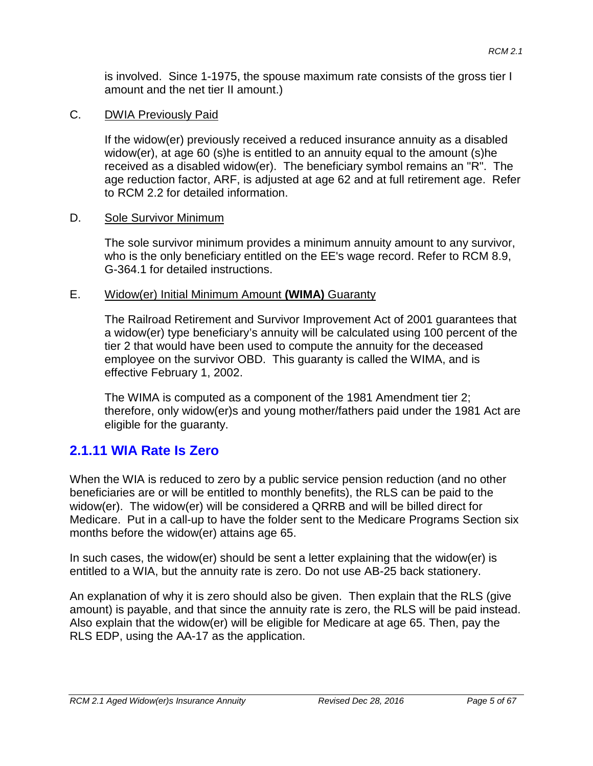is involved. Since 1-1975, the spouse maximum rate consists of the gross tier I amount and the net tier II amount.)

#### C. DWIA Previously Paid

If the widow(er) previously received a reduced insurance annuity as a disabled widow(er), at age 60 (s)he is entitled to an annuity equal to the amount (s)he received as a disabled widow(er). The beneficiary symbol remains an "R". The age reduction factor, ARF, is adjusted at age 62 and at full retirement age. Refer to RCM 2.2 for detailed information.

#### D. Sole Survivor Minimum

The sole survivor minimum provides a minimum annuity amount to any survivor, who is the only beneficiary entitled on the EE's wage record. Refer to RCM 8.9, G-364.1 for detailed instructions.

#### E. Widow(er) Initial Minimum Amount **(WIMA)** Guaranty

The Railroad Retirement and Survivor Improvement Act of 2001 guarantees that a widow(er) type beneficiary's annuity will be calculated using 100 percent of the tier 2 that would have been used to compute the annuity for the deceased employee on the survivor OBD. This guaranty is called the WIMA, and is effective February 1, 2002.

The WIMA is computed as a component of the 1981 Amendment tier 2; therefore, only widow(er)s and young mother/fathers paid under the 1981 Act are eligible for the guaranty.

### **2.1.11 WIA Rate Is Zero**

When the WIA is reduced to zero by a public service pension reduction (and no other beneficiaries are or will be entitled to monthly benefits), the RLS can be paid to the widow(er). The widow(er) will be considered a QRRB and will be billed direct for Medicare. Put in a call-up to have the folder sent to the Medicare Programs Section six months before the widow(er) attains age 65.

In such cases, the widow(er) should be sent a letter explaining that the widow(er) is entitled to a WIA, but the annuity rate is zero. Do not use AB-25 back stationery.

An explanation of why it is zero should also be given. Then explain that the RLS (give amount) is payable, and that since the annuity rate is zero, the RLS will be paid instead. Also explain that the widow(er) will be eligible for Medicare at age 65. Then, pay the RLS EDP, using the AA-17 as the application.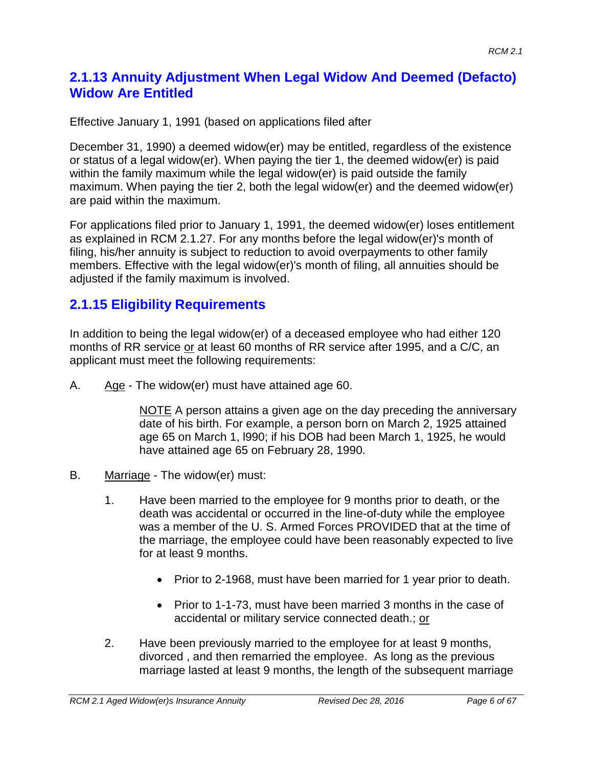## **2.1.13 Annuity Adjustment When Legal Widow And Deemed (Defacto) Widow Are Entitled**

Effective January 1, 1991 (based on applications filed after

December 31, 1990) a deemed widow(er) may be entitled, regardless of the existence or status of a legal widow(er). When paying the tier 1, the deemed widow(er) is paid within the family maximum while the legal widow(er) is paid outside the family maximum. When paying the tier 2, both the legal widow(er) and the deemed widow(er) are paid within the maximum.

For applications filed prior to January 1, 1991, the deemed widow(er) loses entitlement as explained in RCM 2.1.27. For any months before the legal widow(er)'s month of filing, his/her annuity is subject to reduction to avoid overpayments to other family members. Effective with the legal widow(er)'s month of filing, all annuities should be adjusted if the family maximum is involved.

## **2.1.15 Eligibility Requirements**

In addition to being the legal widow(er) of a deceased employee who had either 120 months of RR service or at least 60 months of RR service after 1995, and a C/C, an applicant must meet the following requirements:

A. Age - The widow(er) must have attained age 60.

NOTE A person attains a given age on the day preceding the anniversary date of his birth. For example, a person born on March 2, 1925 attained age 65 on March 1, l990; if his DOB had been March 1, 1925, he would have attained age 65 on February 28, 1990.

- B. Marriage The widow(er) must:
	- 1. Have been married to the employee for 9 months prior to death, or the death was accidental or occurred in the line-of-duty while the employee was a member of the U. S. Armed Forces PROVIDED that at the time of the marriage, the employee could have been reasonably expected to live for at least 9 months.
		- Prior to 2-1968, must have been married for 1 year prior to death.
		- Prior to 1-1-73, must have been married 3 months in the case of accidental or military service connected death.; or
	- 2. Have been previously married to the employee for at least 9 months, divorced , and then remarried the employee. As long as the previous marriage lasted at least 9 months, the length of the subsequent marriage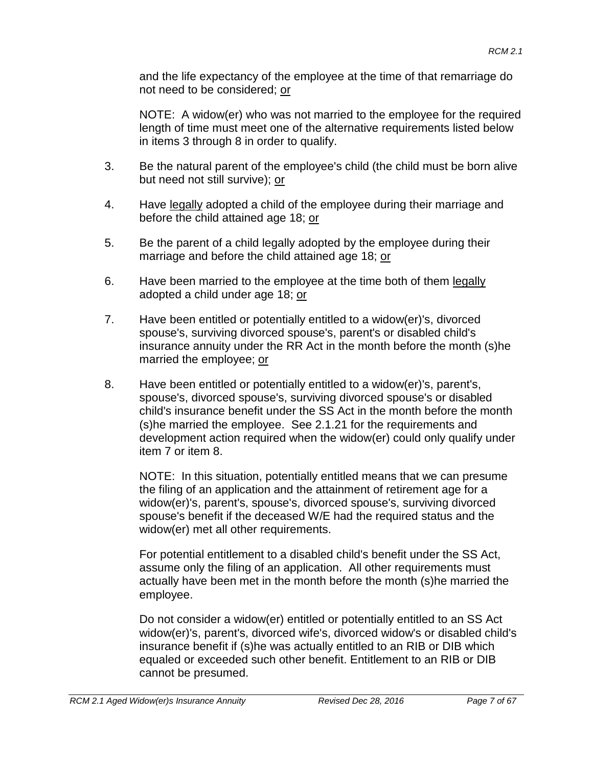and the life expectancy of the employee at the time of that remarriage do not need to be considered; or

NOTE: A widow(er) who was not married to the employee for the required length of time must meet one of the alternative requirements listed below in items 3 through 8 in order to qualify.

- 3. Be the natural parent of the employee's child (the child must be born alive but need not still survive); or
- 4. Have legally adopted a child of the employee during their marriage and before the child attained age 18; or
- 5. Be the parent of a child legally adopted by the employee during their marriage and before the child attained age 18; or
- 6. Have been married to the employee at the time both of them legally adopted a child under age 18; or
- 7. Have been entitled or potentially entitled to a widow(er)'s, divorced spouse's, surviving divorced spouse's, parent's or disabled child's insurance annuity under the RR Act in the month before the month (s)he married the employee; or
- 8. Have been entitled or potentially entitled to a widow(er)'s, parent's, spouse's, divorced spouse's, surviving divorced spouse's or disabled child's insurance benefit under the SS Act in the month before the month (s)he married the employee. See 2.1.21 for the requirements and development action required when the widow(er) could only qualify under item 7 or item 8.

NOTE: In this situation, potentially entitled means that we can presume the filing of an application and the attainment of retirement age for a widow(er)'s, parent's, spouse's, divorced spouse's, surviving divorced spouse's benefit if the deceased W/E had the required status and the widow(er) met all other requirements.

For potential entitlement to a disabled child's benefit under the SS Act, assume only the filing of an application. All other requirements must actually have been met in the month before the month (s)he married the employee.

Do not consider a widow(er) entitled or potentially entitled to an SS Act widow(er)'s, parent's, divorced wife's, divorced widow's or disabled child's insurance benefit if (s)he was actually entitled to an RIB or DIB which equaled or exceeded such other benefit. Entitlement to an RIB or DIB cannot be presumed.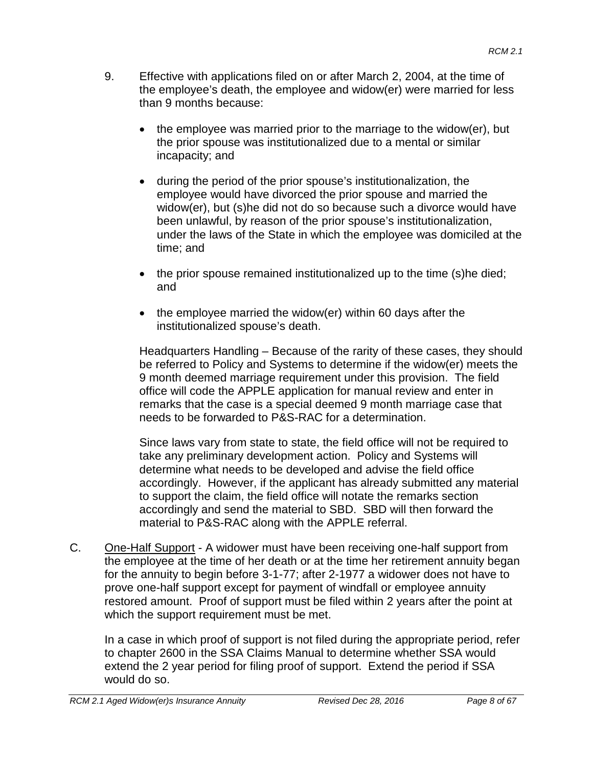- 9. Effective with applications filed on or after March 2, 2004, at the time of the employee's death, the employee and widow(er) were married for less than 9 months because:
	- the employee was married prior to the marriage to the widow(er), but the prior spouse was institutionalized due to a mental or similar incapacity; and
	- during the period of the prior spouse's institutionalization, the employee would have divorced the prior spouse and married the widow(er), but (s)he did not do so because such a divorce would have been unlawful, by reason of the prior spouse's institutionalization, under the laws of the State in which the employee was domiciled at the time; and
	- the prior spouse remained institutionalized up to the time (s)he died; and
	- the employee married the widow(er) within 60 days after the institutionalized spouse's death.

Headquarters Handling – Because of the rarity of these cases, they should be referred to Policy and Systems to determine if the widow(er) meets the 9 month deemed marriage requirement under this provision. The field office will code the APPLE application for manual review and enter in remarks that the case is a special deemed 9 month marriage case that needs to be forwarded to P&S-RAC for a determination.

Since laws vary from state to state, the field office will not be required to take any preliminary development action. Policy and Systems will determine what needs to be developed and advise the field office accordingly. However, if the applicant has already submitted any material to support the claim, the field office will notate the remarks section accordingly and send the material to SBD. SBD will then forward the material to P&S-RAC along with the APPLE referral.

C. One-Half Support - A widower must have been receiving one-half support from the employee at the time of her death or at the time her retirement annuity began for the annuity to begin before 3-1-77; after 2-1977 a widower does not have to prove one-half support except for payment of windfall or employee annuity restored amount. Proof of support must be filed within 2 years after the point at which the support requirement must be met.

In a case in which proof of support is not filed during the appropriate period, refer to chapter 2600 in the SSA Claims Manual to determine whether SSA would extend the 2 year period for filing proof of support. Extend the period if SSA would do so.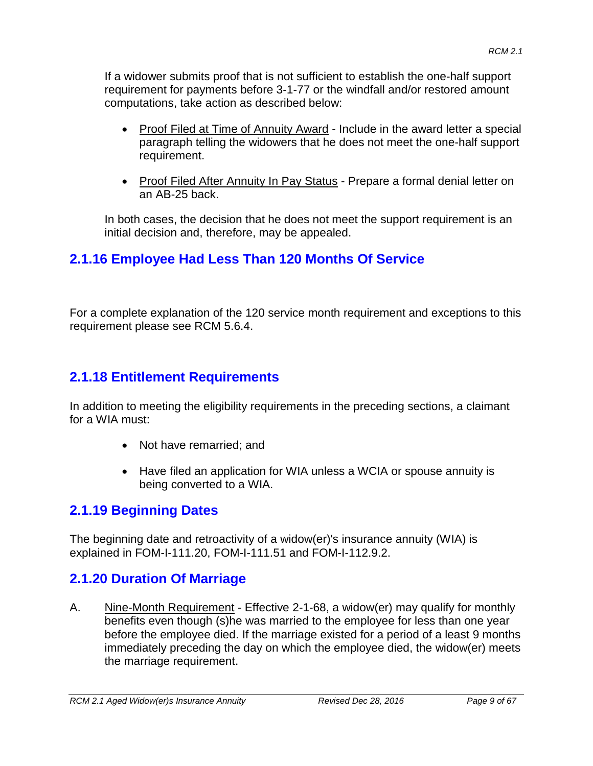If a widower submits proof that is not sufficient to establish the one-half support requirement for payments before 3-1-77 or the windfall and/or restored amount computations, take action as described below:

- Proof Filed at Time of Annuity Award Include in the award letter a special paragraph telling the widowers that he does not meet the one-half support requirement.
- Proof Filed After Annuity In Pay Status Prepare a formal denial letter on an AB-25 back.

In both cases, the decision that he does not meet the support requirement is an initial decision and, therefore, may be appealed.

# **2.1.16 Employee Had Less Than 120 Months Of Service**

For a complete explanation of the 120 service month requirement and exceptions to this requirement please see RCM 5.6.4.

## **2.1.18 Entitlement Requirements**

In addition to meeting the eligibility requirements in the preceding sections, a claimant for a WIA must:

- Not have remarried; and
- Have filed an application for WIA unless a WCIA or spouse annuity is being converted to a WIA.

## **2.1.19 Beginning Dates**

The beginning date and retroactivity of a widow(er)'s insurance annuity (WIA) is explained in FOM-I-111.20, FOM-I-111.51 and FOM-I-112.9.2.

## **2.1.20 Duration Of Marriage**

A. Nine-Month Requirement - Effective 2-1-68, a widow(er) may qualify for monthly benefits even though (s)he was married to the employee for less than one year before the employee died. If the marriage existed for a period of a least 9 months immediately preceding the day on which the employee died, the widow(er) meets the marriage requirement.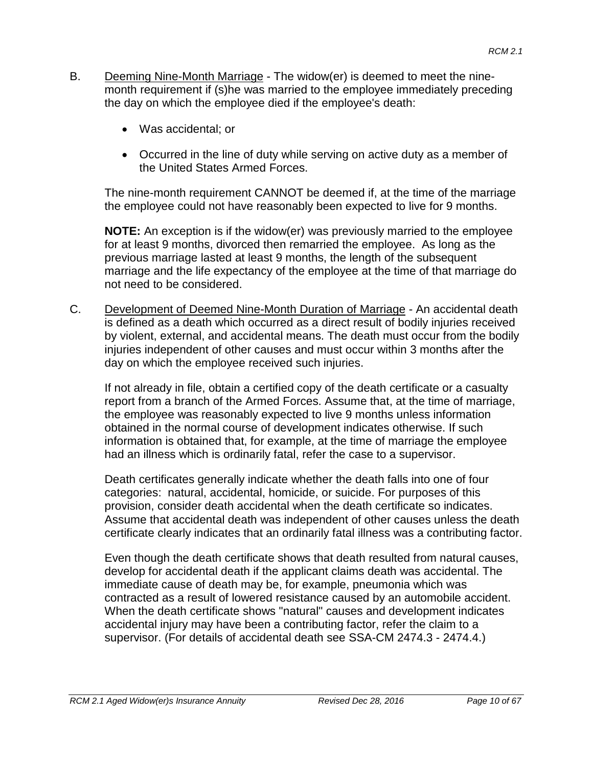- B. Deeming Nine-Month Marriage The widow(er) is deemed to meet the ninemonth requirement if (s)he was married to the employee immediately preceding the day on which the employee died if the employee's death:
	- Was accidental; or
	- Occurred in the line of duty while serving on active duty as a member of the United States Armed Forces.

The nine-month requirement CANNOT be deemed if, at the time of the marriage the employee could not have reasonably been expected to live for 9 months.

**NOTE:** An exception is if the widow(er) was previously married to the employee for at least 9 months, divorced then remarried the employee. As long as the previous marriage lasted at least 9 months, the length of the subsequent marriage and the life expectancy of the employee at the time of that marriage do not need to be considered.

C. Development of Deemed Nine-Month Duration of Marriage - An accidental death is defined as a death which occurred as a direct result of bodily injuries received by violent, external, and accidental means. The death must occur from the bodily injuries independent of other causes and must occur within 3 months after the day on which the employee received such injuries.

If not already in file, obtain a certified copy of the death certificate or a casualty report from a branch of the Armed Forces. Assume that, at the time of marriage, the employee was reasonably expected to live 9 months unless information obtained in the normal course of development indicates otherwise. If such information is obtained that, for example, at the time of marriage the employee had an illness which is ordinarily fatal, refer the case to a supervisor.

Death certificates generally indicate whether the death falls into one of four categories: natural, accidental, homicide, or suicide. For purposes of this provision, consider death accidental when the death certificate so indicates. Assume that accidental death was independent of other causes unless the death certificate clearly indicates that an ordinarily fatal illness was a contributing factor.

Even though the death certificate shows that death resulted from natural causes, develop for accidental death if the applicant claims death was accidental. The immediate cause of death may be, for example, pneumonia which was contracted as a result of lowered resistance caused by an automobile accident. When the death certificate shows "natural" causes and development indicates accidental injury may have been a contributing factor, refer the claim to a supervisor. (For details of accidental death see SSA-CM 2474.3 - 2474.4.)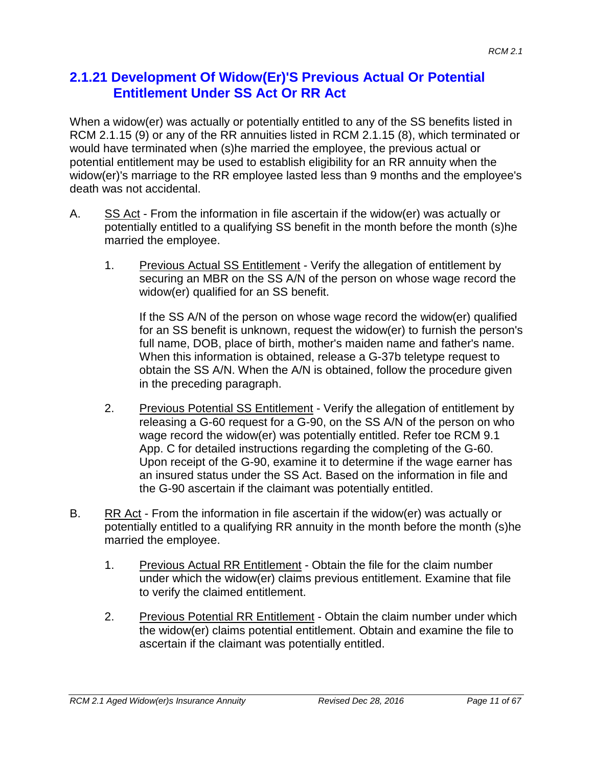### **2.1.21 Development Of Widow(Er)'S Previous Actual Or Potential Entitlement Under SS Act Or RR Act**

When a widow(er) was actually or potentially entitled to any of the SS benefits listed in RCM 2.1.15 (9) or any of the RR annuities listed in RCM 2.1.15 (8), which terminated or would have terminated when (s)he married the employee, the previous actual or potential entitlement may be used to establish eligibility for an RR annuity when the widow(er)'s marriage to the RR employee lasted less than 9 months and the employee's death was not accidental.

- A. SS Act From the information in file ascertain if the widow(er) was actually or potentially entitled to a qualifying SS benefit in the month before the month (s)he married the employee.
	- 1. Previous Actual SS Entitlement Verify the allegation of entitlement by securing an MBR on the SS A/N of the person on whose wage record the widow(er) qualified for an SS benefit.

If the SS A/N of the person on whose wage record the widow(er) qualified for an SS benefit is unknown, request the widow(er) to furnish the person's full name, DOB, place of birth, mother's maiden name and father's name. When this information is obtained, release a G-37b teletype request to obtain the SS A/N. When the A/N is obtained, follow the procedure given in the preceding paragraph.

- 2. Previous Potential SS Entitlement Verify the allegation of entitlement by releasing a G-60 request for a G-90, on the SS A/N of the person on who wage record the widow(er) was potentially entitled. Refer toe RCM 9.1 App. C for detailed instructions regarding the completing of the G-60. Upon receipt of the G-90, examine it to determine if the wage earner has an insured status under the SS Act. Based on the information in file and the G-90 ascertain if the claimant was potentially entitled.
- B. RR Act From the information in file ascertain if the widow(er) was actually or potentially entitled to a qualifying RR annuity in the month before the month (s)he married the employee.
	- 1. Previous Actual RR Entitlement Obtain the file for the claim number under which the widow(er) claims previous entitlement. Examine that file to verify the claimed entitlement.
	- 2. Previous Potential RR Entitlement Obtain the claim number under which the widow(er) claims potential entitlement. Obtain and examine the file to ascertain if the claimant was potentially entitled.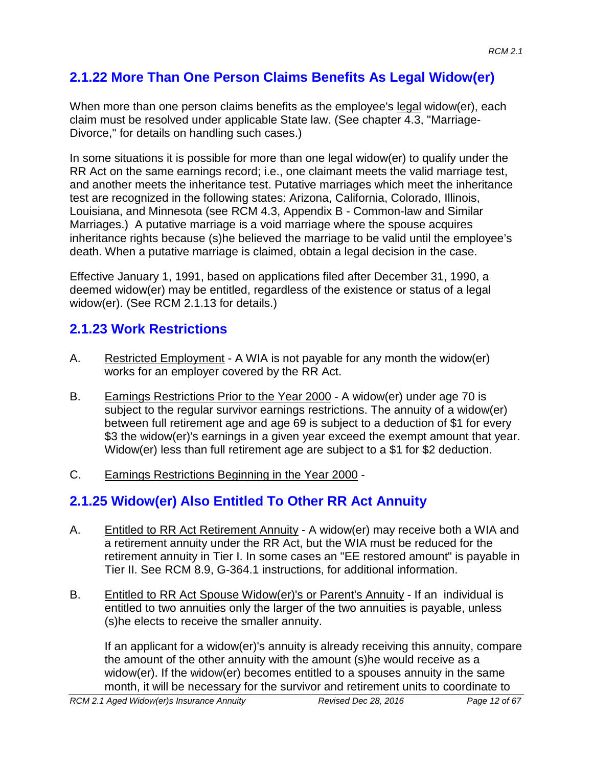# **2.1.22 More Than One Person Claims Benefits As Legal Widow(er)**

When more than one person claims benefits as the employee's legal widow(er), each claim must be resolved under applicable State law. (See chapter 4.3, "Marriage-Divorce," for details on handling such cases.)

In some situations it is possible for more than one legal widow(er) to qualify under the RR Act on the same earnings record; i.e., one claimant meets the valid marriage test, and another meets the inheritance test. Putative marriages which meet the inheritance test are recognized in the following states: Arizona, California, Colorado, Illinois, Louisiana, and Minnesota (see RCM 4.3, Appendix B - Common-law and Similar Marriages.) A putative marriage is a void marriage where the spouse acquires inheritance rights because (s)he believed the marriage to be valid until the employee's death. When a putative marriage is claimed, obtain a legal decision in the case.

Effective January 1, 1991, based on applications filed after December 31, 1990, a deemed widow(er) may be entitled, regardless of the existence or status of a legal widow(er). (See RCM 2.1.13 for details.)

# **2.1.23 Work Restrictions**

- A. Restricted Employment A WIA is not payable for any month the widow(er) works for an employer covered by the RR Act.
- B. Earnings Restrictions Prior to the Year 2000 A widow(er) under age 70 is subject to the regular survivor earnings restrictions. The annuity of a widow(er) between full retirement age and age 69 is subject to a deduction of \$1 for every \$3 the widow(er)'s earnings in a given year exceed the exempt amount that year. Widow(er) less than full retirement age are subject to a \$1 for \$2 deduction.
- C. Earnings Restrictions Beginning in the Year 2000 -

# **2.1.25 Widow(er) Also Entitled To Other RR Act Annuity**

- A. Entitled to RR Act Retirement Annuity A widow(er) may receive both a WIA and a retirement annuity under the RR Act, but the WIA must be reduced for the retirement annuity in Tier I. In some cases an "EE restored amount" is payable in Tier II. See RCM 8.9, G-364.1 instructions, for additional information.
- B. Entitled to RR Act Spouse Widow(er)'s or Parent's Annuity If an individual is entitled to two annuities only the larger of the two annuities is payable, unless (s)he elects to receive the smaller annuity.

If an applicant for a widow(er)'s annuity is already receiving this annuity, compare the amount of the other annuity with the amount (s)he would receive as a widow(er). If the widow(er) becomes entitled to a spouses annuity in the same month, it will be necessary for the survivor and retirement units to coordinate to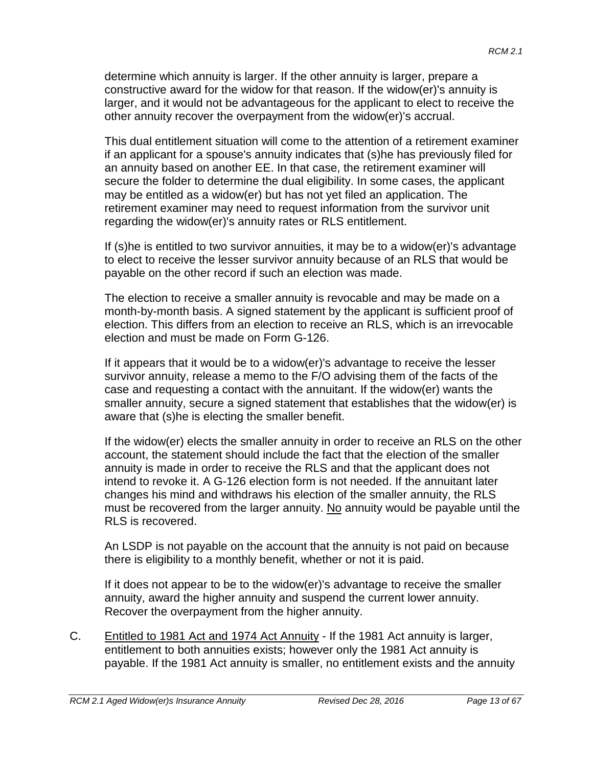determine which annuity is larger. If the other annuity is larger, prepare a constructive award for the widow for that reason. If the widow(er)'s annuity is larger, and it would not be advantageous for the applicant to elect to receive the other annuity recover the overpayment from the widow(er)'s accrual.

This dual entitlement situation will come to the attention of a retirement examiner if an applicant for a spouse's annuity indicates that (s)he has previously filed for an annuity based on another EE. In that case, the retirement examiner will secure the folder to determine the dual eligibility. In some cases, the applicant may be entitled as a widow(er) but has not yet filed an application. The retirement examiner may need to request information from the survivor unit regarding the widow(er)'s annuity rates or RLS entitlement.

If (s)he is entitled to two survivor annuities, it may be to a widow(er)'s advantage to elect to receive the lesser survivor annuity because of an RLS that would be payable on the other record if such an election was made.

The election to receive a smaller annuity is revocable and may be made on a month-by-month basis. A signed statement by the applicant is sufficient proof of election. This differs from an election to receive an RLS, which is an irrevocable election and must be made on Form G-126.

If it appears that it would be to a widow(er)'s advantage to receive the lesser survivor annuity, release a memo to the F/O advising them of the facts of the case and requesting a contact with the annuitant. If the widow(er) wants the smaller annuity, secure a signed statement that establishes that the widow(er) is aware that (s)he is electing the smaller benefit.

If the widow(er) elects the smaller annuity in order to receive an RLS on the other account, the statement should include the fact that the election of the smaller annuity is made in order to receive the RLS and that the applicant does not intend to revoke it. A G-126 election form is not needed. If the annuitant later changes his mind and withdraws his election of the smaller annuity, the RLS must be recovered from the larger annuity. No annuity would be payable until the RLS is recovered.

An LSDP is not payable on the account that the annuity is not paid on because there is eligibility to a monthly benefit, whether or not it is paid.

If it does not appear to be to the widow(er)'s advantage to receive the smaller annuity, award the higher annuity and suspend the current lower annuity. Recover the overpayment from the higher annuity.

C. Entitled to 1981 Act and 1974 Act Annuity - If the 1981 Act annuity is larger, entitlement to both annuities exists; however only the 1981 Act annuity is payable. If the 1981 Act annuity is smaller, no entitlement exists and the annuity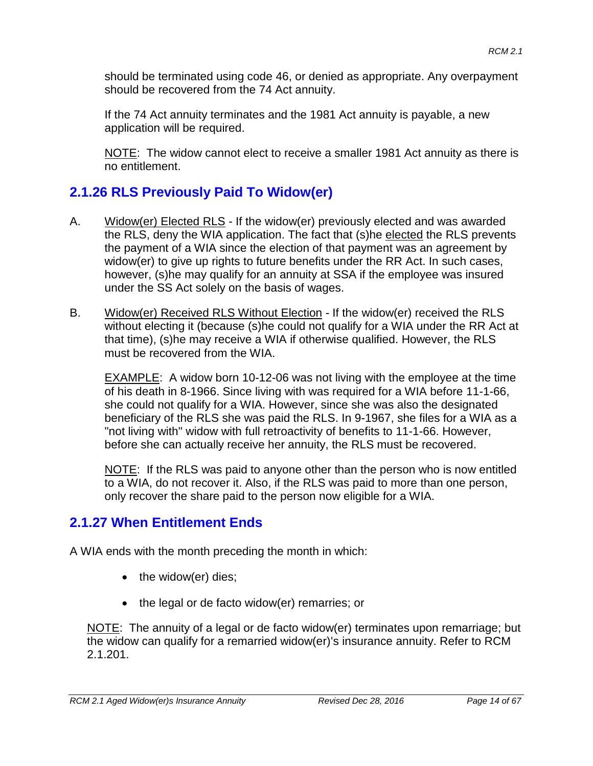should be terminated using code 46, or denied as appropriate. Any overpayment should be recovered from the 74 Act annuity.

If the 74 Act annuity terminates and the 1981 Act annuity is payable, a new application will be required.

NOTE: The widow cannot elect to receive a smaller 1981 Act annuity as there is no entitlement.

## **2.1.26 RLS Previously Paid To Widow(er)**

- A. Widow(er) Elected RLS If the widow(er) previously elected and was awarded the RLS, deny the WIA application. The fact that (s)he elected the RLS prevents the payment of a WIA since the election of that payment was an agreement by widow(er) to give up rights to future benefits under the RR Act. In such cases, however, (s)he may qualify for an annuity at SSA if the employee was insured under the SS Act solely on the basis of wages.
- B. Widow(er) Received RLS Without Election If the widow(er) received the RLS without electing it (because (s)he could not qualify for a WIA under the RR Act at that time), (s)he may receive a WIA if otherwise qualified. However, the RLS must be recovered from the WIA.

EXAMPLE: A widow born 10-12-06 was not living with the employee at the time of his death in 8-1966. Since living with was required for a WIA before 11-1-66, she could not qualify for a WIA. However, since she was also the designated beneficiary of the RLS she was paid the RLS. In 9-1967, she files for a WIA as a "not living with" widow with full retroactivity of benefits to 11-1-66. However, before she can actually receive her annuity, the RLS must be recovered.

NOTE: If the RLS was paid to anyone other than the person who is now entitled to a WIA, do not recover it. Also, if the RLS was paid to more than one person, only recover the share paid to the person now eligible for a WIA.

## **2.1.27 When Entitlement Ends**

A WIA ends with the month preceding the month in which:

- the widow(er) dies;
- the legal or de facto widow(er) remarries; or

NOTE: The annuity of a legal or de facto widow(er) terminates upon remarriage; but the widow can qualify for a remarried widow(er)'s insurance annuity. Refer to RCM 2.1.201.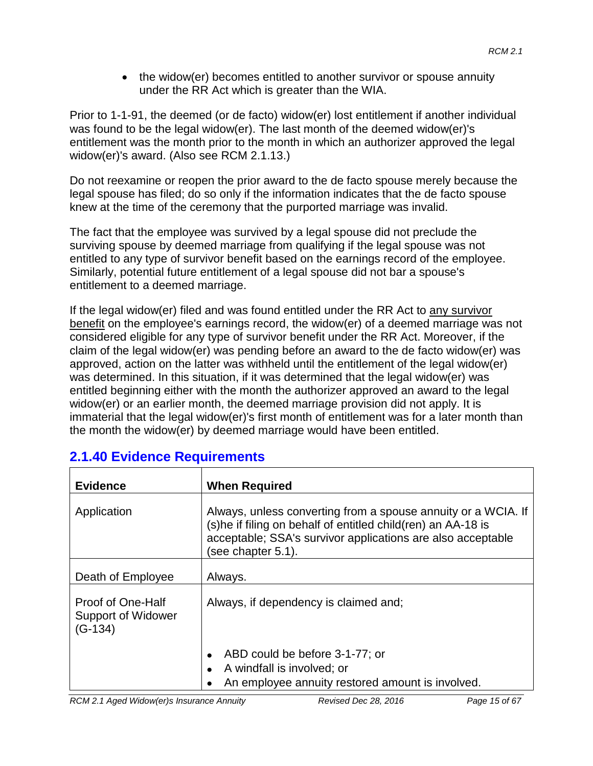• the widow(er) becomes entitled to another survivor or spouse annuity under the RR Act which is greater than the WIA.

Prior to 1-1-91, the deemed (or de facto) widow(er) lost entitlement if another individual was found to be the legal widow(er). The last month of the deemed widow(er)'s entitlement was the month prior to the month in which an authorizer approved the legal widow(er)'s award. (Also see RCM 2.1.13.)

Do not reexamine or reopen the prior award to the de facto spouse merely because the legal spouse has filed; do so only if the information indicates that the de facto spouse knew at the time of the ceremony that the purported marriage was invalid.

The fact that the employee was survived by a legal spouse did not preclude the surviving spouse by deemed marriage from qualifying if the legal spouse was not entitled to any type of survivor benefit based on the earnings record of the employee. Similarly, potential future entitlement of a legal spouse did not bar a spouse's entitlement to a deemed marriage.

If the legal widow(er) filed and was found entitled under the RR Act to any survivor benefit on the employee's earnings record, the widow(er) of a deemed marriage was not considered eligible for any type of survivor benefit under the RR Act. Moreover, if the claim of the legal widow(er) was pending before an award to the de facto widow(er) was approved, action on the latter was withheld until the entitlement of the legal widow(er) was determined. In this situation, if it was determined that the legal widow(er) was entitled beginning either with the month the authorizer approved an award to the legal widow(er) or an earlier month, the deemed marriage provision did not apply. It is immaterial that the legal widow(er)'s first month of entitlement was for a later month than the month the widow(er) by deemed marriage would have been entitled.

| <b>Evidence</b>                                             | <b>When Required</b>                                                                                                                                                                                                 |  |
|-------------------------------------------------------------|----------------------------------------------------------------------------------------------------------------------------------------------------------------------------------------------------------------------|--|
| Application                                                 | Always, unless converting from a spouse annuity or a WCIA. If<br>(s) he if filing on behalf of entitled child (ren) an AA-18 is<br>acceptable; SSA's survivor applications are also acceptable<br>(see chapter 5.1). |  |
| Death of Employee                                           | Always.                                                                                                                                                                                                              |  |
| Proof of One-Half<br><b>Support of Widower</b><br>$(G-134)$ | Always, if dependency is claimed and;                                                                                                                                                                                |  |
|                                                             | ABD could be before 3-1-77; or<br>A windfall is involved; or<br>An employee annuity restored amount is involved.                                                                                                     |  |

# **2.1.40 Evidence Requirements**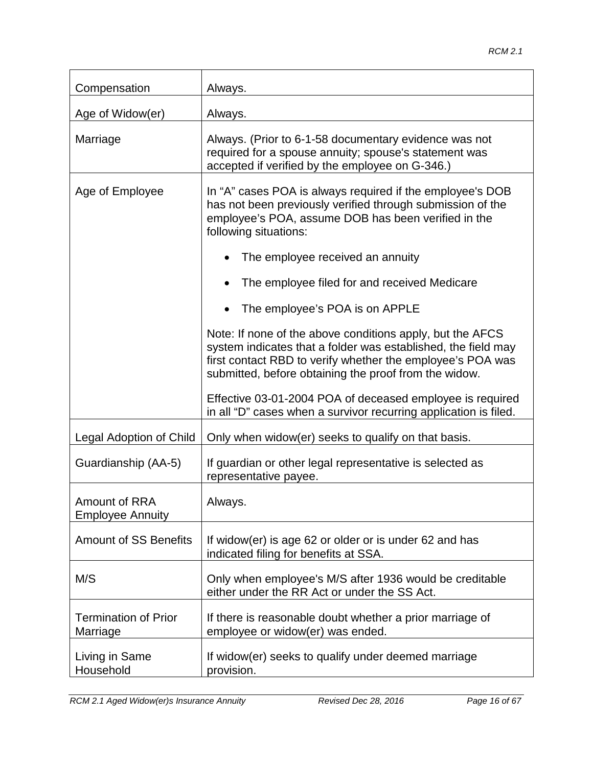| Compensation                             | Always.                                                                                                                                                                                                                                           |
|------------------------------------------|---------------------------------------------------------------------------------------------------------------------------------------------------------------------------------------------------------------------------------------------------|
| Age of Widow(er)                         | Always.                                                                                                                                                                                                                                           |
| Marriage                                 | Always. (Prior to 6-1-58 documentary evidence was not<br>required for a spouse annuity; spouse's statement was<br>accepted if verified by the employee on G-346.)                                                                                 |
| Age of Employee                          | In "A" cases POA is always required if the employee's DOB<br>has not been previously verified through submission of the<br>employee's POA, assume DOB has been verified in the<br>following situations:                                           |
|                                          | The employee received an annuity                                                                                                                                                                                                                  |
|                                          | The employee filed for and received Medicare                                                                                                                                                                                                      |
|                                          | The employee's POA is on APPLE                                                                                                                                                                                                                    |
|                                          | Note: If none of the above conditions apply, but the AFCS<br>system indicates that a folder was established, the field may<br>first contact RBD to verify whether the employee's POA was<br>submitted, before obtaining the proof from the widow. |
|                                          | Effective 03-01-2004 POA of deceased employee is required<br>in all "D" cases when a survivor recurring application is filed.                                                                                                                     |
| Legal Adoption of Child                  | Only when widow(er) seeks to qualify on that basis.                                                                                                                                                                                               |
| Guardianship (AA-5)                      | If guardian or other legal representative is selected as<br>representative payee.                                                                                                                                                                 |
| Amount of RRA<br><b>Employee Annuity</b> | Always.                                                                                                                                                                                                                                           |
| <b>Amount of SS Benefits</b>             | If widow(er) is age 62 or older or is under 62 and has<br>indicated filing for benefits at SSA.                                                                                                                                                   |
| M/S                                      | Only when employee's M/S after 1936 would be creditable<br>either under the RR Act or under the SS Act.                                                                                                                                           |
| <b>Termination of Prior</b><br>Marriage  | If there is reasonable doubt whether a prior marriage of<br>employee or widow(er) was ended.                                                                                                                                                      |
| Living in Same<br>Household              | If widow(er) seeks to qualify under deemed marriage<br>provision.                                                                                                                                                                                 |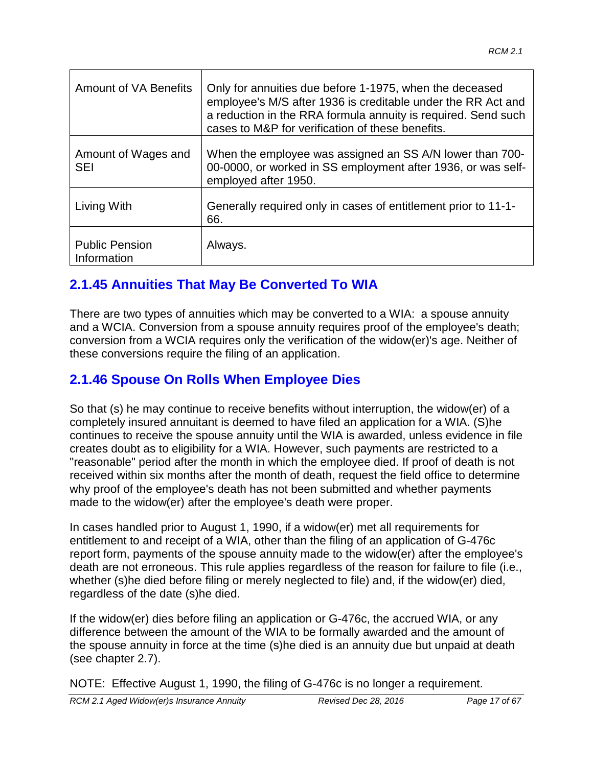| <b>Amount of VA Benefits</b>         | Only for annuities due before 1-1975, when the deceased<br>employee's M/S after 1936 is creditable under the RR Act and<br>a reduction in the RRA formula annuity is required. Send such<br>cases to M&P for verification of these benefits. |
|--------------------------------------|----------------------------------------------------------------------------------------------------------------------------------------------------------------------------------------------------------------------------------------------|
| Amount of Wages and<br><b>SEI</b>    | When the employee was assigned an SS A/N lower than 700-<br>00-0000, or worked in SS employment after 1936, or was self-<br>employed after 1950.                                                                                             |
| Living With                          | Generally required only in cases of entitlement prior to 11-1-<br>66.                                                                                                                                                                        |
| <b>Public Pension</b><br>Information | Always.                                                                                                                                                                                                                                      |

# **2.1.45 Annuities That May Be Converted To WIA**

There are two types of annuities which may be converted to a WIA: a spouse annuity and a WCIA. Conversion from a spouse annuity requires proof of the employee's death; conversion from a WCIA requires only the verification of the widow(er)'s age. Neither of these conversions require the filing of an application.

# **2.1.46 Spouse On Rolls When Employee Dies**

So that (s) he may continue to receive benefits without interruption, the widow(er) of a completely insured annuitant is deemed to have filed an application for a WIA. (S)he continues to receive the spouse annuity until the WIA is awarded, unless evidence in file creates doubt as to eligibility for a WIA. However, such payments are restricted to a "reasonable" period after the month in which the employee died. If proof of death is not received within six months after the month of death, request the field office to determine why proof of the employee's death has not been submitted and whether payments made to the widow(er) after the employee's death were proper.

In cases handled prior to August 1, 1990, if a widow(er) met all requirements for entitlement to and receipt of a WIA, other than the filing of an application of G-476c report form, payments of the spouse annuity made to the widow(er) after the employee's death are not erroneous. This rule applies regardless of the reason for failure to file (i.e., whether (s)he died before filing or merely neglected to file) and, if the widow(er) died, regardless of the date (s)he died.

If the widow(er) dies before filing an application or G-476c, the accrued WIA, or any difference between the amount of the WIA to be formally awarded and the amount of the spouse annuity in force at the time (s)he died is an annuity due but unpaid at death (see chapter 2.7).

NOTE: Effective August 1, 1990, the filing of G-476c is no longer a requirement.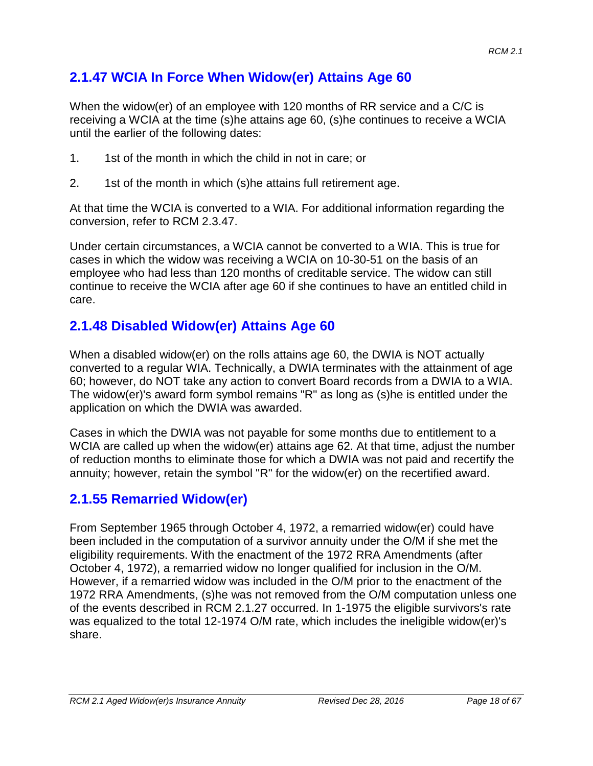## **2.1.47 WCIA In Force When Widow(er) Attains Age 60**

When the widow(er) of an employee with 120 months of RR service and a C/C is receiving a WCIA at the time (s)he attains age 60, (s)he continues to receive a WCIA until the earlier of the following dates:

- 1. 1st of the month in which the child in not in care; or
- 2. 1st of the month in which (s)he attains full retirement age.

At that time the WCIA is converted to a WIA. For additional information regarding the conversion, refer to RCM 2.3.47.

Under certain circumstances, a WCIA cannot be converted to a WIA. This is true for cases in which the widow was receiving a WCIA on 10-30-51 on the basis of an employee who had less than 120 months of creditable service. The widow can still continue to receive the WCIA after age 60 if she continues to have an entitled child in care.

# **2.1.48 Disabled Widow(er) Attains Age 60**

When a disabled widow(er) on the rolls attains age 60, the DWIA is NOT actually converted to a regular WIA. Technically, a DWIA terminates with the attainment of age 60; however, do NOT take any action to convert Board records from a DWIA to a WIA. The widow(er)'s award form symbol remains "R" as long as (s)he is entitled under the application on which the DWIA was awarded.

Cases in which the DWIA was not payable for some months due to entitlement to a WCIA are called up when the widow(er) attains age 62. At that time, adjust the number of reduction months to eliminate those for which a DWIA was not paid and recertify the annuity; however, retain the symbol "R" for the widow(er) on the recertified award.

## **2.1.55 Remarried Widow(er)**

From September 1965 through October 4, 1972, a remarried widow(er) could have been included in the computation of a survivor annuity under the O/M if she met the eligibility requirements. With the enactment of the 1972 RRA Amendments (after October 4, 1972), a remarried widow no longer qualified for inclusion in the O/M. However, if a remarried widow was included in the O/M prior to the enactment of the 1972 RRA Amendments, (s)he was not removed from the O/M computation unless one of the events described in RCM 2.1.27 occurred. In 1-1975 the eligible survivors's rate was equalized to the total 12-1974 O/M rate, which includes the ineligible widow(er)'s share.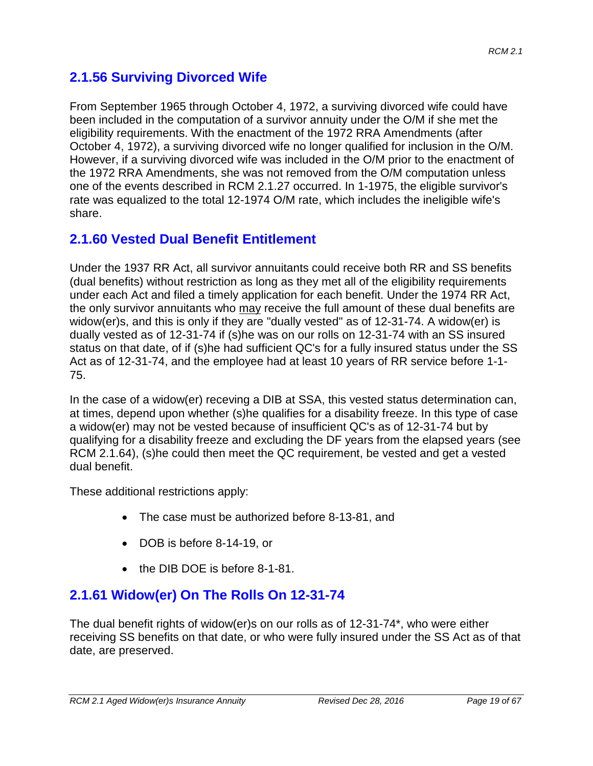## **2.1.56 Surviving Divorced Wife**

From September 1965 through October 4, 1972, a surviving divorced wife could have been included in the computation of a survivor annuity under the O/M if she met the eligibility requirements. With the enactment of the 1972 RRA Amendments (after October 4, 1972), a surviving divorced wife no longer qualified for inclusion in the O/M. However, if a surviving divorced wife was included in the O/M prior to the enactment of the 1972 RRA Amendments, she was not removed from the O/M computation unless one of the events described in RCM 2.1.27 occurred. In 1-1975, the eligible survivor's rate was equalized to the total 12-1974 O/M rate, which includes the ineligible wife's share.

# **2.1.60 Vested Dual Benefit Entitlement**

Under the 1937 RR Act, all survivor annuitants could receive both RR and SS benefits (dual benefits) without restriction as long as they met all of the eligibility requirements under each Act and filed a timely application for each benefit. Under the 1974 RR Act, the only survivor annuitants who may receive the full amount of these dual benefits are widow(er)s, and this is only if they are "dually vested" as of 12-31-74. A widow(er) is dually vested as of 12-31-74 if (s)he was on our rolls on 12-31-74 with an SS insured status on that date, of if (s)he had sufficient QC's for a fully insured status under the SS Act as of 12-31-74, and the employee had at least 10 years of RR service before 1-1- 75.

In the case of a widow(er) receving a DIB at SSA, this vested status determination can, at times, depend upon whether (s)he qualifies for a disability freeze. In this type of case a widow(er) may not be vested because of insufficient QC's as of 12-31-74 but by qualifying for a disability freeze and excluding the DF years from the elapsed years (see RCM 2.1.64), (s)he could then meet the QC requirement, be vested and get a vested dual benefit.

These additional restrictions apply:

- The case must be authorized before 8-13-81, and
- DOB is before 8-14-19, or
- the DIB DOE is before 8-1-81.

# **2.1.61 Widow(er) On The Rolls On 12-31-74**

The dual benefit rights of widow(er)s on our rolls as of 12-31-74\*, who were either receiving SS benefits on that date, or who were fully insured under the SS Act as of that date, are preserved.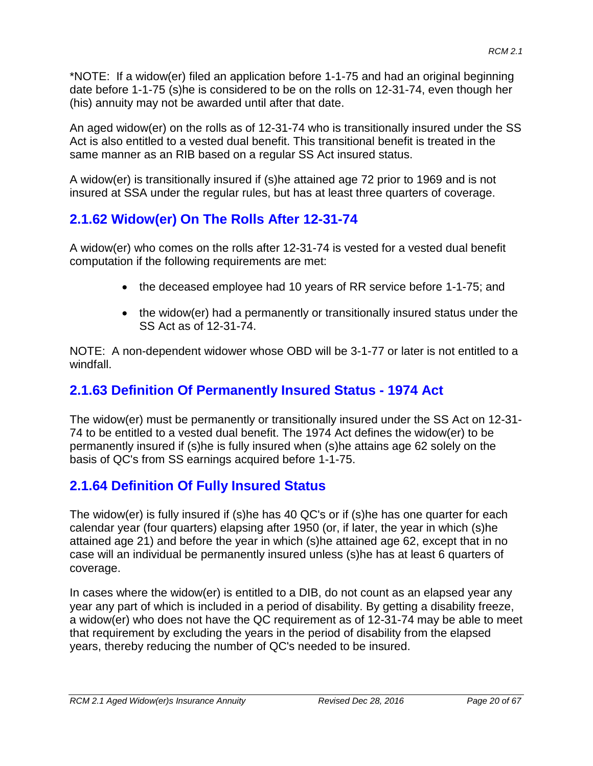\*NOTE: If a widow(er) filed an application before 1-1-75 and had an original beginning date before 1-1-75 (s)he is considered to be on the rolls on 12-31-74, even though her (his) annuity may not be awarded until after that date.

An aged widow(er) on the rolls as of 12-31-74 who is transitionally insured under the SS Act is also entitled to a vested dual benefit. This transitional benefit is treated in the same manner as an RIB based on a regular SS Act insured status.

A widow(er) is transitionally insured if (s)he attained age 72 prior to 1969 and is not insured at SSA under the regular rules, but has at least three quarters of coverage.

# **2.1.62 Widow(er) On The Rolls After 12-31-74**

A widow(er) who comes on the rolls after 12-31-74 is vested for a vested dual benefit computation if the following requirements are met:

- the deceased employee had 10 years of RR service before 1-1-75; and
- the widow(er) had a permanently or transitionally insured status under the SS Act as of 12-31-74.

NOTE: A non-dependent widower whose OBD will be 3-1-77 or later is not entitled to a windfall.

# **2.1.63 Definition Of Permanently Insured Status - 1974 Act**

The widow(er) must be permanently or transitionally insured under the SS Act on 12-31- 74 to be entitled to a vested dual benefit. The 1974 Act defines the widow(er) to be permanently insured if (s)he is fully insured when (s)he attains age 62 solely on the basis of QC's from SS earnings acquired before 1-1-75.

# **2.1.64 Definition Of Fully Insured Status**

The widow(er) is fully insured if (s)he has 40 QC's or if (s)he has one quarter for each calendar year (four quarters) elapsing after 1950 (or, if later, the year in which (s)he attained age 21) and before the year in which (s)he attained age 62, except that in no case will an individual be permanently insured unless (s)he has at least 6 quarters of coverage.

In cases where the widow(er) is entitled to a DIB, do not count as an elapsed year any year any part of which is included in a period of disability. By getting a disability freeze, a widow(er) who does not have the QC requirement as of 12-31-74 may be able to meet that requirement by excluding the years in the period of disability from the elapsed years, thereby reducing the number of QC's needed to be insured.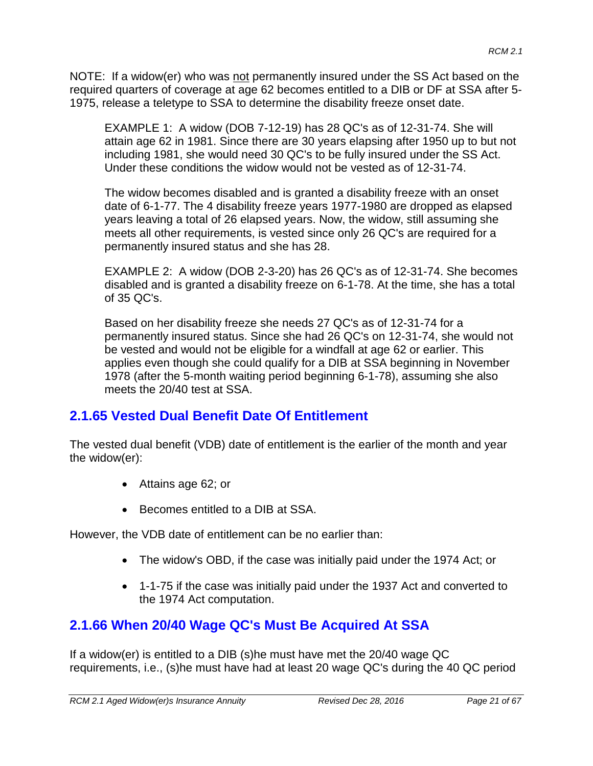NOTE: If a widow(er) who was not permanently insured under the SS Act based on the required quarters of coverage at age 62 becomes entitled to a DIB or DF at SSA after 5- 1975, release a teletype to SSA to determine the disability freeze onset date.

EXAMPLE 1: A widow (DOB 7-12-19) has 28 QC's as of 12-31-74. She will attain age 62 in 1981. Since there are 30 years elapsing after 1950 up to but not including 1981, she would need 30 QC's to be fully insured under the SS Act. Under these conditions the widow would not be vested as of 12-31-74.

The widow becomes disabled and is granted a disability freeze with an onset date of 6-1-77. The 4 disability freeze years 1977-1980 are dropped as elapsed years leaving a total of 26 elapsed years. Now, the widow, still assuming she meets all other requirements, is vested since only 26 QC's are required for a permanently insured status and she has 28.

EXAMPLE 2: A widow (DOB 2-3-20) has 26 QC's as of 12-31-74. She becomes disabled and is granted a disability freeze on 6-1-78. At the time, she has a total of 35 QC's.

Based on her disability freeze she needs 27 QC's as of 12-31-74 for a permanently insured status. Since she had 26 QC's on 12-31-74, she would not be vested and would not be eligible for a windfall at age 62 or earlier. This applies even though she could qualify for a DIB at SSA beginning in November 1978 (after the 5-month waiting period beginning 6-1-78), assuming she also meets the 20/40 test at SSA.

### **2.1.65 Vested Dual Benefit Date Of Entitlement**

The vested dual benefit (VDB) date of entitlement is the earlier of the month and year the widow(er):

- Attains age 62; or
- Becomes entitled to a DIB at SSA.

However, the VDB date of entitlement can be no earlier than:

- The widow's OBD, if the case was initially paid under the 1974 Act; or
- 1-1-75 if the case was initially paid under the 1937 Act and converted to the 1974 Act computation.

## **2.1.66 When 20/40 Wage QC's Must Be Acquired At SSA**

If a widow(er) is entitled to a DIB (s)he must have met the 20/40 wage QC requirements, i.e., (s)he must have had at least 20 wage QC's during the 40 QC period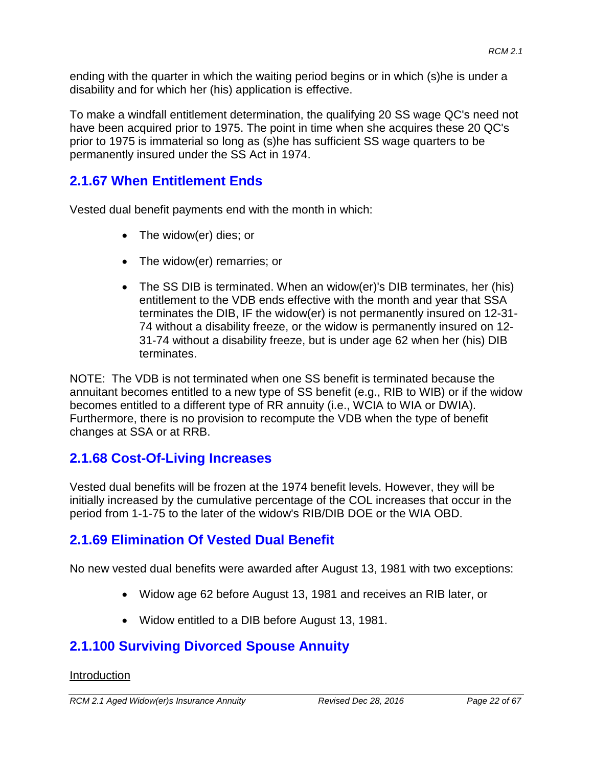ending with the quarter in which the waiting period begins or in which (s)he is under a disability and for which her (his) application is effective.

To make a windfall entitlement determination, the qualifying 20 SS wage QC's need not have been acquired prior to 1975. The point in time when she acquires these 20 QC's prior to 1975 is immaterial so long as (s)he has sufficient SS wage quarters to be permanently insured under the SS Act in 1974.

### **2.1.67 When Entitlement Ends**

Vested dual benefit payments end with the month in which:

- The widow(er) dies; or
- The widow(er) remarries; or
- The SS DIB is terminated. When an widow(er)'s DIB terminates, her (his) entitlement to the VDB ends effective with the month and year that SSA terminates the DIB, IF the widow(er) is not permanently insured on 12-31- 74 without a disability freeze, or the widow is permanently insured on 12- 31-74 without a disability freeze, but is under age 62 when her (his) DIB terminates.

NOTE: The VDB is not terminated when one SS benefit is terminated because the annuitant becomes entitled to a new type of SS benefit (e.g., RIB to WIB) or if the widow becomes entitled to a different type of RR annuity (i.e., WCIA to WIA or DWIA). Furthermore, there is no provision to recompute the VDB when the type of benefit changes at SSA or at RRB.

### **2.1.68 Cost-Of-Living Increases**

Vested dual benefits will be frozen at the 1974 benefit levels. However, they will be initially increased by the cumulative percentage of the COL increases that occur in the period from 1-1-75 to the later of the widow's RIB/DIB DOE or the WIA OBD.

### **2.1.69 Elimination Of Vested Dual Benefit**

No new vested dual benefits were awarded after August 13, 1981 with two exceptions:

- Widow age 62 before August 13, 1981 and receives an RIB later, or
- Widow entitled to a DIB before August 13, 1981.

## **2.1.100 Surviving Divorced Spouse Annuity**

#### Introduction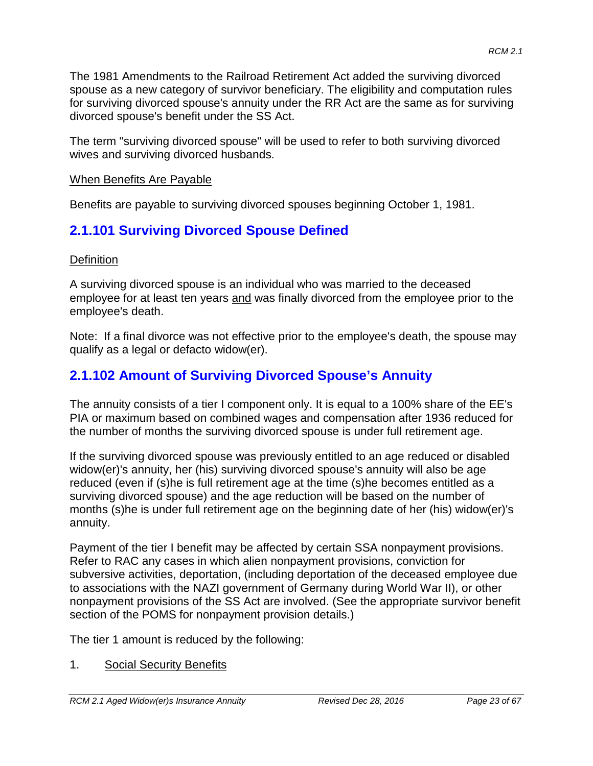The 1981 Amendments to the Railroad Retirement Act added the surviving divorced spouse as a new category of survivor beneficiary. The eligibility and computation rules for surviving divorced spouse's annuity under the RR Act are the same as for surviving divorced spouse's benefit under the SS Act.

The term "surviving divorced spouse" will be used to refer to both surviving divorced wives and surviving divorced husbands.

### When Benefits Are Payable

Benefits are payable to surviving divorced spouses beginning October 1, 1981.

# **2.1.101 Surviving Divorced Spouse Defined**

#### **Definition**

A surviving divorced spouse is an individual who was married to the deceased employee for at least ten years and was finally divorced from the employee prior to the employee's death.

Note: If a final divorce was not effective prior to the employee's death, the spouse may qualify as a legal or defacto widow(er).

# **2.1.102 Amount of Surviving Divorced Spouse's Annuity**

The annuity consists of a tier I component only. It is equal to a 100% share of the EE's PIA or maximum based on combined wages and compensation after 1936 reduced for the number of months the surviving divorced spouse is under full retirement age.

If the surviving divorced spouse was previously entitled to an age reduced or disabled widow(er)'s annuity, her (his) surviving divorced spouse's annuity will also be age reduced (even if (s)he is full retirement age at the time (s)he becomes entitled as a surviving divorced spouse) and the age reduction will be based on the number of months (s)he is under full retirement age on the beginning date of her (his) widow(er)'s annuity.

Payment of the tier I benefit may be affected by certain SSA nonpayment provisions. Refer to RAC any cases in which alien nonpayment provisions, conviction for subversive activities, deportation, (including deportation of the deceased employee due to associations with the NAZI government of Germany during World War II), or other nonpayment provisions of the SS Act are involved. (See the appropriate survivor benefit section of the POMS for nonpayment provision details.)

The tier 1 amount is reduced by the following:

1. Social Security Benefits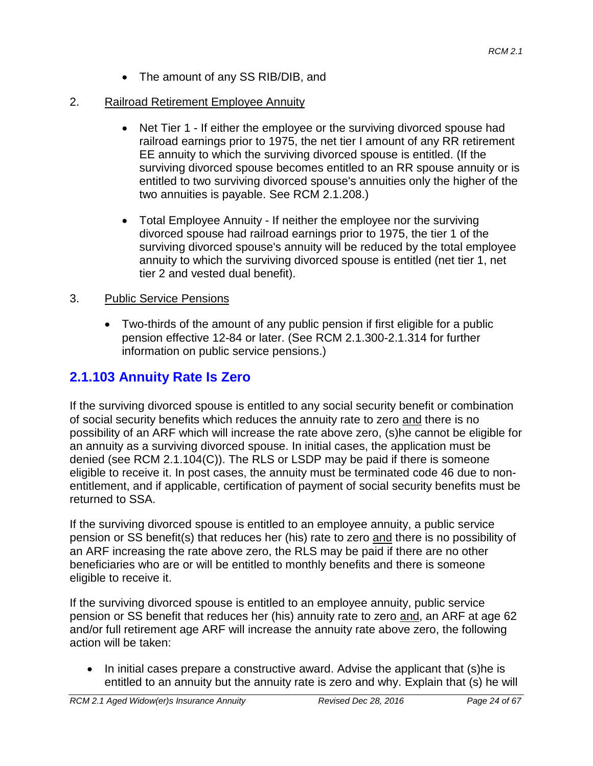• The amount of any SS RIB/DIB, and

### 2. Railroad Retirement Employee Annuity

- Net Tier 1 If either the employee or the surviving divorced spouse had railroad earnings prior to 1975, the net tier I amount of any RR retirement EE annuity to which the surviving divorced spouse is entitled. (If the surviving divorced spouse becomes entitled to an RR spouse annuity or is entitled to two surviving divorced spouse's annuities only the higher of the two annuities is payable. See RCM 2.1.208.)
- Total Employee Annuity If neither the employee nor the surviving divorced spouse had railroad earnings prior to 1975, the tier 1 of the surviving divorced spouse's annuity will be reduced by the total employee annuity to which the surviving divorced spouse is entitled (net tier 1, net tier 2 and vested dual benefit).

### 3. Public Service Pensions

• Two-thirds of the amount of any public pension if first eligible for a public pension effective 12-84 or later. (See RCM 2.1.300-2.1.314 for further information on public service pensions.)

# **2.1.103 Annuity Rate Is Zero**

If the surviving divorced spouse is entitled to any social security benefit or combination of social security benefits which reduces the annuity rate to zero and there is no possibility of an ARF which will increase the rate above zero, (s)he cannot be eligible for an annuity as a surviving divorced spouse. In initial cases, the application must be denied (see RCM 2.1.104(C)). The RLS or LSDP may be paid if there is someone eligible to receive it. In post cases, the annuity must be terminated code 46 due to nonentitlement, and if applicable, certification of payment of social security benefits must be returned to SSA.

If the surviving divorced spouse is entitled to an employee annuity, a public service pension or SS benefit(s) that reduces her (his) rate to zero and there is no possibility of an ARF increasing the rate above zero, the RLS may be paid if there are no other beneficiaries who are or will be entitled to monthly benefits and there is someone eligible to receive it.

If the surviving divorced spouse is entitled to an employee annuity, public service pension or SS benefit that reduces her (his) annuity rate to zero and, an ARF at age 62 and/or full retirement age ARF will increase the annuity rate above zero, the following action will be taken:

• In initial cases prepare a constructive award. Advise the applicant that (s)he is entitled to an annuity but the annuity rate is zero and why. Explain that (s) he will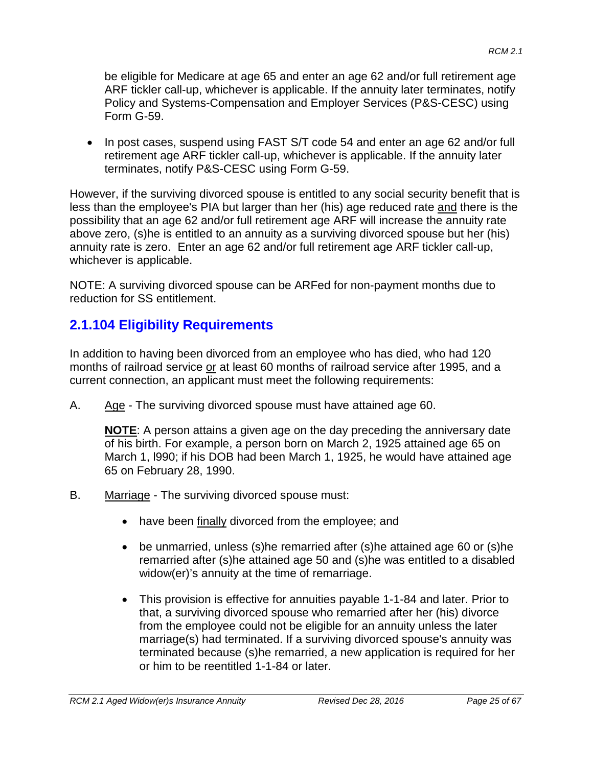be eligible for Medicare at age 65 and enter an age 62 and/or full retirement age ARF tickler call-up, whichever is applicable. If the annuity later terminates, notify Policy and Systems-Compensation and Employer Services (P&S-CESC) using Form G-59.

• In post cases, suspend using FAST S/T code 54 and enter an age 62 and/or full retirement age ARF tickler call-up, whichever is applicable. If the annuity later terminates, notify P&S-CESC using Form G-59.

However, if the surviving divorced spouse is entitled to any social security benefit that is less than the employee's PIA but larger than her (his) age reduced rate and there is the possibility that an age 62 and/or full retirement age ARF will increase the annuity rate above zero, (s)he is entitled to an annuity as a surviving divorced spouse but her (his) annuity rate is zero. Enter an age 62 and/or full retirement age ARF tickler call-up, whichever is applicable.

NOTE: A surviving divorced spouse can be ARFed for non-payment months due to reduction for SS entitlement.

# **2.1.104 Eligibility Requirements**

In addition to having been divorced from an employee who has died, who had 120 months of railroad service or at least 60 months of railroad service after 1995, and a current connection, an applicant must meet the following requirements:

A. Age - The surviving divorced spouse must have attained age 60.

**NOTE**: A person attains a given age on the day preceding the anniversary date of his birth. For example, a person born on March 2, 1925 attained age 65 on March 1, l990; if his DOB had been March 1, 1925, he would have attained age 65 on February 28, 1990.

- B. Marriage The surviving divorced spouse must:
	- have been finally divorced from the employee; and
	- be unmarried, unless (s)he remarried after (s)he attained age 60 or (s)he remarried after (s)he attained age 50 and (s)he was entitled to a disabled widow(er)'s annuity at the time of remarriage.
	- This provision is effective for annuities payable 1-1-84 and later. Prior to that, a surviving divorced spouse who remarried after her (his) divorce from the employee could not be eligible for an annuity unless the later marriage(s) had terminated. If a surviving divorced spouse's annuity was terminated because (s)he remarried, a new application is required for her or him to be reentitled 1-1-84 or later.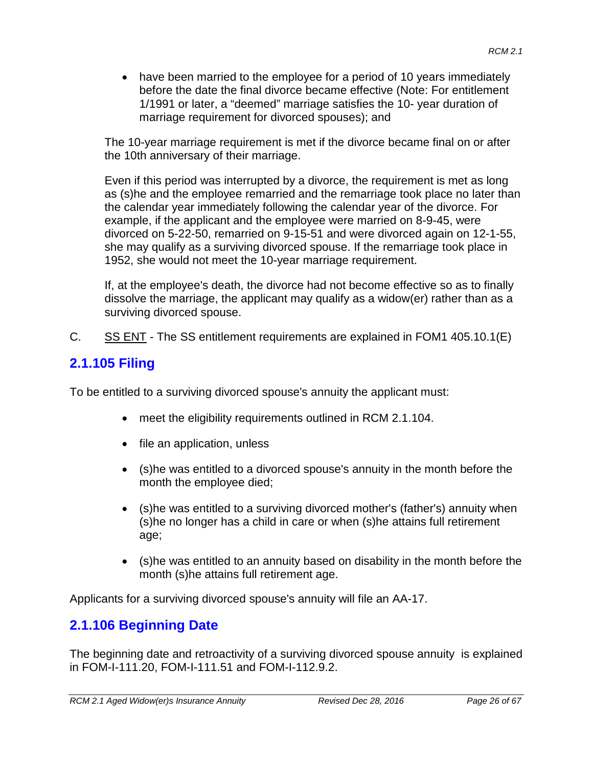• have been married to the employee for a period of 10 years immediately before the date the final divorce became effective (Note: For entitlement 1/1991 or later, a "deemed" marriage satisfies the 10- year duration of marriage requirement for divorced spouses); and

The 10-year marriage requirement is met if the divorce became final on or after the 10th anniversary of their marriage.

Even if this period was interrupted by a divorce, the requirement is met as long as (s)he and the employee remarried and the remarriage took place no later than the calendar year immediately following the calendar year of the divorce. For example, if the applicant and the employee were married on 8-9-45, were divorced on 5-22-50, remarried on 9-15-51 and were divorced again on 12-1-55, she may qualify as a surviving divorced spouse. If the remarriage took place in 1952, she would not meet the 10-year marriage requirement.

If, at the employee's death, the divorce had not become effective so as to finally dissolve the marriage, the applicant may qualify as a widow(er) rather than as a surviving divorced spouse.

C. SS ENT - The SS entitlement requirements are explained in FOM1 405.10.1(E)

# **2.1.105 Filing**

To be entitled to a surviving divorced spouse's annuity the applicant must:

- meet the eligibility requirements outlined in RCM 2.1.104.
- file an application, unless
- (s)he was entitled to a divorced spouse's annuity in the month before the month the employee died;
- (s)he was entitled to a surviving divorced mother's (father's) annuity when (s)he no longer has a child in care or when (s)he attains full retirement age;
- (s)he was entitled to an annuity based on disability in the month before the month (s)he attains full retirement age.

Applicants for a surviving divorced spouse's annuity will file an AA-17.

## **2.1.106 Beginning Date**

The beginning date and retroactivity of a surviving divorced spouse annuity is explained in FOM-I-111.20, FOM-I-111.51 and FOM-I-112.9.2.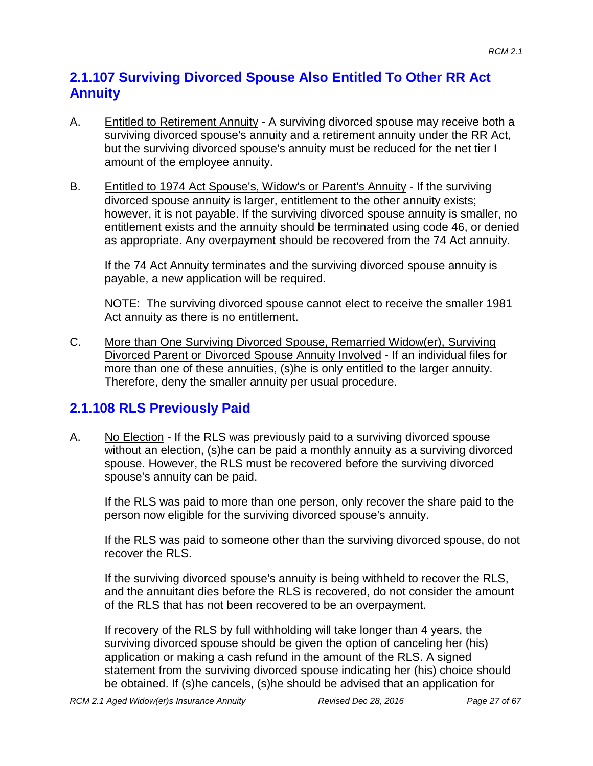## **2.1.107 Surviving Divorced Spouse Also Entitled To Other RR Act Annuity**

- A. Entitled to Retirement Annuity A surviving divorced spouse may receive both a surviving divorced spouse's annuity and a retirement annuity under the RR Act, but the surviving divorced spouse's annuity must be reduced for the net tier I amount of the employee annuity.
- B. Entitled to 1974 Act Spouse's, Widow's or Parent's Annuity If the surviving divorced spouse annuity is larger, entitlement to the other annuity exists; however, it is not payable. If the surviving divorced spouse annuity is smaller, no entitlement exists and the annuity should be terminated using code 46, or denied as appropriate. Any overpayment should be recovered from the 74 Act annuity.

If the 74 Act Annuity terminates and the surviving divorced spouse annuity is payable, a new application will be required.

NOTE: The surviving divorced spouse cannot elect to receive the smaller 1981 Act annuity as there is no entitlement.

C. More than One Surviving Divorced Spouse, Remarried Widow(er), Surviving Divorced Parent or Divorced Spouse Annuity Involved - If an individual files for more than one of these annuities, (s)he is only entitled to the larger annuity. Therefore, deny the smaller annuity per usual procedure.

# **2.1.108 RLS Previously Paid**

A. No Election - If the RLS was previously paid to a surviving divorced spouse without an election, (s)he can be paid a monthly annuity as a surviving divorced spouse. However, the RLS must be recovered before the surviving divorced spouse's annuity can be paid.

If the RLS was paid to more than one person, only recover the share paid to the person now eligible for the surviving divorced spouse's annuity.

If the RLS was paid to someone other than the surviving divorced spouse, do not recover the RLS.

If the surviving divorced spouse's annuity is being withheld to recover the RLS, and the annuitant dies before the RLS is recovered, do not consider the amount of the RLS that has not been recovered to be an overpayment.

If recovery of the RLS by full withholding will take longer than 4 years, the surviving divorced spouse should be given the option of canceling her (his) application or making a cash refund in the amount of the RLS. A signed statement from the surviving divorced spouse indicating her (his) choice should be obtained. If (s)he cancels, (s)he should be advised that an application for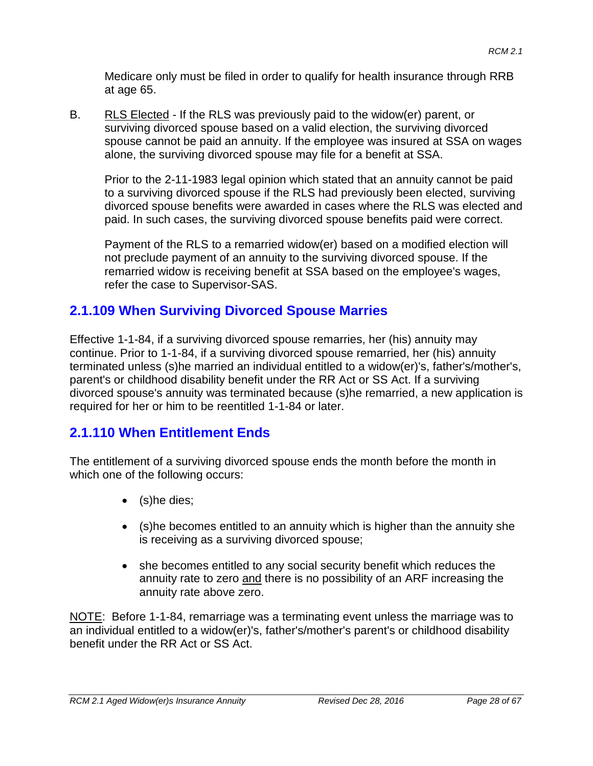Medicare only must be filed in order to qualify for health insurance through RRB at age 65.

B. RLS Elected - If the RLS was previously paid to the widow(er) parent, or surviving divorced spouse based on a valid election, the surviving divorced spouse cannot be paid an annuity. If the employee was insured at SSA on wages alone, the surviving divorced spouse may file for a benefit at SSA.

Prior to the 2-11-1983 legal opinion which stated that an annuity cannot be paid to a surviving divorced spouse if the RLS had previously been elected, surviving divorced spouse benefits were awarded in cases where the RLS was elected and paid. In such cases, the surviving divorced spouse benefits paid were correct.

Payment of the RLS to a remarried widow(er) based on a modified election will not preclude payment of an annuity to the surviving divorced spouse. If the remarried widow is receiving benefit at SSA based on the employee's wages, refer the case to Supervisor-SAS.

# **2.1.109 When Surviving Divorced Spouse Marries**

Effective 1-1-84, if a surviving divorced spouse remarries, her (his) annuity may continue. Prior to 1-1-84, if a surviving divorced spouse remarried, her (his) annuity terminated unless (s)he married an individual entitled to a widow(er)'s, father's/mother's, parent's or childhood disability benefit under the RR Act or SS Act. If a surviving divorced spouse's annuity was terminated because (s)he remarried, a new application is required for her or him to be reentitled 1-1-84 or later.

# **2.1.110 When Entitlement Ends**

The entitlement of a surviving divorced spouse ends the month before the month in which one of the following occurs:

- (s)he dies;
- (s)he becomes entitled to an annuity which is higher than the annuity she is receiving as a surviving divorced spouse;
- she becomes entitled to any social security benefit which reduces the annuity rate to zero and there is no possibility of an ARF increasing the annuity rate above zero.

NOTE: Before 1-1-84, remarriage was a terminating event unless the marriage was to an individual entitled to a widow(er)'s, father's/mother's parent's or childhood disability benefit under the RR Act or SS Act.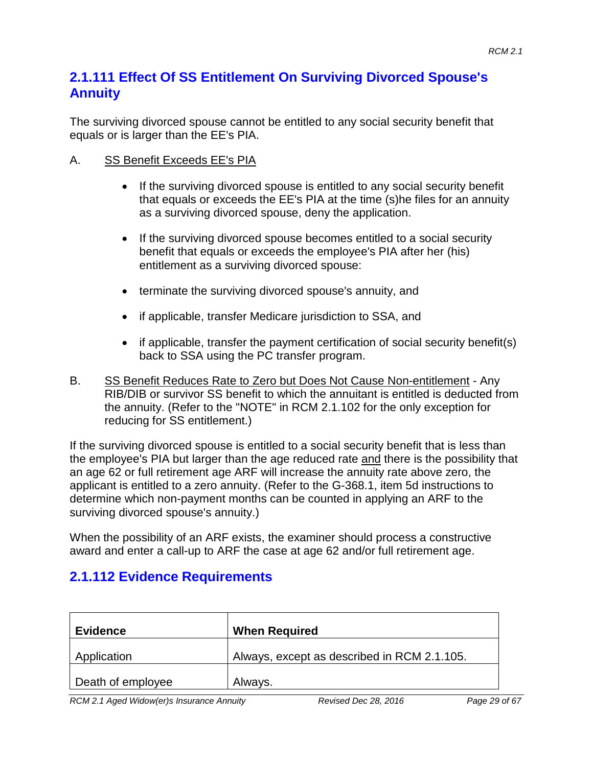### **2.1.111 Effect Of SS Entitlement On Surviving Divorced Spouse's Annuity**

The surviving divorced spouse cannot be entitled to any social security benefit that equals or is larger than the EE's PIA.

#### A. SS Benefit Exceeds EE's PIA

- If the surviving divorced spouse is entitled to any social security benefit that equals or exceeds the EE's PIA at the time (s)he files for an annuity as a surviving divorced spouse, deny the application.
- If the surviving divorced spouse becomes entitled to a social security benefit that equals or exceeds the employee's PIA after her (his) entitlement as a surviving divorced spouse:
- terminate the surviving divorced spouse's annuity, and
- if applicable, transfer Medicare jurisdiction to SSA, and
- if applicable, transfer the payment certification of social security benefit(s) back to SSA using the PC transfer program.
- B. SS Benefit Reduces Rate to Zero but Does Not Cause Non-entitlement Any RIB/DIB or survivor SS benefit to which the annuitant is entitled is deducted from the annuity. (Refer to the "NOTE" in RCM 2.1.102 for the only exception for reducing for SS entitlement.)

If the surviving divorced spouse is entitled to a social security benefit that is less than the employee's PIA but larger than the age reduced rate and there is the possibility that an age 62 or full retirement age ARF will increase the annuity rate above zero, the applicant is entitled to a zero annuity. (Refer to the G-368.1, item 5d instructions to determine which non-payment months can be counted in applying an ARF to the surviving divorced spouse's annuity.)

When the possibility of an ARF exists, the examiner should process a constructive award and enter a call-up to ARF the case at age 62 and/or full retirement age.

## **2.1.112 Evidence Requirements**

| <b>Evidence</b>   | <b>When Required</b>                        |
|-------------------|---------------------------------------------|
| Application       | Always, except as described in RCM 2.1.105. |
| Death of employee | Always.                                     |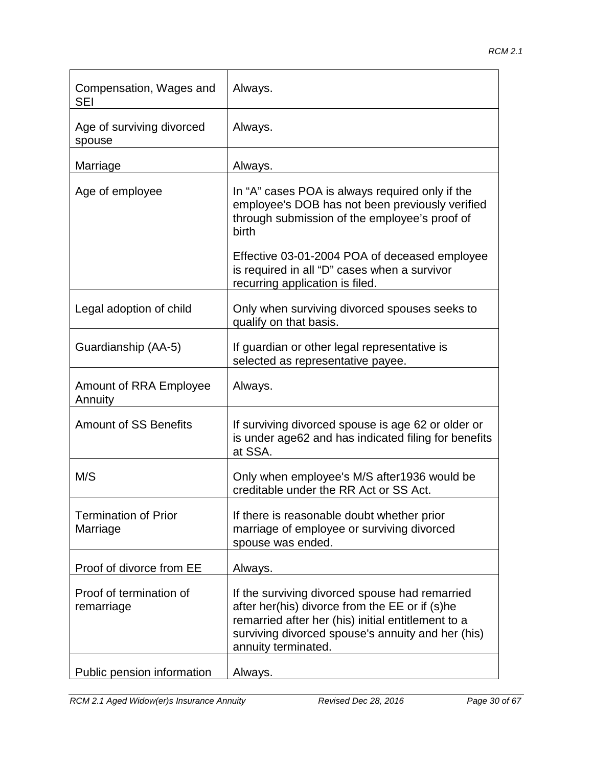| Compensation, Wages and<br>SEI          | Always.                                                                                                                                                                                                                            |
|-----------------------------------------|------------------------------------------------------------------------------------------------------------------------------------------------------------------------------------------------------------------------------------|
| Age of surviving divorced<br>spouse     | Always.                                                                                                                                                                                                                            |
| Marriage                                | Always.                                                                                                                                                                                                                            |
| Age of employee                         | In "A" cases POA is always required only if the<br>employee's DOB has not been previously verified<br>through submission of the employee's proof of<br>birth                                                                       |
|                                         | Effective 03-01-2004 POA of deceased employee<br>is required in all "D" cases when a survivor<br>recurring application is filed.                                                                                                   |
| Legal adoption of child                 | Only when surviving divorced spouses seeks to<br>qualify on that basis.                                                                                                                                                            |
| Guardianship (AA-5)                     | If guardian or other legal representative is<br>selected as representative payee.                                                                                                                                                  |
| Amount of RRA Employee<br>Annuity       | Always.                                                                                                                                                                                                                            |
| <b>Amount of SS Benefits</b>            | If surviving divorced spouse is age 62 or older or<br>is under age62 and has indicated filing for benefits<br>at SSA.                                                                                                              |
| M/S                                     | Only when employee's M/S after1936 would be<br>creditable under the RR Act or SS Act.                                                                                                                                              |
| <b>Termination of Prior</b><br>Marriage | If there is reasonable doubt whether prior<br>marriage of employee or surviving divorced<br>spouse was ended.                                                                                                                      |
| Proof of divorce from EE                | Always.                                                                                                                                                                                                                            |
| Proof of termination of<br>remarriage   | If the surviving divorced spouse had remarried<br>after her(his) divorce from the EE or if (s)he<br>remarried after her (his) initial entitlement to a<br>surviving divorced spouse's annuity and her (his)<br>annuity terminated. |
| Public pension information              | Always.                                                                                                                                                                                                                            |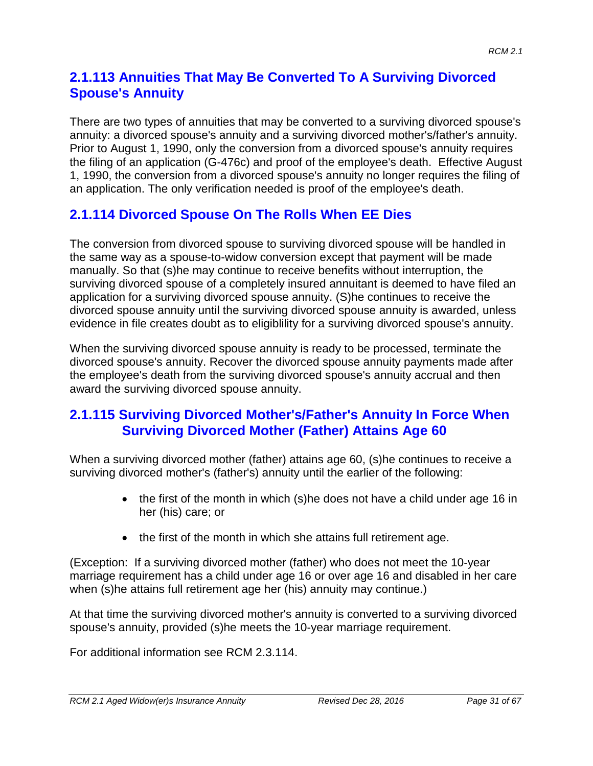## **2.1.113 Annuities That May Be Converted To A Surviving Divorced Spouse's Annuity**

There are two types of annuities that may be converted to a surviving divorced spouse's annuity: a divorced spouse's annuity and a surviving divorced mother's/father's annuity. Prior to August 1, 1990, only the conversion from a divorced spouse's annuity requires the filing of an application (G-476c) and proof of the employee's death. Effective August 1, 1990, the conversion from a divorced spouse's annuity no longer requires the filing of an application. The only verification needed is proof of the employee's death.

# **2.1.114 Divorced Spouse On The Rolls When EE Dies**

The conversion from divorced spouse to surviving divorced spouse will be handled in the same way as a spouse-to-widow conversion except that payment will be made manually. So that (s)he may continue to receive benefits without interruption, the surviving divorced spouse of a completely insured annuitant is deemed to have filed an application for a surviving divorced spouse annuity. (S)he continues to receive the divorced spouse annuity until the surviving divorced spouse annuity is awarded, unless evidence in file creates doubt as to eligiblility for a surviving divorced spouse's annuity.

When the surviving divorced spouse annuity is ready to be processed, terminate the divorced spouse's annuity. Recover the divorced spouse annuity payments made after the employee's death from the surviving divorced spouse's annuity accrual and then award the surviving divorced spouse annuity.

### **2.1.115 Surviving Divorced Mother's/Father's Annuity In Force When Surviving Divorced Mother (Father) Attains Age 60**

When a surviving divorced mother (father) attains age 60, (s)he continues to receive a surviving divorced mother's (father's) annuity until the earlier of the following:

- the first of the month in which (s)he does not have a child under age 16 in her (his) care; or
- the first of the month in which she attains full retirement age.

(Exception: If a surviving divorced mother (father) who does not meet the 10-year marriage requirement has a child under age 16 or over age 16 and disabled in her care when (s)he attains full retirement age her (his) annuity may continue.)

At that time the surviving divorced mother's annuity is converted to a surviving divorced spouse's annuity, provided (s)he meets the 10-year marriage requirement.

For additional information see RCM 2.3.114.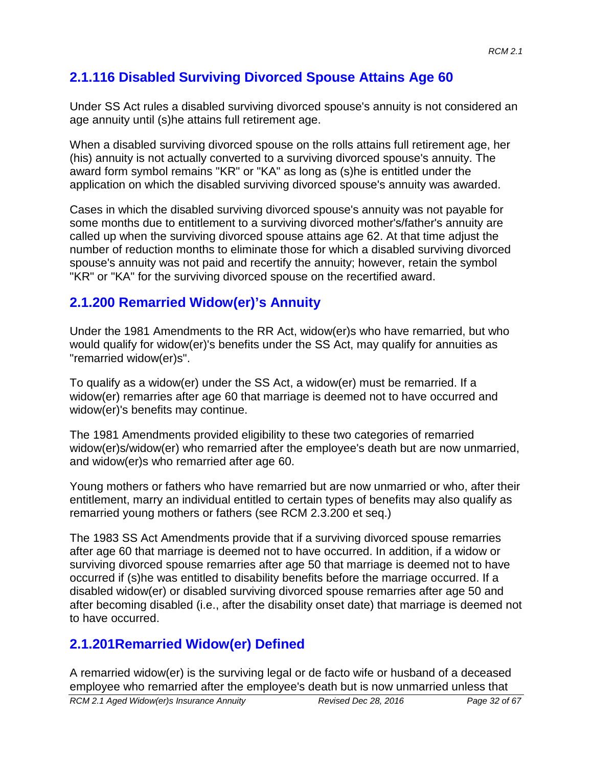# **2.1.116 Disabled Surviving Divorced Spouse Attains Age 60**

Under SS Act rules a disabled surviving divorced spouse's annuity is not considered an age annuity until (s)he attains full retirement age.

When a disabled surviving divorced spouse on the rolls attains full retirement age, her (his) annuity is not actually converted to a surviving divorced spouse's annuity. The award form symbol remains "KR" or "KA" as long as (s)he is entitled under the application on which the disabled surviving divorced spouse's annuity was awarded.

Cases in which the disabled surviving divorced spouse's annuity was not payable for some months due to entitlement to a surviving divorced mother's/father's annuity are called up when the surviving divorced spouse attains age 62. At that time adjust the number of reduction months to eliminate those for which a disabled surviving divorced spouse's annuity was not paid and recertify the annuity; however, retain the symbol "KR" or "KA" for the surviving divorced spouse on the recertified award.

# **2.1.200 Remarried Widow(er)'s Annuity**

Under the 1981 Amendments to the RR Act, widow(er)s who have remarried, but who would qualify for widow(er)'s benefits under the SS Act, may qualify for annuities as "remarried widow(er)s".

To qualify as a widow(er) under the SS Act, a widow(er) must be remarried. If a widow(er) remarries after age 60 that marriage is deemed not to have occurred and widow(er)'s benefits may continue.

The 1981 Amendments provided eligibility to these two categories of remarried widow(er)s/widow(er) who remarried after the employee's death but are now unmarried, and widow(er)s who remarried after age 60.

Young mothers or fathers who have remarried but are now unmarried or who, after their entitlement, marry an individual entitled to certain types of benefits may also qualify as remarried young mothers or fathers (see RCM 2.3.200 et seq.)

The 1983 SS Act Amendments provide that if a surviving divorced spouse remarries after age 60 that marriage is deemed not to have occurred. In addition, if a widow or surviving divorced spouse remarries after age 50 that marriage is deemed not to have occurred if (s)he was entitled to disability benefits before the marriage occurred. If a disabled widow(er) or disabled surviving divorced spouse remarries after age 50 and after becoming disabled (i.e., after the disability onset date) that marriage is deemed not to have occurred.

# **2.1.201Remarried Widow(er) Defined**

A remarried widow(er) is the surviving legal or de facto wife or husband of a deceased employee who remarried after the employee's death but is now unmarried unless that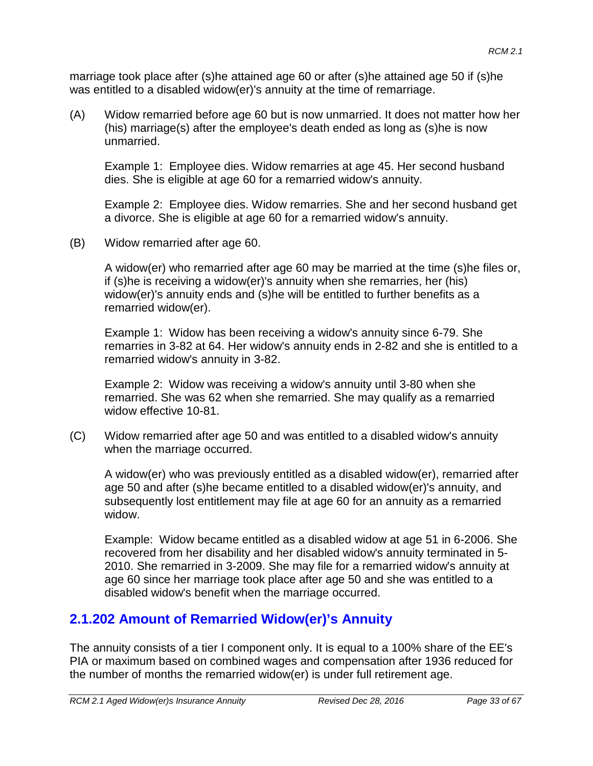marriage took place after (s)he attained age 60 or after (s)he attained age 50 if (s)he was entitled to a disabled widow(er)'s annuity at the time of remarriage.

(A) Widow remarried before age 60 but is now unmarried. It does not matter how her (his) marriage(s) after the employee's death ended as long as (s)he is now unmarried.

Example 1: Employee dies. Widow remarries at age 45. Her second husband dies. She is eligible at age 60 for a remarried widow's annuity.

Example 2: Employee dies. Widow remarries. She and her second husband get a divorce. She is eligible at age 60 for a remarried widow's annuity.

(B) Widow remarried after age 60.

A widow(er) who remarried after age 60 may be married at the time (s)he files or, if (s)he is receiving a widow(er)'s annuity when she remarries, her (his) widow(er)'s annuity ends and (s)he will be entitled to further benefits as a remarried widow(er).

Example 1: Widow has been receiving a widow's annuity since 6-79. She remarries in 3-82 at 64. Her widow's annuity ends in 2-82 and she is entitled to a remarried widow's annuity in 3-82.

Example 2: Widow was receiving a widow's annuity until 3-80 when she remarried. She was 62 when she remarried. She may qualify as a remarried widow effective 10-81.

(C) Widow remarried after age 50 and was entitled to a disabled widow's annuity when the marriage occurred.

A widow(er) who was previously entitled as a disabled widow(er), remarried after age 50 and after (s)he became entitled to a disabled widow(er)'s annuity, and subsequently lost entitlement may file at age 60 for an annuity as a remarried widow.

Example: Widow became entitled as a disabled widow at age 51 in 6-2006. She recovered from her disability and her disabled widow's annuity terminated in 5- 2010. She remarried in 3-2009. She may file for a remarried widow's annuity at age 60 since her marriage took place after age 50 and she was entitled to a disabled widow's benefit when the marriage occurred.

## **2.1.202 Amount of Remarried Widow(er)'s Annuity**

The annuity consists of a tier I component only. It is equal to a 100% share of the EE's PIA or maximum based on combined wages and compensation after 1936 reduced for the number of months the remarried widow(er) is under full retirement age.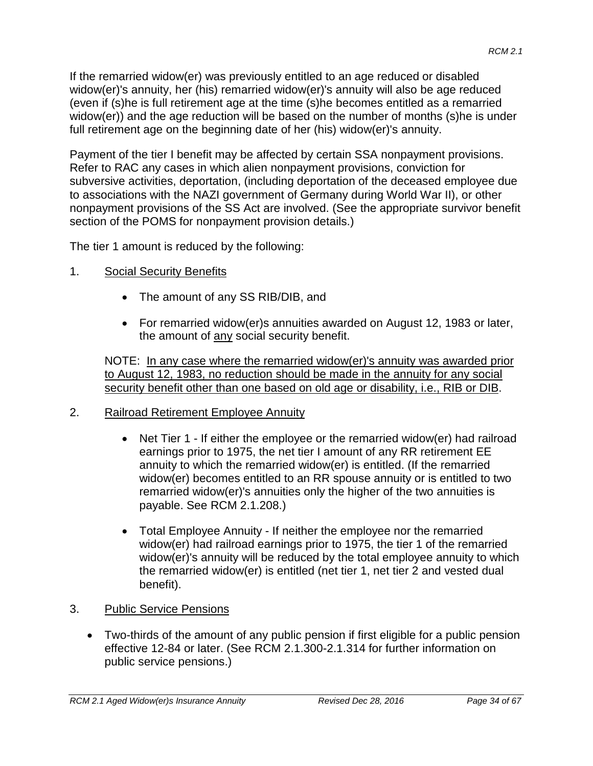If the remarried widow(er) was previously entitled to an age reduced or disabled widow(er)'s annuity, her (his) remarried widow(er)'s annuity will also be age reduced (even if (s)he is full retirement age at the time (s)he becomes entitled as a remarried widow(er)) and the age reduction will be based on the number of months (s)he is under full retirement age on the beginning date of her (his) widow(er)'s annuity.

Payment of the tier I benefit may be affected by certain SSA nonpayment provisions. Refer to RAC any cases in which alien nonpayment provisions, conviction for subversive activities, deportation, (including deportation of the deceased employee due to associations with the NAZI government of Germany during World War II), or other nonpayment provisions of the SS Act are involved. (See the appropriate survivor benefit section of the POMS for nonpayment provision details.)

The tier 1 amount is reduced by the following:

- 1. Social Security Benefits
	- The amount of any SS RIB/DIB, and
	- For remarried widow(er)s annuities awarded on August 12, 1983 or later, the amount of any social security benefit.

NOTE: In any case where the remarried widow(er)'s annuity was awarded prior to August 12, 1983, no reduction should be made in the annuity for any social security benefit other than one based on old age or disability, i.e., RIB or DIB.

- 2. Railroad Retirement Employee Annuity
	- Net Tier 1 If either the employee or the remarried widow(er) had railroad earnings prior to 1975, the net tier I amount of any RR retirement EE annuity to which the remarried widow(er) is entitled. (If the remarried widow(er) becomes entitled to an RR spouse annuity or is entitled to two remarried widow(er)'s annuities only the higher of the two annuities is payable. See RCM 2.1.208.)
	- Total Employee Annuity If neither the employee nor the remarried widow(er) had railroad earnings prior to 1975, the tier 1 of the remarried widow(er)'s annuity will be reduced by the total employee annuity to which the remarried widow(er) is entitled (net tier 1, net tier 2 and vested dual benefit).
- 3. Public Service Pensions
	- Two-thirds of the amount of any public pension if first eligible for a public pension effective 12-84 or later. (See RCM 2.1.300-2.1.314 for further information on public service pensions.)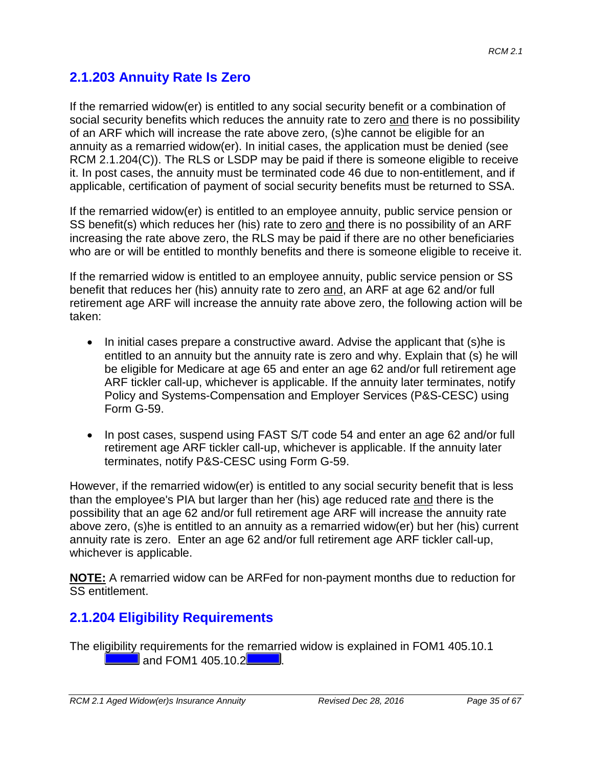## **2.1.203 Annuity Rate Is Zero**

If the remarried widow(er) is entitled to any social security benefit or a combination of social security benefits which reduces the annuity rate to zero and there is no possibility of an ARF which will increase the rate above zero, (s)he cannot be eligible for an annuity as a remarried widow(er). In initial cases, the application must be denied (see RCM 2.1.204(C)). The RLS or LSDP may be paid if there is someone eligible to receive it. In post cases, the annuity must be terminated code 46 due to non-entitlement, and if applicable, certification of payment of social security benefits must be returned to SSA.

If the remarried widow(er) is entitled to an employee annuity, public service pension or SS benefit(s) which reduces her (his) rate to zero and there is no possibility of an ARF increasing the rate above zero, the RLS may be paid if there are no other beneficiaries who are or will be entitled to monthly benefits and there is someone eligible to receive it.

If the remarried widow is entitled to an employee annuity, public service pension or SS benefit that reduces her (his) annuity rate to zero and, an ARF at age 62 and/or full retirement age ARF will increase the annuity rate above zero, the following action will be taken:

- In initial cases prepare a constructive award. Advise the applicant that (s)he is entitled to an annuity but the annuity rate is zero and why. Explain that (s) he will be eligible for Medicare at age 65 and enter an age 62 and/or full retirement age ARF tickler call-up, whichever is applicable. If the annuity later terminates, notify Policy and Systems-Compensation and Employer Services (P&S-CESC) using Form G-59.
- In post cases, suspend using FAST S/T code 54 and enter an age 62 and/or full retirement age ARF tickler call-up, whichever is applicable. If the annuity later terminates, notify P&S-CESC using Form G-59.

However, if the remarried widow(er) is entitled to any social security benefit that is less than the employee's PIA but larger than her (his) age reduced rate and there is the possibility that an age 62 and/or full retirement age ARF will increase the annuity rate above zero, (s)he is entitled to an annuity as a remarried widow(er) but her (his) current annuity rate is zero. Enter an age 62 and/or full retirement age ARF tickler call-up, whichever is applicable.

**NOTE:** A remarried widow can be ARFed for non-payment months due to reduction for SS entitlement.

## **2.1.204 Eligibility Requirements**

The eligibility requirements for the remarried widow is explained in FOM1 405.10.1 **and FOM1 405.10.2 . The state of the state of the state of the state of the state of the state of the state of the state of the state of the state of the state of the state of the state of the state of the state of the s**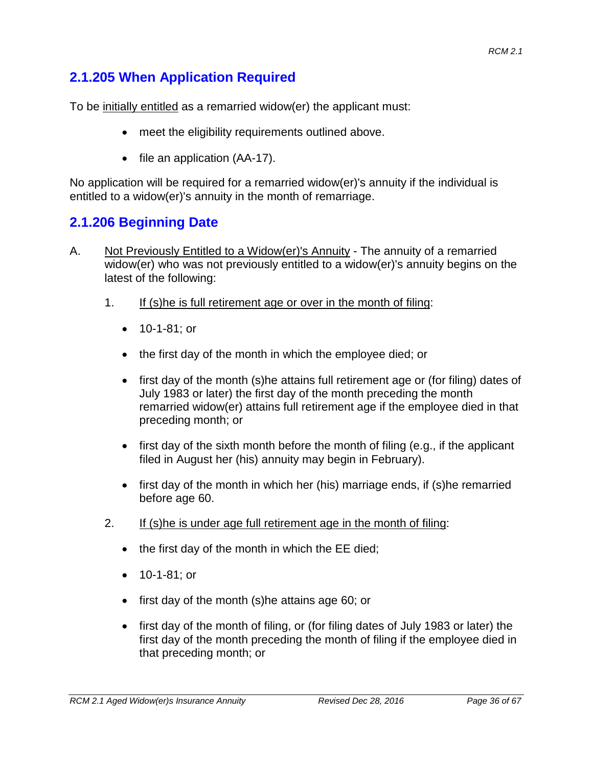# **2.1.205 When Application Required**

To be initially entitled as a remarried widow(er) the applicant must:

- meet the eligibility requirements outlined above.
- file an application (AA-17).

No application will be required for a remarried widow(er)'s annuity if the individual is entitled to a widow(er)'s annuity in the month of remarriage.

# **2.1.206 Beginning Date**

- A. Not Previously Entitled to a Widow(er)'s Annuity The annuity of a remarried widow(er) who was not previously entitled to a widow(er)'s annuity begins on the latest of the following:
	- 1. If (s)he is full retirement age or over in the month of filing:
		- 10-1-81; or
		- the first day of the month in which the employee died; or
		- first day of the month (s)he attains full retirement age or (for filing) dates of July 1983 or later) the first day of the month preceding the month remarried widow(er) attains full retirement age if the employee died in that preceding month; or
		- first day of the sixth month before the month of filing (e.g., if the applicant filed in August her (his) annuity may begin in February).
		- first day of the month in which her (his) marriage ends, if (s)he remarried before age 60.
	- 2. If (s)he is under age full retirement age in the month of filing:
		- the first day of the month in which the EE died;
		- 10-1-81; or
		- first day of the month (s)he attains age 60; or
		- first day of the month of filing, or (for filing dates of July 1983 or later) the first day of the month preceding the month of filing if the employee died in that preceding month; or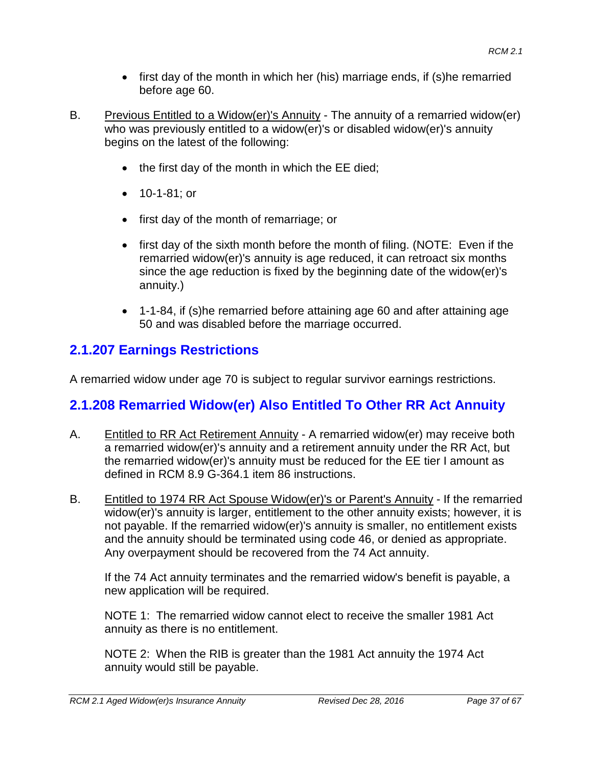- first day of the month in which her (his) marriage ends, if (s)he remarried before age 60.
- B. Previous Entitled to a Widow(er)'s Annuity The annuity of a remarried widow(er) who was previously entitled to a widow(er)'s or disabled widow(er)'s annuity begins on the latest of the following:
	- the first day of the month in which the EE died;
	- 10-1-81; or
	- first day of the month of remarriage; or
	- first day of the sixth month before the month of filing. (NOTE: Even if the remarried widow(er)'s annuity is age reduced, it can retroact six months since the age reduction is fixed by the beginning date of the widow(er)'s annuity.)
	- 1-1-84, if (s)he remarried before attaining age 60 and after attaining age 50 and was disabled before the marriage occurred.

# **2.1.207 Earnings Restrictions**

A remarried widow under age 70 is subject to regular survivor earnings restrictions.

# **2.1.208 Remarried Widow(er) Also Entitled To Other RR Act Annuity**

- A. Entitled to RR Act Retirement Annuity A remarried widow(er) may receive both a remarried widow(er)'s annuity and a retirement annuity under the RR Act, but the remarried widow(er)'s annuity must be reduced for the EE tier I amount as defined in RCM 8.9 G-364.1 item 86 instructions.
- B. Entitled to 1974 RR Act Spouse Widow(er)'s or Parent's Annuity If the remarried widow(er)'s annuity is larger, entitlement to the other annuity exists; however, it is not payable. If the remarried widow(er)'s annuity is smaller, no entitlement exists and the annuity should be terminated using code 46, or denied as appropriate. Any overpayment should be recovered from the 74 Act annuity.

If the 74 Act annuity terminates and the remarried widow's benefit is payable, a new application will be required.

NOTE 1: The remarried widow cannot elect to receive the smaller 1981 Act annuity as there is no entitlement.

NOTE 2: When the RIB is greater than the 1981 Act annuity the 1974 Act annuity would still be payable.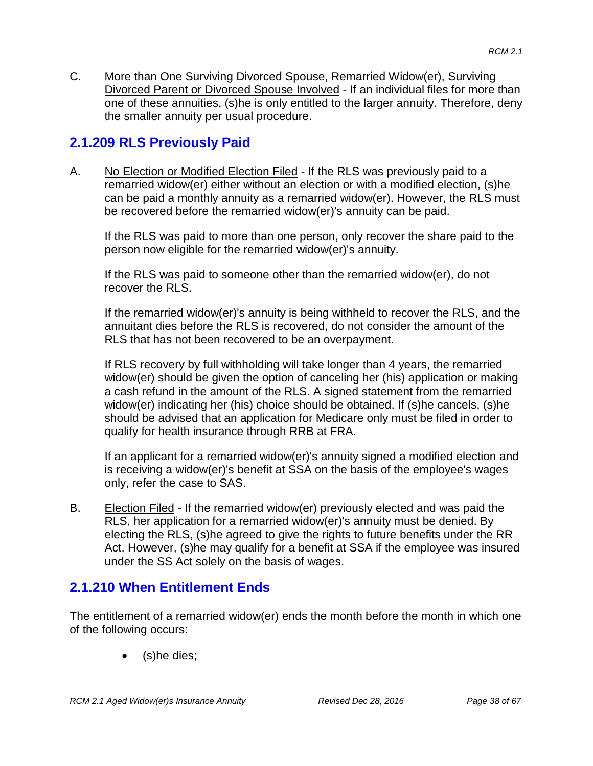C. More than One Surviving Divorced Spouse, Remarried Widow(er), Surviving Divorced Parent or Divorced Spouse Involved - If an individual files for more than one of these annuities, (s)he is only entitled to the larger annuity. Therefore, deny the smaller annuity per usual procedure.

## **2.1.209 RLS Previously Paid**

A. No Election or Modified Election Filed - If the RLS was previously paid to a remarried widow(er) either without an election or with a modified election, (s)he can be paid a monthly annuity as a remarried widow(er). However, the RLS must be recovered before the remarried widow(er)'s annuity can be paid.

If the RLS was paid to more than one person, only recover the share paid to the person now eligible for the remarried widow(er)'s annuity.

If the RLS was paid to someone other than the remarried widow(er), do not recover the RLS.

If the remarried widow(er)'s annuity is being withheld to recover the RLS, and the annuitant dies before the RLS is recovered, do not consider the amount of the RLS that has not been recovered to be an overpayment.

If RLS recovery by full withholding will take longer than 4 years, the remarried widow(er) should be given the option of canceling her (his) application or making a cash refund in the amount of the RLS. A signed statement from the remarried widow(er) indicating her (his) choice should be obtained. If (s)he cancels, (s)he should be advised that an application for Medicare only must be filed in order to qualify for health insurance through RRB at FRA.

If an applicant for a remarried widow(er)'s annuity signed a modified election and is receiving a widow(er)'s benefit at SSA on the basis of the employee's wages only, refer the case to SAS.

B. Election Filed - If the remarried widow(er) previously elected and was paid the RLS, her application for a remarried widow(er)'s annuity must be denied. By electing the RLS, (s)he agreed to give the rights to future benefits under the RR Act. However, (s)he may qualify for a benefit at SSA if the employee was insured under the SS Act solely on the basis of wages.

## **2.1.210 When Entitlement Ends**

The entitlement of a remarried widow(er) ends the month before the month in which one of the following occurs:

(s)he dies;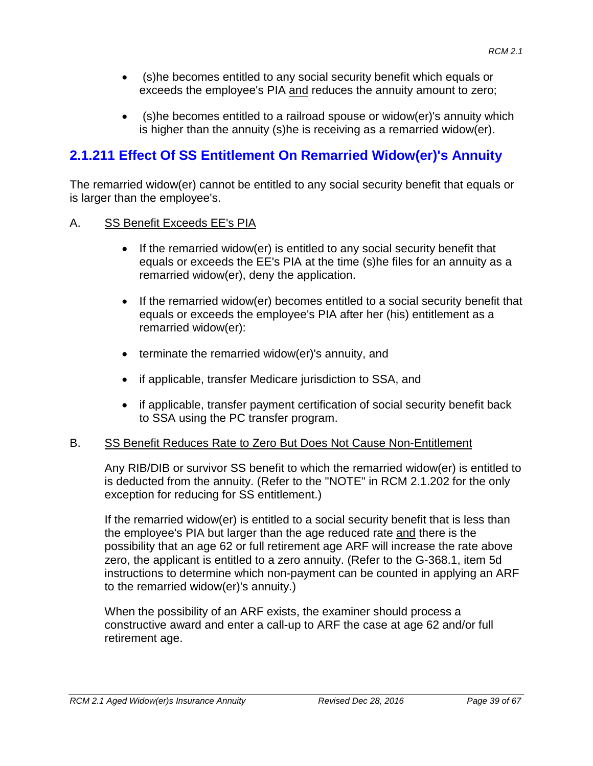- (s)he becomes entitled to any social security benefit which equals or exceeds the employee's PIA and reduces the annuity amount to zero;
- (s)he becomes entitled to a railroad spouse or widow(er)'s annuity which is higher than the annuity (s)he is receiving as a remarried widow(er).

# **2.1.211 Effect Of SS Entitlement On Remarried Widow(er)'s Annuity**

The remarried widow(er) cannot be entitled to any social security benefit that equals or is larger than the employee's.

#### A. SS Benefit Exceeds EE's PIA

- If the remarried widow(er) is entitled to any social security benefit that equals or exceeds the EE's PIA at the time (s)he files for an annuity as a remarried widow(er), deny the application.
- If the remarried widow(er) becomes entitled to a social security benefit that equals or exceeds the employee's PIA after her (his) entitlement as a remarried widow(er):
- terminate the remarried widow(er)'s annuity, and
- if applicable, transfer Medicare jurisdiction to SSA, and
- if applicable, transfer payment certification of social security benefit back to SSA using the PC transfer program.

#### B. SS Benefit Reduces Rate to Zero But Does Not Cause Non-Entitlement

Any RIB/DIB or survivor SS benefit to which the remarried widow(er) is entitled to is deducted from the annuity. (Refer to the "NOTE" in RCM 2.1.202 for the only exception for reducing for SS entitlement.)

If the remarried widow(er) is entitled to a social security benefit that is less than the employee's PIA but larger than the age reduced rate and there is the possibility that an age 62 or full retirement age ARF will increase the rate above zero, the applicant is entitled to a zero annuity. (Refer to the G-368.1, item 5d instructions to determine which non-payment can be counted in applying an ARF to the remarried widow(er)'s annuity.)

When the possibility of an ARF exists, the examiner should process a constructive award and enter a call-up to ARF the case at age 62 and/or full retirement age.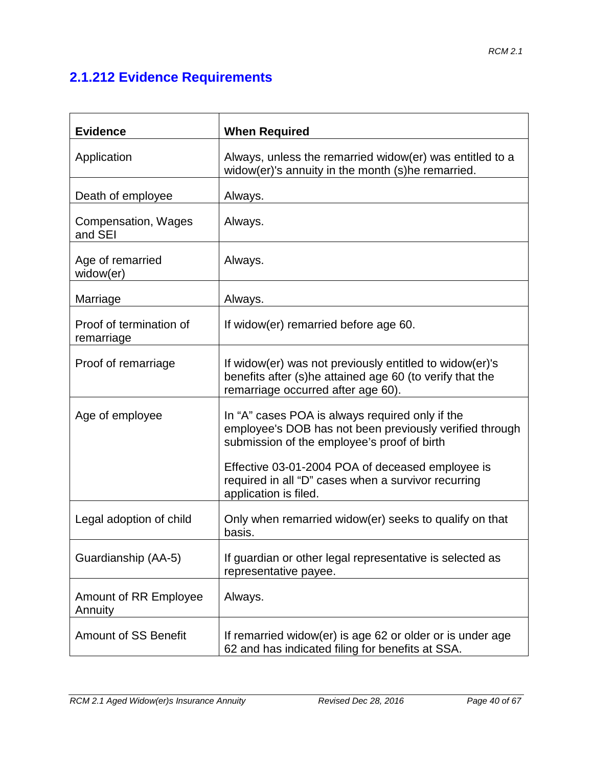# **2.1.212 Evidence Requirements**

| <b>Evidence</b>                       | <b>When Required</b>                                                                                                                                      |  |
|---------------------------------------|-----------------------------------------------------------------------------------------------------------------------------------------------------------|--|
| Application                           | Always, unless the remarried widow(er) was entitled to a<br>widow(er)'s annuity in the month (s)he remarried.                                             |  |
| Death of employee                     | Always.                                                                                                                                                   |  |
| <b>Compensation, Wages</b><br>and SEI | Always.                                                                                                                                                   |  |
| Age of remarried<br>widow(er)         | Always.                                                                                                                                                   |  |
| Marriage                              | Always.                                                                                                                                                   |  |
| Proof of termination of<br>remarriage | If widow(er) remarried before age 60.                                                                                                                     |  |
| Proof of remarriage                   | If widow(er) was not previously entitled to widow(er)'s<br>benefits after (s)he attained age 60 (to verify that the<br>remarriage occurred after age 60). |  |
| Age of employee                       | In "A" cases POA is always required only if the<br>employee's DOB has not been previously verified through<br>submission of the employee's proof of birth |  |
|                                       | Effective 03-01-2004 POA of deceased employee is<br>required in all "D" cases when a survivor recurring<br>application is filed.                          |  |
| Legal adoption of child               | Only when remarried widow(er) seeks to qualify on that<br>basis.                                                                                          |  |
| Guardianship (AA-5)                   | If guardian or other legal representative is selected as<br>representative payee.                                                                         |  |
| Amount of RR Employee<br>Annuity      | Always.                                                                                                                                                   |  |
| <b>Amount of SS Benefit</b>           | If remarried widow(er) is age 62 or older or is under age<br>62 and has indicated filing for benefits at SSA.                                             |  |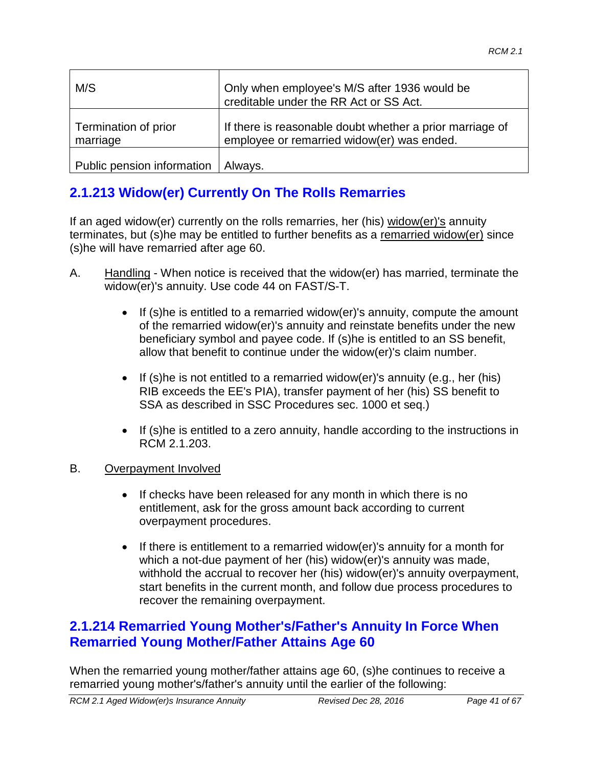| M/S                              | Only when employee's M/S after 1936 would be<br>creditable under the RR Act or SS Act.                 |
|----------------------------------|--------------------------------------------------------------------------------------------------------|
| Termination of prior<br>marriage | If there is reasonable doubt whether a prior marriage of<br>employee or remarried widow(er) was ended. |
| Public pension information       | Always.                                                                                                |

# **2.1.213 Widow(er) Currently On The Rolls Remarries**

If an aged widow(er) currently on the rolls remarries, her (his) widow(er)'s annuity terminates, but (s)he may be entitled to further benefits as a remarried widow(er) since (s)he will have remarried after age 60.

- A. Handling When notice is received that the widow(er) has married, terminate the widow(er)'s annuity. Use code 44 on FAST/S-T.
	- If (s)he is entitled to a remarried widow(er)'s annuity, compute the amount of the remarried widow(er)'s annuity and reinstate benefits under the new beneficiary symbol and payee code. If (s)he is entitled to an SS benefit, allow that benefit to continue under the widow(er)'s claim number.
	- If (s)he is not entitled to a remarried widow(er)'s annuity (e.g., her (his) RIB exceeds the EE's PIA), transfer payment of her (his) SS benefit to SSA as described in SSC Procedures sec. 1000 et seq.)
	- If (s)he is entitled to a zero annuity, handle according to the instructions in RCM 2.1.203.

#### B. Overpayment Involved

- If checks have been released for any month in which there is no entitlement, ask for the gross amount back according to current overpayment procedures.
- If there is entitlement to a remarried widow(er)'s annuity for a month for which a not-due payment of her (his) widow(er)'s annuity was made, withhold the accrual to recover her (his) widow(er)'s annuity overpayment, start benefits in the current month, and follow due process procedures to recover the remaining overpayment.

### **2.1.214 Remarried Young Mother's/Father's Annuity In Force When Remarried Young Mother/Father Attains Age 60**

When the remarried young mother/father attains age 60, (s)he continues to receive a remarried young mother's/father's annuity until the earlier of the following: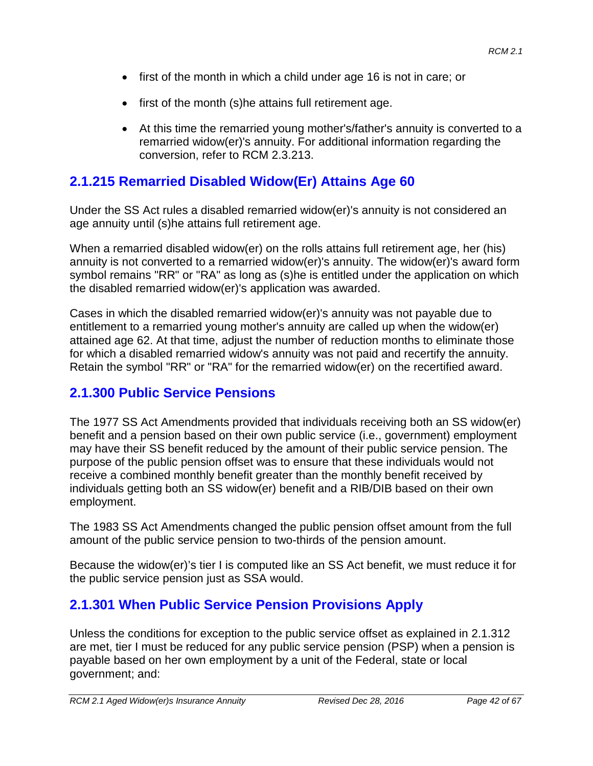- first of the month in which a child under age 16 is not in care; or
- first of the month (s)he attains full retirement age.
- At this time the remarried young mother's/father's annuity is converted to a remarried widow(er)'s annuity. For additional information regarding the conversion, refer to RCM 2.3.213.

# **2.1.215 Remarried Disabled Widow(Er) Attains Age 60**

Under the SS Act rules a disabled remarried widow(er)'s annuity is not considered an age annuity until (s)he attains full retirement age.

When a remarried disabled widow(er) on the rolls attains full retirement age, her (his) annuity is not converted to a remarried widow(er)'s annuity. The widow(er)'s award form symbol remains "RR" or "RA" as long as (s)he is entitled under the application on which the disabled remarried widow(er)'s application was awarded.

Cases in which the disabled remarried widow(er)'s annuity was not payable due to entitlement to a remarried young mother's annuity are called up when the widow(er) attained age 62. At that time, adjust the number of reduction months to eliminate those for which a disabled remarried widow's annuity was not paid and recertify the annuity. Retain the symbol "RR" or "RA" for the remarried widow(er) on the recertified award.

# **2.1.300 Public Service Pensions**

The 1977 SS Act Amendments provided that individuals receiving both an SS widow(er) benefit and a pension based on their own public service (i.e., government) employment may have their SS benefit reduced by the amount of their public service pension. The purpose of the public pension offset was to ensure that these individuals would not receive a combined monthly benefit greater than the monthly benefit received by individuals getting both an SS widow(er) benefit and a RIB/DIB based on their own employment.

The 1983 SS Act Amendments changed the public pension offset amount from the full amount of the public service pension to two-thirds of the pension amount.

Because the widow(er)'s tier I is computed like an SS Act benefit, we must reduce it for the public service pension just as SSA would.

# **2.1.301 When Public Service Pension Provisions Apply**

Unless the conditions for exception to the public service offset as explained in 2.1.312 are met, tier I must be reduced for any public service pension (PSP) when a pension is payable based on her own employment by a unit of the Federal, state or local government; and: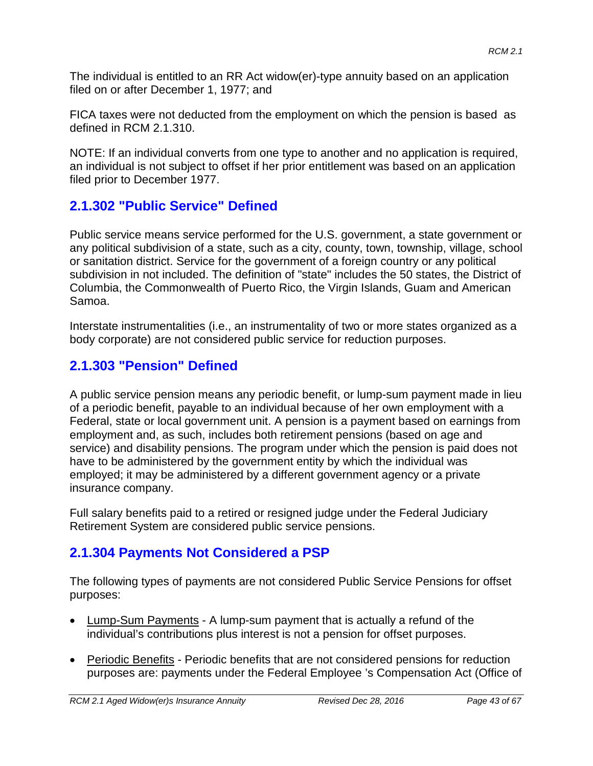The individual is entitled to an RR Act widow(er)-type annuity based on an application filed on or after December 1, 1977; and

FICA taxes were not deducted from the employment on which the pension is based as defined in RCM 2.1.310.

NOTE: If an individual converts from one type to another and no application is required, an individual is not subject to offset if her prior entitlement was based on an application filed prior to December 1977.

# **2.1.302 "Public Service" Defined**

Public service means service performed for the U.S. government, a state government or any political subdivision of a state, such as a city, county, town, township, village, school or sanitation district. Service for the government of a foreign country or any political subdivision in not included. The definition of "state" includes the 50 states, the District of Columbia, the Commonwealth of Puerto Rico, the Virgin Islands, Guam and American Samoa.

Interstate instrumentalities (i.e., an instrumentality of two or more states organized as a body corporate) are not considered public service for reduction purposes.

# **2.1.303 "Pension" Defined**

A public service pension means any periodic benefit, or lump-sum payment made in lieu of a periodic benefit, payable to an individual because of her own employment with a Federal, state or local government unit. A pension is a payment based on earnings from employment and, as such, includes both retirement pensions (based on age and service) and disability pensions. The program under which the pension is paid does not have to be administered by the government entity by which the individual was employed; it may be administered by a different government agency or a private insurance company.

Full salary benefits paid to a retired or resigned judge under the Federal Judiciary Retirement System are considered public service pensions.

# **2.1.304 Payments Not Considered a PSP**

The following types of payments are not considered Public Service Pensions for offset purposes:

- **Lump-Sum Payments A lump-sum payment that is actually a refund of the** individual's contributions plus interest is not a pension for offset purposes.
- Periodic Benefits Periodic benefits that are not considered pensions for reduction purposes are: payments under the Federal Employee 's Compensation Act (Office of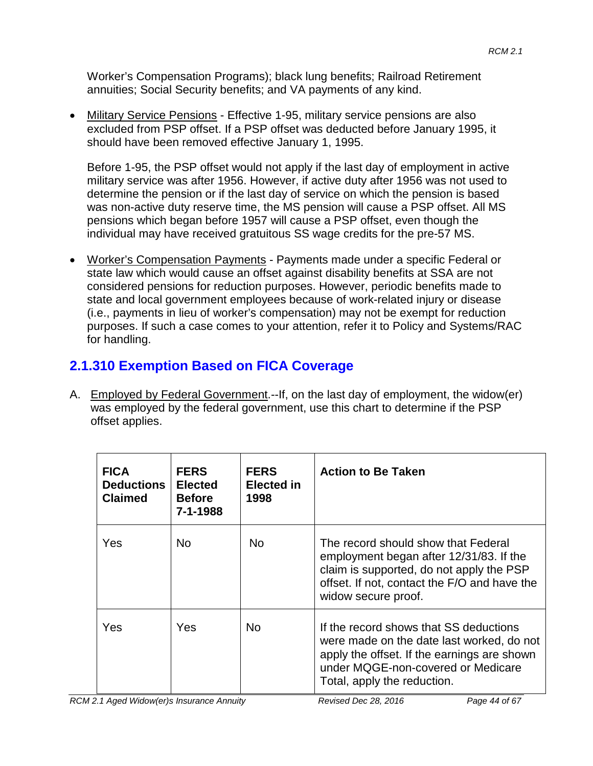Worker's Compensation Programs); black lung benefits; Railroad Retirement annuities; Social Security benefits; and VA payments of any kind.

• Military Service Pensions - Effective 1-95, military service pensions are also excluded from PSP offset. If a PSP offset was deducted before January 1995, it should have been removed effective January 1, 1995.

Before 1-95, the PSP offset would not apply if the last day of employment in active military service was after 1956. However, if active duty after 1956 was not used to determine the pension or if the last day of service on which the pension is based was non-active duty reserve time, the MS pension will cause a PSP offset. All MS pensions which began before 1957 will cause a PSP offset, even though the individual may have received gratuitous SS wage credits for the pre-57 MS.

• Worker's Compensation Payments - Payments made under a specific Federal or state law which would cause an offset against disability benefits at SSA are not considered pensions for reduction purposes. However, periodic benefits made to state and local government employees because of work-related injury or disease (i.e., payments in lieu of worker's compensation) may not be exempt for reduction purposes. If such a case comes to your attention, refer it to Policy and Systems/RAC for handling.

## **2.1.310 Exemption Based on FICA Coverage**

A. Employed by Federal Government.--If, on the last day of employment, the widow(er) was employed by the federal government, use this chart to determine if the PSP offset applies.

| <b>FICA</b><br><b>Deductions</b><br><b>Claimed</b> | <b>FERS</b><br><b>Elected</b><br><b>Before</b><br>$7 - 1 - 1988$ | <b>FERS</b><br><b>Elected in</b><br>1998 | <b>Action to Be Taken</b>                                                                                                                                                                               |
|----------------------------------------------------|------------------------------------------------------------------|------------------------------------------|---------------------------------------------------------------------------------------------------------------------------------------------------------------------------------------------------------|
| Yes                                                | No.                                                              | <b>No</b>                                | The record should show that Federal<br>employment began after 12/31/83. If the<br>claim is supported, do not apply the PSP<br>offset. If not, contact the F/O and have the<br>widow secure proof.       |
| Yes                                                | Yes                                                              | No.                                      | If the record shows that SS deductions<br>were made on the date last worked, do not<br>apply the offset. If the earnings are shown<br>under MQGE-non-covered or Medicare<br>Total, apply the reduction. |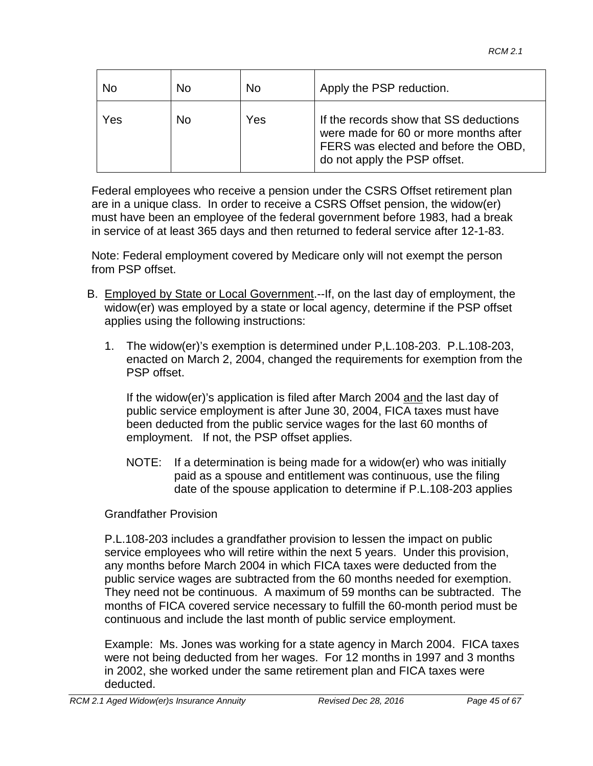| No  | <b>No</b> | No  | Apply the PSP reduction.                                                                                                                                |
|-----|-----------|-----|---------------------------------------------------------------------------------------------------------------------------------------------------------|
| Yes | <b>No</b> | Yes | If the records show that SS deductions<br>were made for 60 or more months after<br>FERS was elected and before the OBD,<br>do not apply the PSP offset. |

Federal employees who receive a pension under the CSRS Offset retirement plan are in a unique class. In order to receive a CSRS Offset pension, the widow(er) must have been an employee of the federal government before 1983, had a break in service of at least 365 days and then returned to federal service after 12-1-83.

Note: Federal employment covered by Medicare only will not exempt the person from PSP offset.

- B. Employed by State or Local Government.--If, on the last day of employment, the widow(er) was employed by a state or local agency, determine if the PSP offset applies using the following instructions:
	- 1. The widow(er)'s exemption is determined under P,L.108-203. P.L.108-203, enacted on March 2, 2004, changed the requirements for exemption from the PSP offset.

If the widow(er)'s application is filed after March 2004 and the last day of public service employment is after June 30, 2004, FICA taxes must have been deducted from the public service wages for the last 60 months of employment. If not, the PSP offset applies.

NOTE: If a determination is being made for a widow(er) who was initially paid as a spouse and entitlement was continuous, use the filing date of the spouse application to determine if P.L.108-203 applies

### Grandfather Provision

P.L.108-203 includes a grandfather provision to lessen the impact on public service employees who will retire within the next 5 years. Under this provision, any months before March 2004 in which FICA taxes were deducted from the public service wages are subtracted from the 60 months needed for exemption. They need not be continuous. A maximum of 59 months can be subtracted. The months of FICA covered service necessary to fulfill the 60-month period must be continuous and include the last month of public service employment.

Example: Ms. Jones was working for a state agency in March 2004. FICA taxes were not being deducted from her wages. For 12 months in 1997 and 3 months in 2002, she worked under the same retirement plan and FICA taxes were deducted.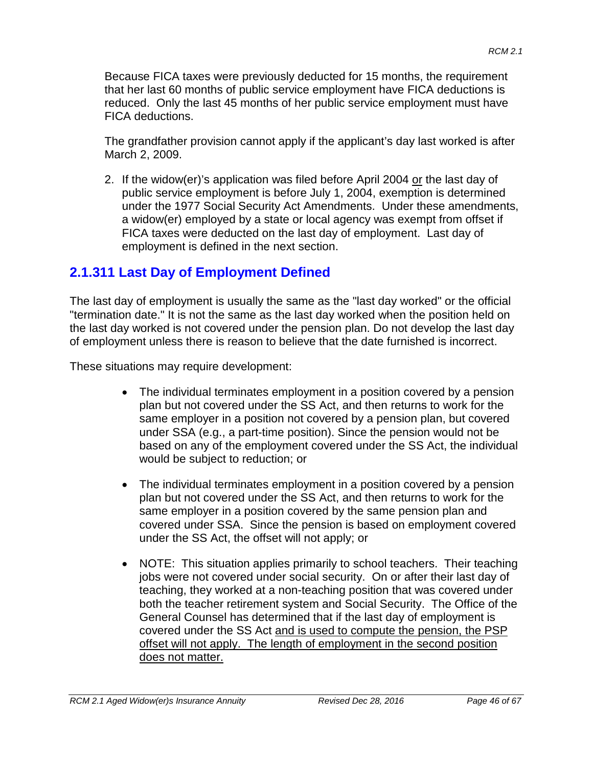Because FICA taxes were previously deducted for 15 months, the requirement that her last 60 months of public service employment have FICA deductions is reduced. Only the last 45 months of her public service employment must have FICA deductions.

The grandfather provision cannot apply if the applicant's day last worked is after March 2, 2009.

2. If the widow(er)'s application was filed before April 2004 or the last day of public service employment is before July 1, 2004, exemption is determined under the 1977 Social Security Act Amendments. Under these amendments, a widow(er) employed by a state or local agency was exempt from offset if FICA taxes were deducted on the last day of employment. Last day of employment is defined in the next section.

# **2.1.311 Last Day of Employment Defined**

The last day of employment is usually the same as the "last day worked" or the official "termination date." It is not the same as the last day worked when the position held on the last day worked is not covered under the pension plan. Do not develop the last day of employment unless there is reason to believe that the date furnished is incorrect.

These situations may require development:

- The individual terminates employment in a position covered by a pension plan but not covered under the SS Act, and then returns to work for the same employer in a position not covered by a pension plan, but covered under SSA (e.g., a part-time position). Since the pension would not be based on any of the employment covered under the SS Act, the individual would be subject to reduction; or
- The individual terminates employment in a position covered by a pension plan but not covered under the SS Act, and then returns to work for the same employer in a position covered by the same pension plan and covered under SSA. Since the pension is based on employment covered under the SS Act, the offset will not apply; or
- NOTE: This situation applies primarily to school teachers. Their teaching jobs were not covered under social security. On or after their last day of teaching, they worked at a non-teaching position that was covered under both the teacher retirement system and Social Security. The Office of the General Counsel has determined that if the last day of employment is covered under the SS Act and is used to compute the pension, the PSP offset will not apply. The length of employment in the second position does not matter.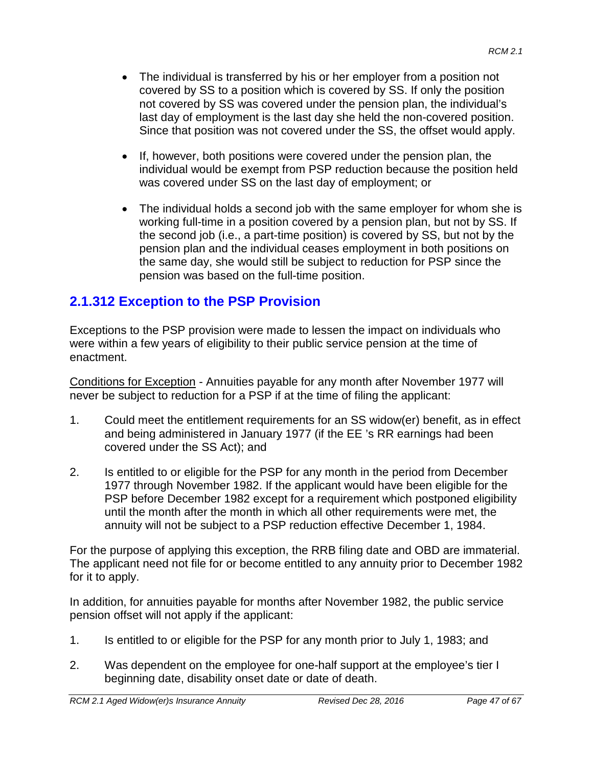- The individual is transferred by his or her employer from a position not covered by SS to a position which is covered by SS. If only the position not covered by SS was covered under the pension plan, the individual's last day of employment is the last day she held the non-covered position. Since that position was not covered under the SS, the offset would apply.
- If, however, both positions were covered under the pension plan, the individual would be exempt from PSP reduction because the position held was covered under SS on the last day of employment; or
- The individual holds a second job with the same employer for whom she is working full-time in a position covered by a pension plan, but not by SS. If the second job (i.e., a part-time position) is covered by SS, but not by the pension plan and the individual ceases employment in both positions on the same day, she would still be subject to reduction for PSP since the pension was based on the full-time position.

# **2.1.312 Exception to the PSP Provision**

Exceptions to the PSP provision were made to lessen the impact on individuals who were within a few years of eligibility to their public service pension at the time of enactment.

Conditions for Exception - Annuities payable for any month after November 1977 will never be subject to reduction for a PSP if at the time of filing the applicant:

- 1. Could meet the entitlement requirements for an SS widow(er) benefit, as in effect and being administered in January 1977 (if the EE 's RR earnings had been covered under the SS Act); and
- 2. Is entitled to or eligible for the PSP for any month in the period from December 1977 through November 1982. If the applicant would have been eligible for the PSP before December 1982 except for a requirement which postponed eligibility until the month after the month in which all other requirements were met, the annuity will not be subject to a PSP reduction effective December 1, 1984.

For the purpose of applying this exception, the RRB filing date and OBD are immaterial. The applicant need not file for or become entitled to any annuity prior to December 1982 for it to apply.

In addition, for annuities payable for months after November 1982, the public service pension offset will not apply if the applicant:

- 1. Is entitled to or eligible for the PSP for any month prior to July 1, 1983; and
- 2. Was dependent on the employee for one-half support at the employee's tier I beginning date, disability onset date or date of death.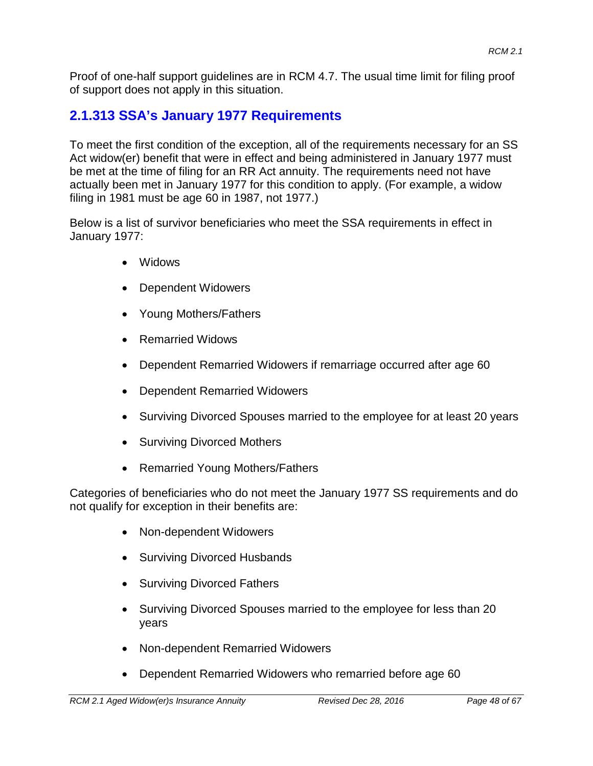Proof of one-half support guidelines are in RCM 4.7. The usual time limit for filing proof of support does not apply in this situation.

# **2.1.313 SSA's January 1977 Requirements**

To meet the first condition of the exception, all of the requirements necessary for an SS Act widow(er) benefit that were in effect and being administered in January 1977 must be met at the time of filing for an RR Act annuity. The requirements need not have actually been met in January 1977 for this condition to apply. (For example, a widow filing in 1981 must be age 60 in 1987, not 1977.)

Below is a list of survivor beneficiaries who meet the SSA requirements in effect in January 1977:

- Widows
- Dependent Widowers
- Young Mothers/Fathers
- Remarried Widows
- Dependent Remarried Widowers if remarriage occurred after age 60
- Dependent Remarried Widowers
- Surviving Divorced Spouses married to the employee for at least 20 years
- Surviving Divorced Mothers
- Remarried Young Mothers/Fathers

Categories of beneficiaries who do not meet the January 1977 SS requirements and do not qualify for exception in their benefits are:

- Non-dependent Widowers
- Surviving Divorced Husbands
- Surviving Divorced Fathers
- Surviving Divorced Spouses married to the employee for less than 20 years
- Non-dependent Remarried Widowers
- Dependent Remarried Widowers who remarried before age 60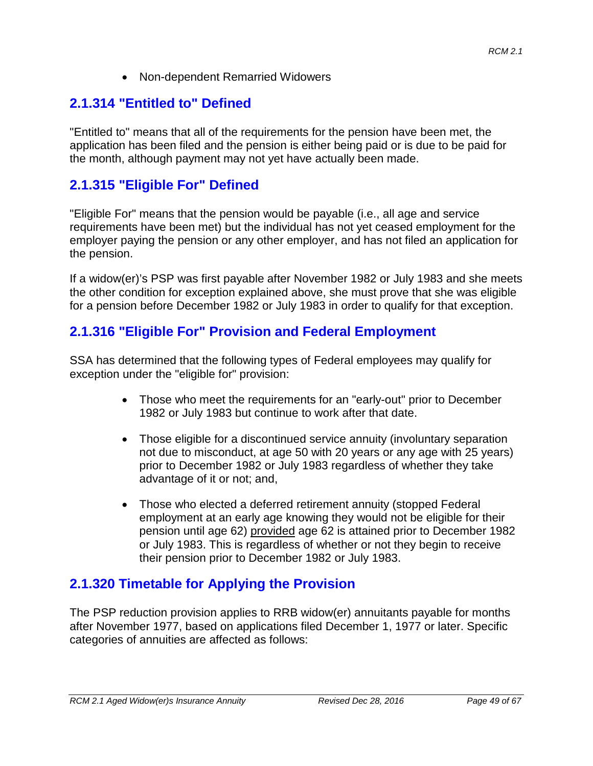• Non-dependent Remarried Widowers

## **2.1.314 "Entitled to" Defined**

"Entitled to" means that all of the requirements for the pension have been met, the application has been filed and the pension is either being paid or is due to be paid for the month, although payment may not yet have actually been made.

## **2.1.315 "Eligible For" Defined**

"Eligible For" means that the pension would be payable (i.e., all age and service requirements have been met) but the individual has not yet ceased employment for the employer paying the pension or any other employer, and has not filed an application for the pension.

If a widow(er)'s PSP was first payable after November 1982 or July 1983 and she meets the other condition for exception explained above, she must prove that she was eligible for a pension before December 1982 or July 1983 in order to qualify for that exception.

## **2.1.316 "Eligible For" Provision and Federal Employment**

SSA has determined that the following types of Federal employees may qualify for exception under the "eligible for" provision:

- Those who meet the requirements for an "early-out" prior to December 1982 or July 1983 but continue to work after that date.
- Those eligible for a discontinued service annuity (involuntary separation not due to misconduct, at age 50 with 20 years or any age with 25 years) prior to December 1982 or July 1983 regardless of whether they take advantage of it or not; and,
- Those who elected a deferred retirement annuity (stopped Federal employment at an early age knowing they would not be eligible for their pension until age 62) provided age 62 is attained prior to December 1982 or July 1983. This is regardless of whether or not they begin to receive their pension prior to December 1982 or July 1983.

## **2.1.320 Timetable for Applying the Provision**

The PSP reduction provision applies to RRB widow(er) annuitants payable for months after November 1977, based on applications filed December 1, 1977 or later. Specific categories of annuities are affected as follows: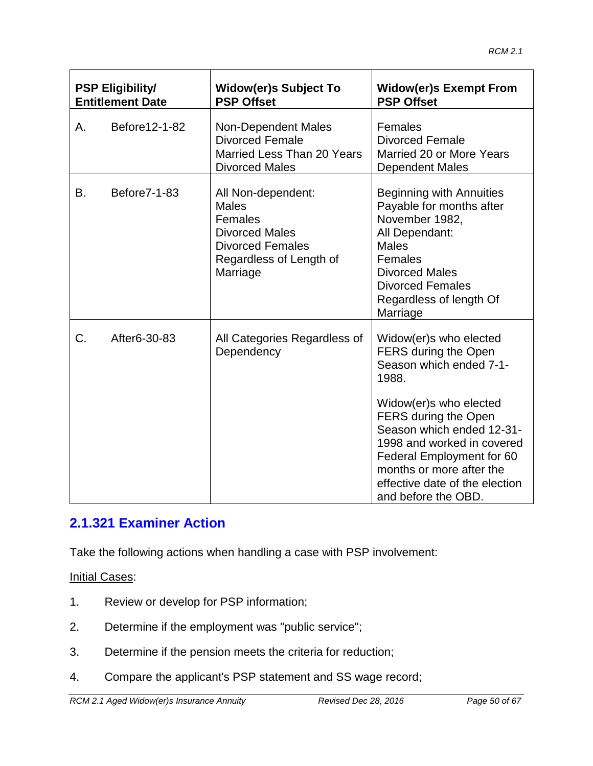| <b>PSP Eligibility/</b><br><b>Entitlement Date</b> |                     | <b>Widow(er)s Subject To</b><br><b>PSP Offset</b>                                                                                        | <b>Widow(er)s Exempt From</b><br><b>PSP Offset</b>                                                                                                                                                                                                                                                                |  |
|----------------------------------------------------|---------------------|------------------------------------------------------------------------------------------------------------------------------------------|-------------------------------------------------------------------------------------------------------------------------------------------------------------------------------------------------------------------------------------------------------------------------------------------------------------------|--|
| А.                                                 | Before12-1-82       | <b>Non-Dependent Males</b><br><b>Divorced Female</b><br>Married Less Than 20 Years<br><b>Divorced Males</b>                              | Females<br><b>Divorced Female</b><br>Married 20 or More Years<br><b>Dependent Males</b>                                                                                                                                                                                                                           |  |
| В.                                                 | <b>Before7-1-83</b> | All Non-dependent:<br><b>Males</b><br>Females<br><b>Divorced Males</b><br><b>Divorced Females</b><br>Regardless of Length of<br>Marriage | Beginning with Annuities<br>Payable for months after<br>November 1982,<br>All Dependant:<br><b>Males</b><br>Females<br><b>Divorced Males</b><br><b>Divorced Females</b><br>Regardless of length Of<br>Marriage                                                                                                    |  |
| C.                                                 | After6-30-83        | All Categories Regardless of<br>Dependency                                                                                               | Widow(er)s who elected<br>FERS during the Open<br>Season which ended 7-1-<br>1988.<br>Widow(er)s who elected<br>FERS during the Open<br>Season which ended 12-31-<br>1998 and worked in covered<br>Federal Employment for 60<br>months or more after the<br>effective date of the election<br>and before the OBD. |  |

# **2.1.321 Examiner Action**

Take the following actions when handling a case with PSP involvement:

**Initial Cases:** 

- 1. Review or develop for PSP information;
- 2. Determine if the employment was "public service";
- 3. Determine if the pension meets the criteria for reduction;
- 4. Compare the applicant's PSP statement and SS wage record;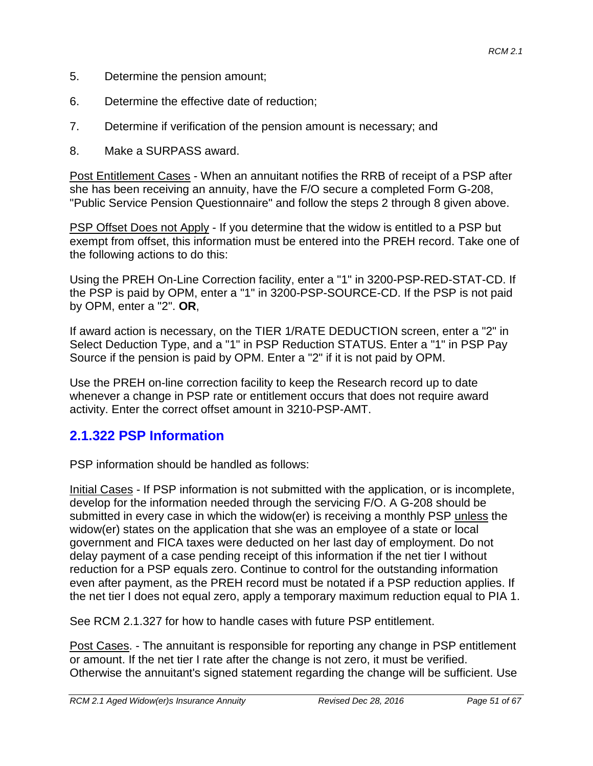- 5. Determine the pension amount;
- 6. Determine the effective date of reduction;
- 7. Determine if verification of the pension amount is necessary; and
- 8. Make a SURPASS award.

Post Entitlement Cases - When an annuitant notifies the RRB of receipt of a PSP after she has been receiving an annuity, have the F/O secure a completed Form G-208, "Public Service Pension Questionnaire" and follow the steps 2 through 8 given above.

PSP Offset Does not Apply - If you determine that the widow is entitled to a PSP but exempt from offset, this information must be entered into the PREH record. Take one of the following actions to do this:

Using the PREH On-Line Correction facility, enter a "1" in 3200-PSP-RED-STAT-CD. If the PSP is paid by OPM, enter a "1" in 3200-PSP-SOURCE-CD. If the PSP is not paid by OPM, enter a "2". **OR**,

If award action is necessary, on the TIER 1/RATE DEDUCTION screen, enter a "2" in Select Deduction Type, and a "1" in PSP Reduction STATUS. Enter a "1" in PSP Pay Source if the pension is paid by OPM. Enter a "2" if it is not paid by OPM.

Use the PREH on-line correction facility to keep the Research record up to date whenever a change in PSP rate or entitlement occurs that does not require award activity. Enter the correct offset amount in 3210-PSP-AMT.

## **2.1.322 PSP Information**

PSP information should be handled as follows:

Initial Cases - If PSP information is not submitted with the application, or is incomplete, develop for the information needed through the servicing F/O. A G-208 should be submitted in every case in which the widow(er) is receiving a monthly PSP unless the widow(er) states on the application that she was an employee of a state or local government and FICA taxes were deducted on her last day of employment. Do not delay payment of a case pending receipt of this information if the net tier I without reduction for a PSP equals zero. Continue to control for the outstanding information even after payment, as the PREH record must be notated if a PSP reduction applies. If the net tier I does not equal zero, apply a temporary maximum reduction equal to PIA 1.

See RCM 2.1.327 for how to handle cases with future PSP entitlement.

Post Cases. - The annuitant is responsible for reporting any change in PSP entitlement or amount. If the net tier I rate after the change is not zero, it must be verified. Otherwise the annuitant's signed statement regarding the change will be sufficient. Use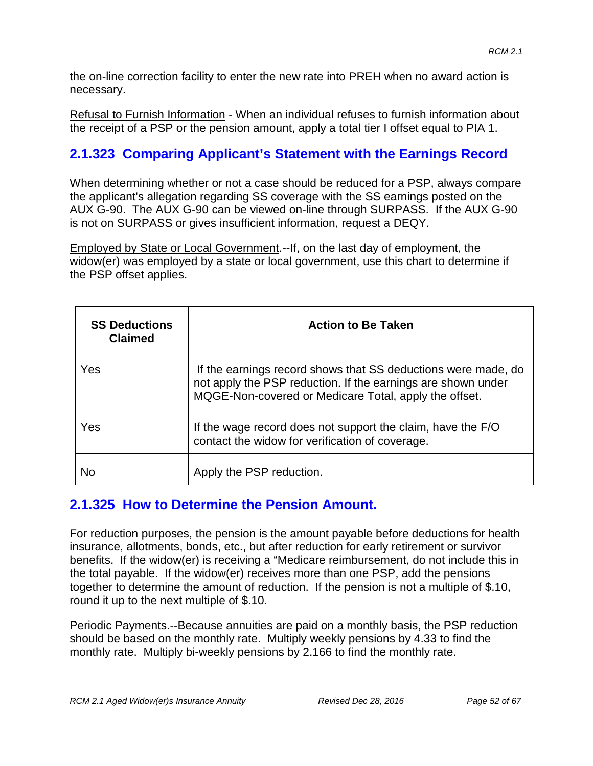the on-line correction facility to enter the new rate into PREH when no award action is necessary.

Refusal to Furnish Information - When an individual refuses to furnish information about the receipt of a PSP or the pension amount, apply a total tier I offset equal to PIA 1.

# **2.1.323 Comparing Applicant's Statement with the Earnings Record**

When determining whether or not a case should be reduced for a PSP, always compare the applicant's allegation regarding SS coverage with the SS earnings posted on the AUX G-90. The AUX G-90 can be viewed on-line through SURPASS. If the AUX G-90 is not on SURPASS or gives insufficient information, request a DEQY.

Employed by State or Local Government.--If, on the last day of employment, the widow(er) was employed by a state or local government, use this chart to determine if the PSP offset applies.

| <b>SS Deductions</b><br><b>Claimed</b> | <b>Action to Be Taken</b>                                                                                                                                                              |
|----------------------------------------|----------------------------------------------------------------------------------------------------------------------------------------------------------------------------------------|
| Yes                                    | If the earnings record shows that SS deductions were made, do<br>not apply the PSP reduction. If the earnings are shown under<br>MQGE-Non-covered or Medicare Total, apply the offset. |
| Yes                                    | If the wage record does not support the claim, have the F/O<br>contact the widow for verification of coverage.                                                                         |
| No                                     | Apply the PSP reduction.                                                                                                                                                               |

## **2.1.325 How to Determine the Pension Amount.**

For reduction purposes, the pension is the amount payable before deductions for health insurance, allotments, bonds, etc., but after reduction for early retirement or survivor benefits. If the widow(er) is receiving a "Medicare reimbursement, do not include this in the total payable. If the widow(er) receives more than one PSP, add the pensions together to determine the amount of reduction. If the pension is not a multiple of \$.10, round it up to the next multiple of \$.10.

Periodic Payments.--Because annuities are paid on a monthly basis, the PSP reduction should be based on the monthly rate. Multiply weekly pensions by 4.33 to find the monthly rate. Multiply bi-weekly pensions by 2.166 to find the monthly rate.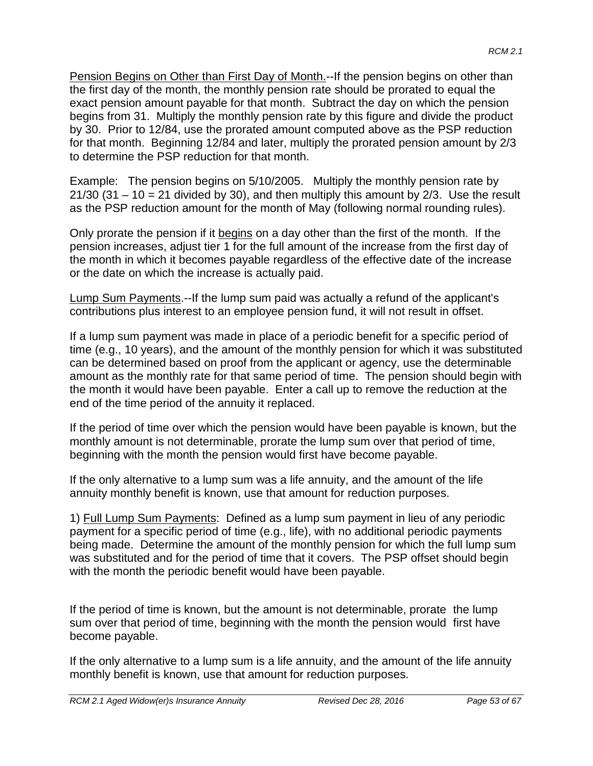Pension Begins on Other than First Day of Month.--If the pension begins on other than the first day of the month, the monthly pension rate should be prorated to equal the exact pension amount payable for that month. Subtract the day on which the pension begins from 31. Multiply the monthly pension rate by this figure and divide the product by 30. Prior to 12/84, use the prorated amount computed above as the PSP reduction for that month. Beginning 12/84 and later, multiply the prorated pension amount by 2/3 to determine the PSP reduction for that month.

Example: The pension begins on 5/10/2005. Multiply the monthly pension rate by  $21/30$  (31 – 10 = 21 divided by 30), and then multiply this amount by 2/3. Use the result as the PSP reduction amount for the month of May (following normal rounding rules).

Only prorate the pension if it begins on a day other than the first of the month. If the pension increases, adjust tier 1 for the full amount of the increase from the first day of the month in which it becomes payable regardless of the effective date of the increase or the date on which the increase is actually paid.

Lump Sum Payments.--If the lump sum paid was actually a refund of the applicant's contributions plus interest to an employee pension fund, it will not result in offset.

If a lump sum payment was made in place of a periodic benefit for a specific period of time (e.g., 10 years), and the amount of the monthly pension for which it was substituted can be determined based on proof from the applicant or agency, use the determinable amount as the monthly rate for that same period of time. The pension should begin with the month it would have been payable. Enter a call up to remove the reduction at the end of the time period of the annuity it replaced.

If the period of time over which the pension would have been payable is known, but the monthly amount is not determinable, prorate the lump sum over that period of time, beginning with the month the pension would first have become payable.

If the only alternative to a lump sum was a life annuity, and the amount of the life annuity monthly benefit is known, use that amount for reduction purposes.

1) Full Lump Sum Payments: Defined as a lump sum payment in lieu of any periodic payment for a specific period of time (e.g., life), with no additional periodic payments being made. Determine the amount of the monthly pension for which the full lump sum was substituted and for the period of time that it covers. The PSP offset should begin with the month the periodic benefit would have been payable.

If the period of time is known, but the amount is not determinable, prorate the lump sum over that period of time, beginning with the month the pension would first have become payable.

If the only alternative to a lump sum is a life annuity, and the amount of the life annuity monthly benefit is known, use that amount for reduction purposes.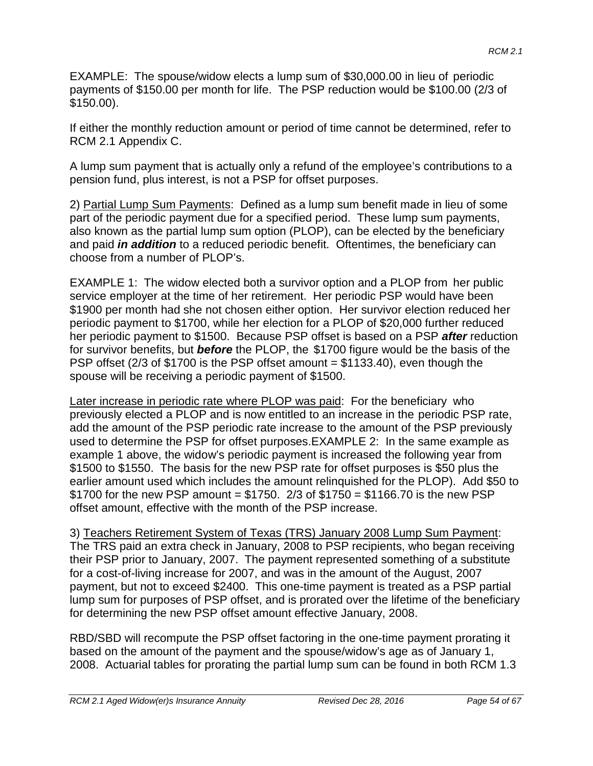EXAMPLE: The spouse/widow elects a lump sum of \$30,000.00 in lieu of periodic payments of \$150.00 per month for life. The PSP reduction would be \$100.00 (2/3 of \$150.00).

If either the monthly reduction amount or period of time cannot be determined, refer to RCM 2.1 Appendix C.

A lump sum payment that is actually only a refund of the employee's contributions to a pension fund, plus interest, is not a PSP for offset purposes.

2) Partial Lump Sum Payments: Defined as a lump sum benefit made in lieu of some part of the periodic payment due for a specified period. These lump sum payments, also known as the partial lump sum option (PLOP), can be elected by the beneficiary and paid *in addition* to a reduced periodic benefit. Oftentimes, the beneficiary can choose from a number of PLOP's.

EXAMPLE 1: The widow elected both a survivor option and a PLOP from her public service employer at the time of her retirement. Her periodic PSP would have been \$1900 per month had she not chosen either option. Her survivor election reduced her periodic payment to \$1700, while her election for a PLOP of \$20,000 further reduced her periodic payment to \$1500. Because PSP offset is based on a PSP *after* reduction for survivor benefits, but *before* the PLOP, the \$1700 figure would be the basis of the PSP offset ( $2/3$  of \$1700 is the PSP offset amount = \$1133.40), even though the spouse will be receiving a periodic payment of \$1500.

Later increase in periodic rate where PLOP was paid: For the beneficiary who previously elected a PLOP and is now entitled to an increase in the periodic PSP rate, add the amount of the PSP periodic rate increase to the amount of the PSP previously used to determine the PSP for offset purposes.EXAMPLE 2: In the same example as example 1 above, the widow's periodic payment is increased the following year from \$1500 to \$1550. The basis for the new PSP rate for offset purposes is \$50 plus the earlier amount used which includes the amount relinquished for the PLOP). Add \$50 to \$1700 for the new PSP amount = \$1750. 2/3 of  $$1750 = $1166.70$  is the new PSP offset amount, effective with the month of the PSP increase.

3) Teachers Retirement System of Texas (TRS) January 2008 Lump Sum Payment: The TRS paid an extra check in January, 2008 to PSP recipients, who began receiving their PSP prior to January, 2007. The payment represented something of a substitute for a cost-of-living increase for 2007, and was in the amount of the August, 2007 payment, but not to exceed \$2400. This one-time payment is treated as a PSP partial lump sum for purposes of PSP offset, and is prorated over the lifetime of the beneficiary for determining the new PSP offset amount effective January, 2008.

RBD/SBD will recompute the PSP offset factoring in the one-time payment prorating it based on the amount of the payment and the spouse/widow's age as of January 1, 2008. Actuarial tables for prorating the partial lump sum can be found in both RCM 1.3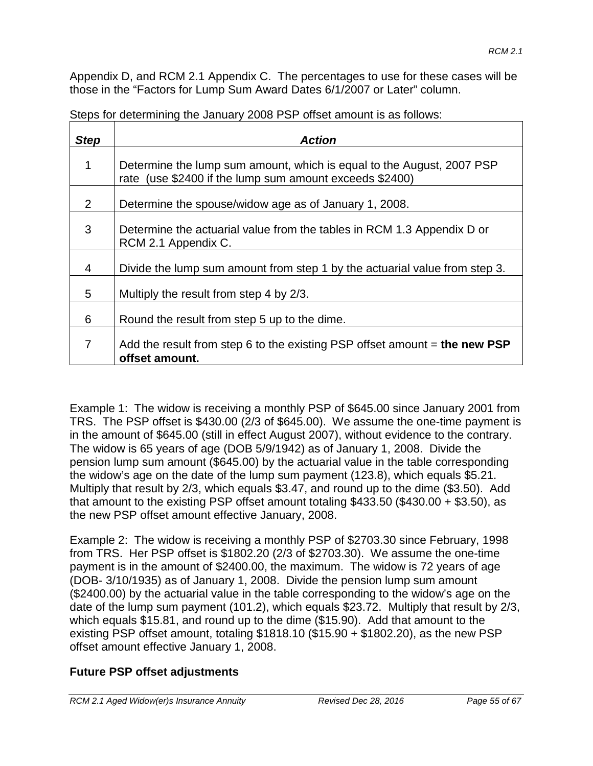Appendix D, and RCM 2.1 Appendix C. The percentages to use for these cases will be those in the "Factors for Lump Sum Award Dates 6/1/2007 or Later" column.

| <b>Step</b> | <b>Action</b>                                                                                                                    |
|-------------|----------------------------------------------------------------------------------------------------------------------------------|
| 1           | Determine the lump sum amount, which is equal to the August, 2007 PSP<br>rate (use \$2400 if the lump sum amount exceeds \$2400) |
| 2           | Determine the spouse/widow age as of January 1, 2008.                                                                            |
| 3           | Determine the actuarial value from the tables in RCM 1.3 Appendix D or<br>RCM 2.1 Appendix C.                                    |
| 4           | Divide the lump sum amount from step 1 by the actuarial value from step 3.                                                       |
| 5           | Multiply the result from step 4 by 2/3.                                                                                          |
| 6           | Round the result from step 5 up to the dime.                                                                                     |
| 7           | Add the result from step 6 to the existing PSP offset amount $=$ the new PSP<br>offset amount.                                   |

Steps for determining the January 2008 PSP offset amount is as follows:

Example 1: The widow is receiving a monthly PSP of \$645.00 since January 2001 from TRS. The PSP offset is \$430.00 (2/3 of \$645.00). We assume the one-time payment is in the amount of \$645.00 (still in effect August 2007), without evidence to the contrary. The widow is 65 years of age (DOB 5/9/1942) as of January 1, 2008. Divide the pension lump sum amount (\$645.00) by the actuarial value in the table corresponding the widow's age on the date of the lump sum payment (123.8), which equals \$5.21. Multiply that result by 2/3, which equals \$3.47, and round up to the dime (\$3.50). Add that amount to the existing PSP offset amount totaling \$433.50 (\$430.00 + \$3.50), as the new PSP offset amount effective January, 2008.

Example 2: The widow is receiving a monthly PSP of \$2703.30 since February, 1998 from TRS. Her PSP offset is \$1802.20 (2/3 of \$2703.30). We assume the one-time payment is in the amount of \$2400.00, the maximum. The widow is 72 years of age (DOB- 3/10/1935) as of January 1, 2008. Divide the pension lump sum amount (\$2400.00) by the actuarial value in the table corresponding to the widow's age on the date of the lump sum payment (101.2), which equals \$23.72. Multiply that result by 2/3, which equals \$15.81, and round up to the dime (\$15.90). Add that amount to the existing PSP offset amount, totaling \$1818.10 (\$15.90 + \$1802.20), as the new PSP offset amount effective January 1, 2008.

### **Future PSP offset adjustments**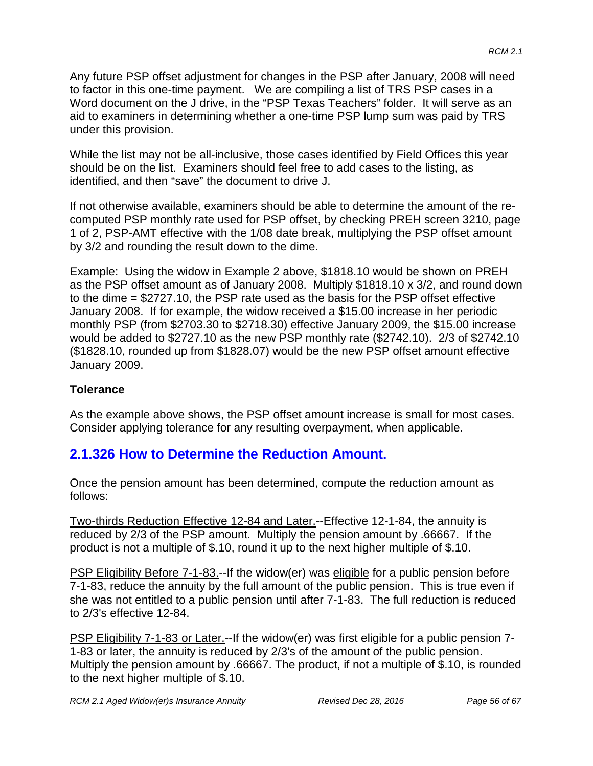Any future PSP offset adjustment for changes in the PSP after January, 2008 will need to factor in this one-time payment. We are compiling a list of TRS PSP cases in a Word document on the J drive, in the "PSP Texas Teachers" folder. It will serve as an aid to examiners in determining whether a one-time PSP lump sum was paid by TRS under this provision.

While the list may not be all-inclusive, those cases identified by Field Offices this year should be on the list. Examiners should feel free to add cases to the listing, as identified, and then "save" the document to drive J.

If not otherwise available, examiners should be able to determine the amount of the recomputed PSP monthly rate used for PSP offset, by checking PREH screen 3210, page 1 of 2, PSP-AMT effective with the 1/08 date break, multiplying the PSP offset amount by 3/2 and rounding the result down to the dime.

Example: Using the widow in Example 2 above, \$1818.10 would be shown on PREH as the PSP offset amount as of January 2008. Multiply \$1818.10 x 3/2, and round down to the dime = \$2727.10, the PSP rate used as the basis for the PSP offset effective January 2008. If for example, the widow received a \$15.00 increase in her periodic monthly PSP (from \$2703.30 to \$2718.30) effective January 2009, the \$15.00 increase would be added to \$2727.10 as the new PSP monthly rate (\$2742.10). 2/3 of \$2742.10 (\$1828.10, rounded up from \$1828.07) would be the new PSP offset amount effective January 2009.

### **Tolerance**

As the example above shows, the PSP offset amount increase is small for most cases. Consider applying tolerance for any resulting overpayment, when applicable.

## **2.1.326 How to Determine the Reduction Amount.**

Once the pension amount has been determined, compute the reduction amount as follows:

Two-thirds Reduction Effective 12-84 and Later.--Effective 12-1-84, the annuity is reduced by 2/3 of the PSP amount. Multiply the pension amount by .66667. If the product is not a multiple of \$.10, round it up to the next higher multiple of \$.10.

PSP Eligibility Before 7-1-83.--If the widow(er) was eligible for a public pension before 7-1-83, reduce the annuity by the full amount of the public pension. This is true even if she was not entitled to a public pension until after 7-1-83. The full reduction is reduced to 2/3's effective 12-84.

PSP Eligibility 7-1-83 or Later.--If the widow(er) was first eligible for a public pension 7-1-83 or later, the annuity is reduced by 2/3's of the amount of the public pension. Multiply the pension amount by .66667. The product, if not a multiple of \$.10, is rounded to the next higher multiple of \$.10.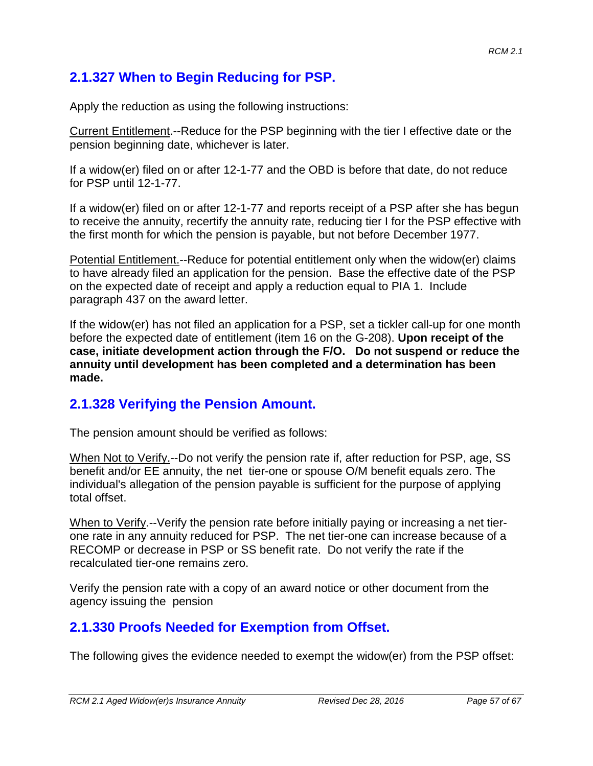## **2.1.327 When to Begin Reducing for PSP.**

Apply the reduction as using the following instructions:

Current Entitlement.--Reduce for the PSP beginning with the tier I effective date or the pension beginning date, whichever is later.

If a widow(er) filed on or after 12-1-77 and the OBD is before that date, do not reduce for PSP until 12-1-77.

If a widow(er) filed on or after 12-1-77 and reports receipt of a PSP after she has begun to receive the annuity, recertify the annuity rate, reducing tier I for the PSP effective with the first month for which the pension is payable, but not before December 1977.

Potential Entitlement.--Reduce for potential entitlement only when the widow(er) claims to have already filed an application for the pension. Base the effective date of the PSP on the expected date of receipt and apply a reduction equal to PIA 1. Include paragraph 437 on the award letter.

If the widow(er) has not filed an application for a PSP, set a tickler call-up for one month before the expected date of entitlement (item 16 on the G-208). **Upon receipt of the case, initiate development action through the F/O. Do not suspend or reduce the annuity until development has been completed and a determination has been made.**

## **2.1.328 Verifying the Pension Amount.**

The pension amount should be verified as follows:

When Not to Verify.--Do not verify the pension rate if, after reduction for PSP, age, SS benefit and/or EE annuity, the net tier-one or spouse O/M benefit equals zero. The individual's allegation of the pension payable is sufficient for the purpose of applying total offset.

When to Verify.--Verify the pension rate before initially paying or increasing a net tierone rate in any annuity reduced for PSP. The net tier-one can increase because of a RECOMP or decrease in PSP or SS benefit rate. Do not verify the rate if the recalculated tier-one remains zero.

Verify the pension rate with a copy of an award notice or other document from the agency issuing the pension

## **2.1.330 Proofs Needed for Exemption from Offset.**

The following gives the evidence needed to exempt the widow(er) from the PSP offset: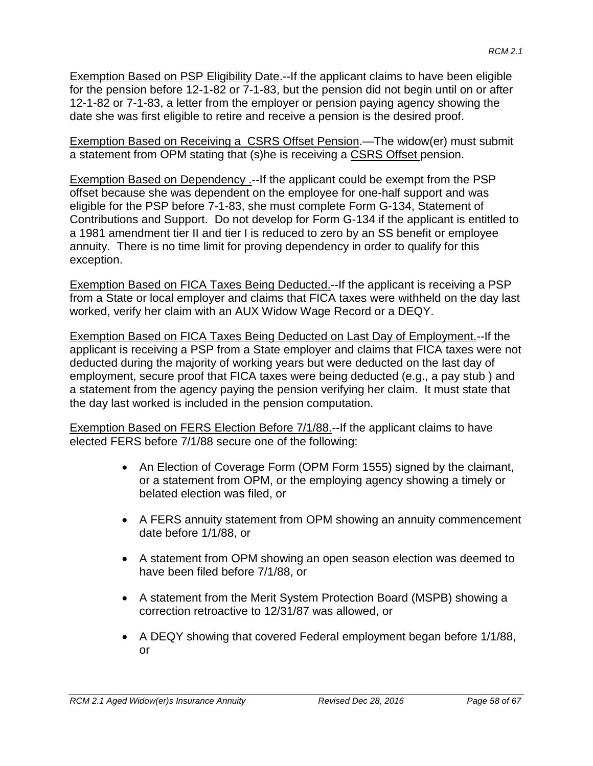Exemption Based on PSP Eligibility Date.--If the applicant claims to have been eligible for the pension before 12-1-82 or 7-1-83, but the pension did not begin until on or after 12-1-82 or 7-1-83, a letter from the employer or pension paying agency showing the date she was first eligible to retire and receive a pension is the desired proof.

Exemption Based on Receiving a CSRS Offset Pension.—The widow(er) must submit a statement from OPM stating that (s)he is receiving a CSRS Offset pension.

Exemption Based on Dependency .-- If the applicant could be exempt from the PSP offset because she was dependent on the employee for one-half support and was eligible for the PSP before 7-1-83, she must complete Form G-134, Statement of Contributions and Support. Do not develop for Form G-134 if the applicant is entitled to a 1981 amendment tier II and tier I is reduced to zero by an SS benefit or employee annuity. There is no time limit for proving dependency in order to qualify for this exception.

Exemption Based on FICA Taxes Being Deducted.--If the applicant is receiving a PSP from a State or local employer and claims that FICA taxes were withheld on the day last worked, verify her claim with an AUX Widow Wage Record or a DEQY.

Exemption Based on FICA Taxes Being Deducted on Last Day of Employment.--If the applicant is receiving a PSP from a State employer and claims that FICA taxes were not deducted during the majority of working years but were deducted on the last day of employment, secure proof that FICA taxes were being deducted (e.g., a pay stub ) and a statement from the agency paying the pension verifying her claim. It must state that the day last worked is included in the pension computation.

Exemption Based on FERS Election Before 7/1/88.--If the applicant claims to have elected FERS before 7/1/88 secure one of the following:

- An Election of Coverage Form (OPM Form 1555) signed by the claimant, or a statement from OPM, or the employing agency showing a timely or belated election was filed, or
- A FERS annuity statement from OPM showing an annuity commencement date before 1/1/88, or
- A statement from OPM showing an open season election was deemed to have been filed before 7/1/88, or
- A statement from the Merit System Protection Board (MSPB) showing a correction retroactive to 12/31/87 was allowed, or
- A DEQY showing that covered Federal employment began before 1/1/88, or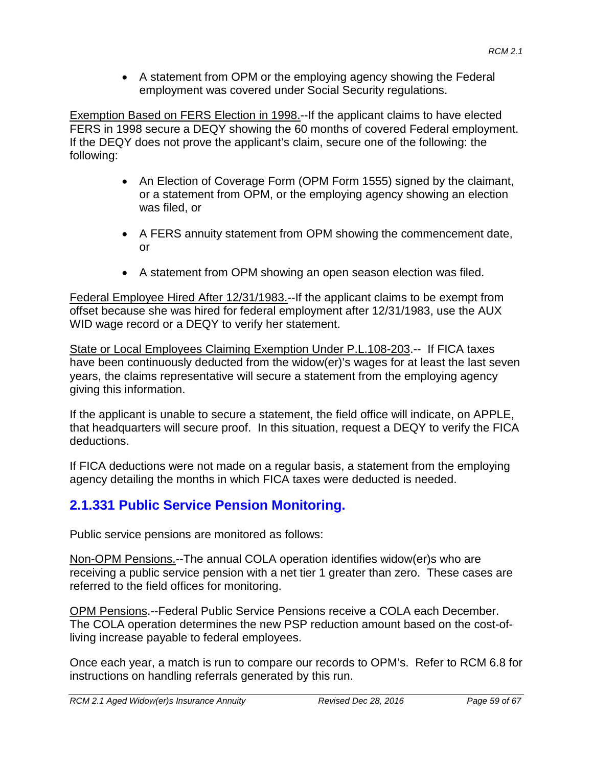• A statement from OPM or the employing agency showing the Federal employment was covered under Social Security regulations.

Exemption Based on FERS Election in 1998.--If the applicant claims to have elected FERS in 1998 secure a DEQY showing the 60 months of covered Federal employment. If the DEQY does not prove the applicant's claim, secure one of the following: the following:

- An Election of Coverage Form (OPM Form 1555) signed by the claimant, or a statement from OPM, or the employing agency showing an election was filed, or
- A FERS annuity statement from OPM showing the commencement date, or
- A statement from OPM showing an open season election was filed.

Federal Employee Hired After 12/31/1983.--If the applicant claims to be exempt from offset because she was hired for federal employment after 12/31/1983, use the AUX WID wage record or a DEQY to verify her statement.

State or Local Employees Claiming Exemption Under P.L.108-203.-- If FICA taxes have been continuously deducted from the widow(er)'s wages for at least the last seven years, the claims representative will secure a statement from the employing agency giving this information.

If the applicant is unable to secure a statement, the field office will indicate, on APPLE, that headquarters will secure proof. In this situation, request a DEQY to verify the FICA deductions.

If FICA deductions were not made on a regular basis, a statement from the employing agency detailing the months in which FICA taxes were deducted is needed.

# **2.1.331 Public Service Pension Monitoring.**

Public service pensions are monitored as follows:

Non-OPM Pensions.--The annual COLA operation identifies widow(er)s who are receiving a public service pension with a net tier 1 greater than zero. These cases are referred to the field offices for monitoring.

OPM Pensions.--Federal Public Service Pensions receive a COLA each December. The COLA operation determines the new PSP reduction amount based on the cost-ofliving increase payable to federal employees.

Once each year, a match is run to compare our records to OPM's. Refer to RCM 6.8 for instructions on handling referrals generated by this run.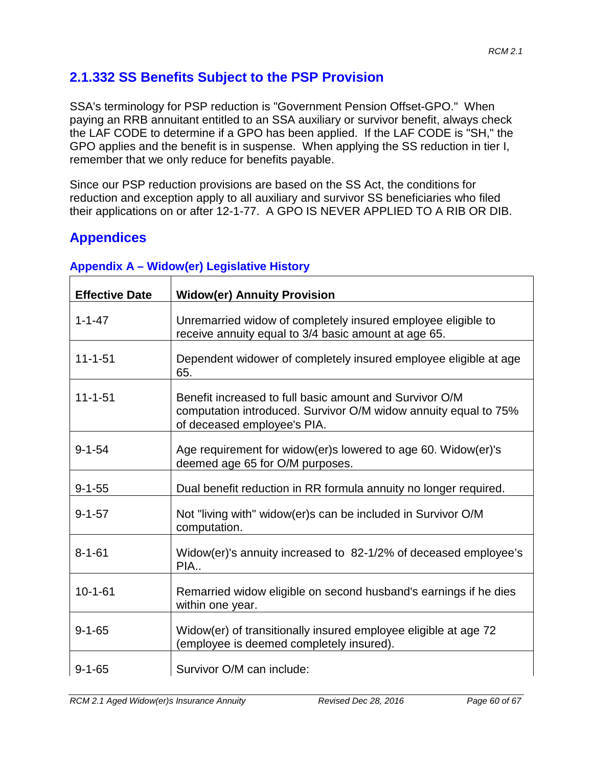# **2.1.332 SS Benefits Subject to the PSP Provision**

SSA's terminology for PSP reduction is "Government Pension Offset-GPO." When paying an RRB annuitant entitled to an SSA auxiliary or survivor benefit, always check the LAF CODE to determine if a GPO has been applied. If the LAF CODE is "SH," the GPO applies and the benefit is in suspense. When applying the SS reduction in tier I, remember that we only reduce for benefits payable.

Since our PSP reduction provisions are based on the SS Act, the conditions for reduction and exception apply to all auxiliary and survivor SS beneficiaries who filed their applications on or after 12-1-77. A GPO IS NEVER APPLIED TO A RIB OR DIB.

# **Appendices**

| <b>Effective Date</b> | <b>Widow(er) Annuity Provision</b>                                                                                                                        |
|-----------------------|-----------------------------------------------------------------------------------------------------------------------------------------------------------|
| $1 - 1 - 47$          | Unremarried widow of completely insured employee eligible to<br>receive annuity equal to 3/4 basic amount at age 65.                                      |
| $11 - 1 - 51$         | Dependent widower of completely insured employee eligible at age<br>65.                                                                                   |
| $11 - 1 - 51$         | Benefit increased to full basic amount and Survivor O/M<br>computation introduced. Survivor O/M widow annuity equal to 75%<br>of deceased employee's PIA. |
| $9 - 1 - 54$          | Age requirement for widow(er)s lowered to age 60. Widow(er)'s<br>deemed age 65 for O/M purposes.                                                          |
| $9 - 1 - 55$          | Dual benefit reduction in RR formula annuity no longer required.                                                                                          |
| $9 - 1 - 57$          | Not "living with" widow(er)s can be included in Survivor O/M<br>computation.                                                                              |
| $8 - 1 - 61$          | Widow(er)'s annuity increased to 82-1/2% of deceased employee's<br>PIA                                                                                    |
| $10 - 1 - 61$         | Remarried widow eligible on second husband's earnings if he dies<br>within one year.                                                                      |
| $9 - 1 - 65$          | Widow(er) of transitionally insured employee eligible at age 72<br>(employee is deemed completely insured).                                               |
| $9 - 1 - 65$          | Survivor O/M can include:                                                                                                                                 |

#### **Appendix A – Widow(er) Legislative History**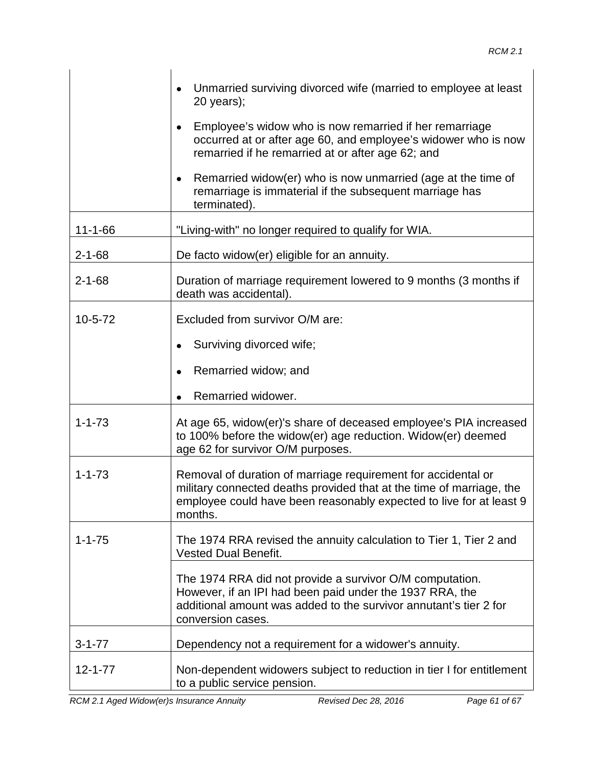|               | Unmarried surviving divorced wife (married to employee at least<br>$20$ years);<br>Employee's widow who is now remarried if her remarriage<br>occurred at or after age 60, and employee's widower who is now<br>remarried if he remarried at or after age 62; and<br>Remarried widow(er) who is now unmarried (age at the time of<br>remarriage is immaterial if the subsequent marriage has<br>terminated). |
|---------------|--------------------------------------------------------------------------------------------------------------------------------------------------------------------------------------------------------------------------------------------------------------------------------------------------------------------------------------------------------------------------------------------------------------|
| $11 - 1 - 66$ | "Living-with" no longer required to qualify for WIA.                                                                                                                                                                                                                                                                                                                                                         |
| $2 - 1 - 68$  | De facto widow(er) eligible for an annuity.                                                                                                                                                                                                                                                                                                                                                                  |
| $2 - 1 - 68$  | Duration of marriage requirement lowered to 9 months (3 months if<br>death was accidental).                                                                                                                                                                                                                                                                                                                  |
| $10 - 5 - 72$ | Excluded from survivor O/M are:<br>Surviving divorced wife;<br>Remarried widow; and<br>Remarried widower.                                                                                                                                                                                                                                                                                                    |
| $1 - 1 - 73$  | At age 65, widow(er)'s share of deceased employee's PIA increased<br>to 100% before the widow(er) age reduction. Widow(er) deemed<br>age 62 for survivor O/M purposes.                                                                                                                                                                                                                                       |
| $1 - 1 - 73$  | Removal of duration of marriage requirement for accidental or<br>military connected deaths provided that at the time of marriage, the<br>employee could have been reasonably expected to live for at least 9<br>months.                                                                                                                                                                                      |
| $1 - 1 - 75$  | The 1974 RRA revised the annuity calculation to Tier 1, Tier 2 and<br><b>Vested Dual Benefit.</b><br>The 1974 RRA did not provide a survivor O/M computation.<br>However, if an IPI had been paid under the 1937 RRA, the<br>additional amount was added to the survivor annutant's tier 2 for<br>conversion cases.                                                                                          |
| $3 - 1 - 77$  | Dependency not a requirement for a widower's annuity.                                                                                                                                                                                                                                                                                                                                                        |
| $12 - 1 - 77$ | Non-dependent widowers subject to reduction in tier I for entitlement<br>to a public service pension.                                                                                                                                                                                                                                                                                                        |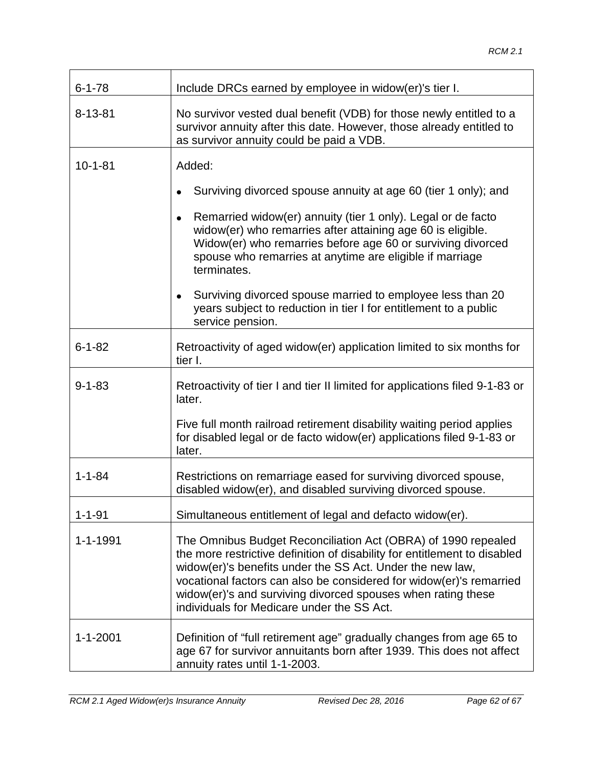| $6 - 1 - 78$   | Include DRCs earned by employee in widow(er)'s tier I.                                                                                                                                                                                                                                                                                                                                       |
|----------------|----------------------------------------------------------------------------------------------------------------------------------------------------------------------------------------------------------------------------------------------------------------------------------------------------------------------------------------------------------------------------------------------|
| $8 - 13 - 81$  | No survivor vested dual benefit (VDB) for those newly entitled to a<br>survivor annuity after this date. However, those already entitled to<br>as survivor annuity could be paid a VDB.                                                                                                                                                                                                      |
| $10 - 1 - 81$  | Added:                                                                                                                                                                                                                                                                                                                                                                                       |
|                | Surviving divorced spouse annuity at age 60 (tier 1 only); and                                                                                                                                                                                                                                                                                                                               |
|                | Remarried widow(er) annuity (tier 1 only). Legal or de facto<br>$\bullet$<br>widow(er) who remarries after attaining age 60 is eligible.<br>Widow(er) who remarries before age 60 or surviving divorced<br>spouse who remarries at anytime are eligible if marriage<br>terminates.                                                                                                           |
|                | Surviving divorced spouse married to employee less than 20<br>$\bullet$<br>years subject to reduction in tier I for entitlement to a public<br>service pension.                                                                                                                                                                                                                              |
| $6 - 1 - 82$   | Retroactivity of aged widow(er) application limited to six months for<br>tier I.                                                                                                                                                                                                                                                                                                             |
| $9 - 1 - 83$   | Retroactivity of tier I and tier II limited for applications filed 9-1-83 or<br>later.                                                                                                                                                                                                                                                                                                       |
|                | Five full month railroad retirement disability waiting period applies<br>for disabled legal or de facto widow(er) applications filed 9-1-83 or<br>later.                                                                                                                                                                                                                                     |
| $1 - 1 - 84$   | Restrictions on remarriage eased for surviving divorced spouse,<br>disabled widow(er), and disabled surviving divorced spouse.                                                                                                                                                                                                                                                               |
| $1 - 1 - 91$   | Simultaneous entitlement of legal and defacto widow(er).                                                                                                                                                                                                                                                                                                                                     |
| 1-1-1991       | The Omnibus Budget Reconciliation Act (OBRA) of 1990 repealed<br>the more restrictive definition of disability for entitlement to disabled<br>widow(er)'s benefits under the SS Act. Under the new law,<br>vocational factors can also be considered for widow(er)'s remarried<br>widow(er)'s and surviving divorced spouses when rating these<br>individuals for Medicare under the SS Act. |
| $1 - 1 - 2001$ | Definition of "full retirement age" gradually changes from age 65 to<br>age 67 for survivor annuitants born after 1939. This does not affect<br>annuity rates until 1-1-2003.                                                                                                                                                                                                                |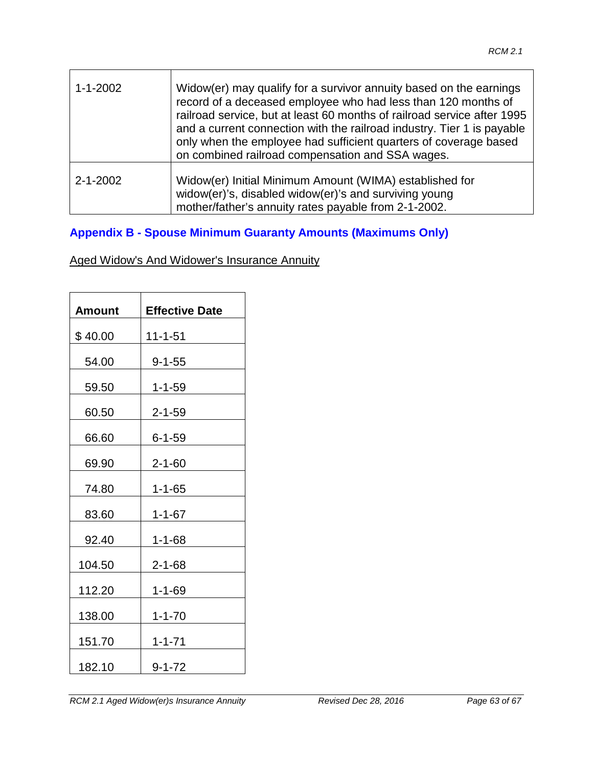| $1 - 1 - 2002$ | Widow(er) may qualify for a survivor annuity based on the earnings<br>record of a deceased employee who had less than 120 months of<br>railroad service, but at least 60 months of railroad service after 1995<br>and a current connection with the railroad industry. Tier 1 is payable<br>only when the employee had sufficient quarters of coverage based<br>on combined railroad compensation and SSA wages. |
|----------------|------------------------------------------------------------------------------------------------------------------------------------------------------------------------------------------------------------------------------------------------------------------------------------------------------------------------------------------------------------------------------------------------------------------|
| $2 - 1 - 2002$ | Widow(er) Initial Minimum Amount (WIMA) established for<br>widow(er)'s, disabled widow(er)'s and surviving young<br>mother/father's annuity rates payable from 2-1-2002.                                                                                                                                                                                                                                         |

### **Appendix B - Spouse Minimum Guaranty Amounts (Maximums Only)**

Aged Widow's And Widower's Insurance Annuity

| Amount  | <b>Effective Date</b> |
|---------|-----------------------|
| \$40.00 | 11-1-51               |
| 54.00   | $9 - 1 - 55$          |
| 59.50   | $1 - 1 - 59$          |
| 60.50   | $2 - 1 - 59$          |
| 66.60   | 6-1-59                |
| 69.90   | $2 - 1 - 60$          |
| 74.80   | $1 - 1 - 65$          |
| 83.60   | $1 - 1 - 67$          |
| 92.40   | $1 - 1 - 68$          |
| 104.50  | $2 - 1 - 68$          |
| 112.20  | $1 - 1 - 69$          |
| 138.00  | $1 - 1 - 70$          |
| 151.70  | $1 - 1 - 71$          |
| 182.10  | $9 - 1 - 72$          |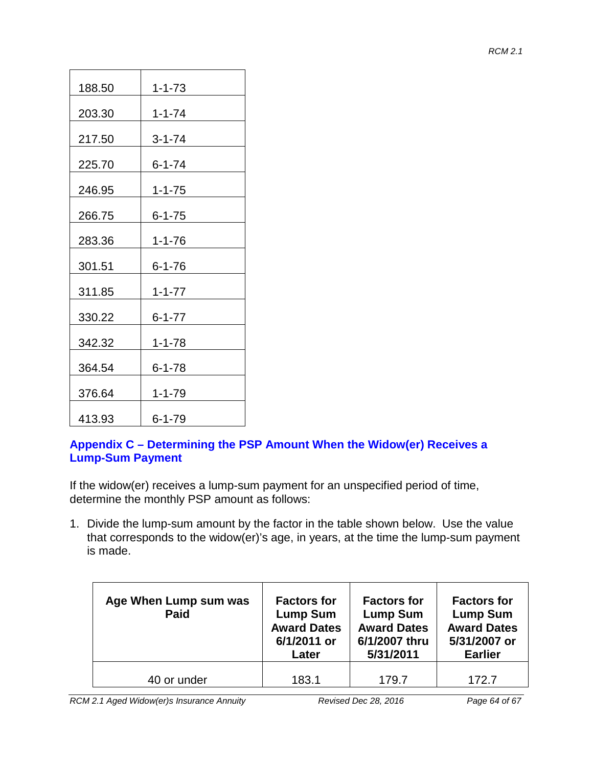| 188.50 | $1 - 1 - 73$ |
|--------|--------------|
| 203.30 | $1 - 1 - 74$ |
| 217.50 | $3 - 1 - 74$ |
| 225.70 | 6-1-74       |
| 246.95 | $1 - 1 - 75$ |
| 266.75 | $6 - 1 - 75$ |
| 283.36 | $1 - 1 - 76$ |
| 301.51 | $6 - 1 - 76$ |
| 311.85 | $1 - 1 - 77$ |
| 330.22 | $6 - 1 - 77$ |
| 342.32 | $1 - 1 - 78$ |
| 364.54 | $6 - 1 - 78$ |
| 376.64 | $1 - 1 - 79$ |
| 413.93 | 6-1-79       |

#### **Appendix C – Determining the PSP Amount When the Widow(er) Receives a Lump-Sum Payment**

If the widow(er) receives a lump-sum payment for an unspecified period of time, determine the monthly PSP amount as follows:

1. Divide the lump-sum amount by the factor in the table shown below. Use the value that corresponds to the widow(er)'s age, in years, at the time the lump-sum payment is made.

| Age When Lump sum was<br>Paid | <b>Factors for</b><br><b>Lump Sum</b><br><b>Award Dates</b><br>6/1/2011 or<br>Later | <b>Factors for</b><br><b>Lump Sum</b><br><b>Award Dates</b><br>6/1/2007 thru<br>5/31/2011 | <b>Factors for</b><br><b>Lump Sum</b><br><b>Award Dates</b><br>5/31/2007 or<br><b>Earlier</b> |
|-------------------------------|-------------------------------------------------------------------------------------|-------------------------------------------------------------------------------------------|-----------------------------------------------------------------------------------------------|
| 40 or under                   | 183.1                                                                               | 179.7                                                                                     | 172.7                                                                                         |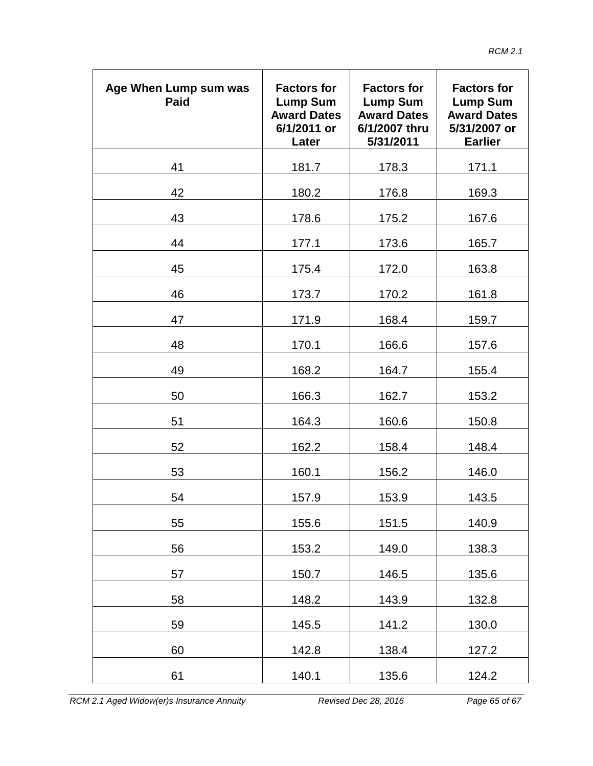| Age When Lump sum was<br>Paid | <b>Factors for</b><br><b>Lump Sum</b><br><b>Award Dates</b><br>6/1/2011 or<br>Later | <b>Factors for</b><br><b>Lump Sum</b><br><b>Award Dates</b><br>6/1/2007 thru<br>5/31/2011 | <b>Factors for</b><br><b>Lump Sum</b><br><b>Award Dates</b><br>5/31/2007 or<br><b>Earlier</b> |
|-------------------------------|-------------------------------------------------------------------------------------|-------------------------------------------------------------------------------------------|-----------------------------------------------------------------------------------------------|
| 41                            | 181.7                                                                               | 178.3                                                                                     | 171.1                                                                                         |
| 42                            | 180.2                                                                               | 176.8                                                                                     | 169.3                                                                                         |
| 43                            | 178.6                                                                               | 175.2                                                                                     | 167.6                                                                                         |
| 44                            | 177.1                                                                               | 173.6                                                                                     | 165.7                                                                                         |
| 45                            | 175.4                                                                               | 172.0                                                                                     | 163.8                                                                                         |
| 46                            | 173.7                                                                               | 170.2                                                                                     | 161.8                                                                                         |
| 47                            | 171.9                                                                               | 168.4                                                                                     | 159.7                                                                                         |
| 48                            | 170.1                                                                               | 166.6                                                                                     | 157.6                                                                                         |
| 49                            | 168.2                                                                               | 164.7                                                                                     | 155.4                                                                                         |
| 50                            | 166.3                                                                               | 162.7                                                                                     | 153.2                                                                                         |
| 51                            | 164.3                                                                               | 160.6                                                                                     | 150.8                                                                                         |
| 52                            | 162.2                                                                               | 158.4                                                                                     | 148.4                                                                                         |
| 53                            | 160.1                                                                               | 156.2                                                                                     | 146.0                                                                                         |
| 54                            | 157.9                                                                               | 153.9                                                                                     | 143.5                                                                                         |
| 55                            | 155.6                                                                               | 151.5                                                                                     | 140.9                                                                                         |
| 56                            | 153.2                                                                               | 149.0                                                                                     | 138.3                                                                                         |
| 57                            | 150.7                                                                               | 146.5                                                                                     | 135.6                                                                                         |
| 58                            | 148.2                                                                               | 143.9                                                                                     | 132.8                                                                                         |
| 59                            | 145.5                                                                               | 141.2                                                                                     | 130.0                                                                                         |
| 60                            | 142.8                                                                               | 138.4                                                                                     | 127.2                                                                                         |
| 61                            | 140.1                                                                               | 135.6                                                                                     | 124.2                                                                                         |